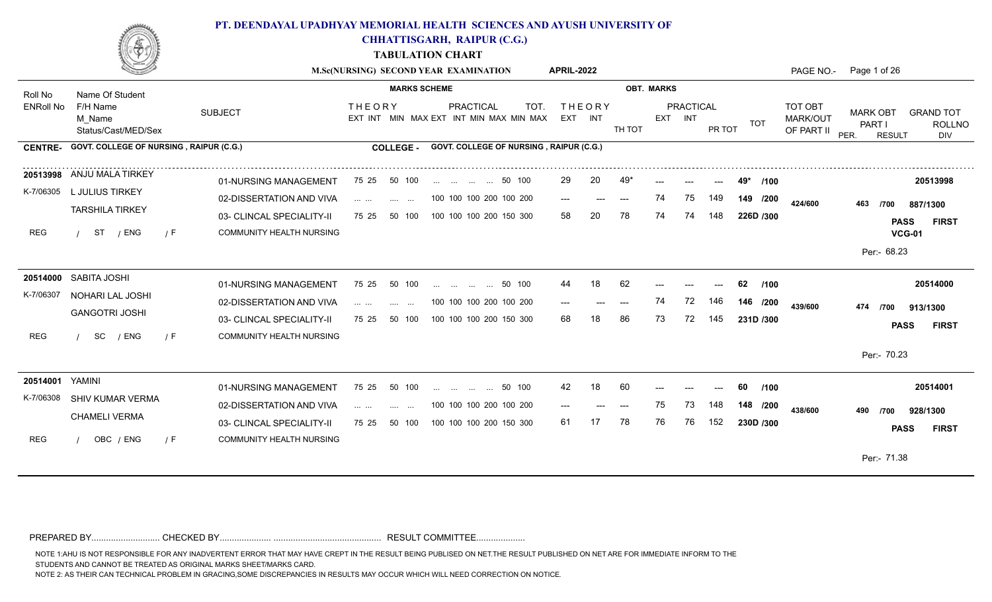

**CHHATTISGARH, RAIPUR (C.G.)**

**TABULATION CHART**

|                  |                                              |                                                              |                                                                                                                                                                                                                                                                                                                                                                                                                                                                                                                    | M.Sc(NURSING) SECOND YEAR EXAMINATION                              | <b>APRIL-2022</b>        |           |                   |                            |            | PAGE NO.-                         | Page 1 of 26                                       |                                              |
|------------------|----------------------------------------------|--------------------------------------------------------------|--------------------------------------------------------------------------------------------------------------------------------------------------------------------------------------------------------------------------------------------------------------------------------------------------------------------------------------------------------------------------------------------------------------------------------------------------------------------------------------------------------------------|--------------------------------------------------------------------|--------------------------|-----------|-------------------|----------------------------|------------|-----------------------------------|----------------------------------------------------|----------------------------------------------|
| Roll No          | Name Of Student                              |                                                              | <b>MARKS SCHEME</b>                                                                                                                                                                                                                                                                                                                                                                                                                                                                                                |                                                                    |                          |           | <b>OBT. MARKS</b> |                            |            |                                   |                                                    |                                              |
| <b>ENRoll No</b> | F/H Name<br>M Name<br>Status/Cast/MED/Sex    | <b>SUBJECT</b>                                               | <b>THEORY</b>                                                                                                                                                                                                                                                                                                                                                                                                                                                                                                      | PRACTICAL<br><b>TOT</b><br>EXT INT MIN MAX EXT INT MIN MAX MIN MAX | <b>THEORY</b><br>EXT INT | TH TOT    | EXT INT           | <b>PRACTICAL</b><br>PR TOT | <b>TOT</b> | TOT OBT<br>MARK/OUT<br>OF PART II | <b>MARK OBT</b><br>PART I<br>PER.<br><b>RESULT</b> | <b>GRAND TOT</b><br><b>ROLLNO</b><br>DIV     |
| <b>CENTRE-</b>   | GOVT. COLLEGE OF NURSING, RAIPUR (C.G.)      |                                                              | <b>COLLEGE -</b>                                                                                                                                                                                                                                                                                                                                                                                                                                                                                                   | GOVT. COLLEGE OF NURSING, RAIPUR (C.G.)                            |                          |           |                   |                            |            |                                   |                                                    |                                              |
| K-7/06305        | 20513998 ANJU MALA TIRKEY<br>L JULIUS TIRKEY | 01-NURSING MANAGEMENT                                        | 50 100<br>75 25                                                                                                                                                                                                                                                                                                                                                                                                                                                                                                    | 50 100                                                             | 29                       | 20<br>49' |                   | $---$                      | /100       |                                   |                                                    | 20513998                                     |
|                  | <b>TARSHILA TIRKEY</b>                       | 02-DISSERTATION AND VIVA                                     | $\mathcal{L}_{\mathcal{F}}$ and $\mathcal{L}_{\mathcal{F}}$ . The same $\mathcal{L}_{\mathcal{F}}$<br><b>Contract Contract</b>                                                                                                                                                                                                                                                                                                                                                                                     | 100 100 100 200 100 200                                            | $---$                    | $---$     | 75<br>74          | 149                        | 149 /200   | 424/600                           | 463<br>/700                                        | 887/1300                                     |
| REG              | ST / ENG<br>/ F                              | 03- CLINCAL SPECIALITY-II<br>COMMUNITY HEALTH NURSING        | 50 100<br>75 25                                                                                                                                                                                                                                                                                                                                                                                                                                                                                                    | 100 100 100 200 150 300                                            | 58                       | 78<br>20  | 74<br>74          | 148                        | 226D /300  |                                   |                                                    | <b>PASS</b><br><b>FIRST</b><br><b>VCG-01</b> |
|                  |                                              |                                                              |                                                                                                                                                                                                                                                                                                                                                                                                                                                                                                                    |                                                                    |                          |           |                   |                            |            |                                   | Per:- 68.23                                        |                                              |
|                  | 20514000 SABITA JOSHI                        | 01-NURSING MANAGEMENT                                        | 75 25<br>50 100                                                                                                                                                                                                                                                                                                                                                                                                                                                                                                    | 50 100<br>and the state of the state                               | 44                       | 18<br>62  |                   |                            | 62<br>/100 |                                   |                                                    | 20514000                                     |
| K-7/06307        | NOHARI LAL JOSHI<br><b>GANGOTRI JOSHI</b>    | 02-DISSERTATION AND VIVA                                     | $\mathbf{1} \cdot \mathbf{1} \cdot \mathbf{1} \cdot \mathbf{1} \cdot \mathbf{1} \cdot \mathbf{1} \cdot \mathbf{1}$<br><b>Service</b><br>$\sim$ 100 $\mu$                                                                                                                                                                                                                                                                                                                                                           | 100 100 100 200 100 200                                            |                          |           | 74<br>72          | 146                        | 146 /200   | 439/600                           | 474 /700                                           | 913/1300                                     |
| REG              | SC<br>/ ENG<br>/ F                           | 03- CLINCAL SPECIALITY-II<br><b>COMMUNITY HEALTH NURSING</b> | 75 25<br>50 100                                                                                                                                                                                                                                                                                                                                                                                                                                                                                                    | 100 100 100 200 150 300                                            | 68                       | 86        | 73<br>72          | 145                        | 231D /300  |                                   |                                                    | <b>PASS</b><br><b>FIRST</b>                  |
|                  |                                              |                                                              |                                                                                                                                                                                                                                                                                                                                                                                                                                                                                                                    |                                                                    |                          |           |                   |                            |            |                                   | Per:- 70.23                                        |                                              |
| 20514001         | YAMINI                                       | 01-NURSING MANAGEMENT                                        | 75 25<br>50 100                                                                                                                                                                                                                                                                                                                                                                                                                                                                                                    | 50 100<br>$\mathbf{r}$ . The state of $\mathbf{r}$                 | 42                       | 18<br>60  |                   |                            | 60<br>/100 |                                   |                                                    | 20514001                                     |
| K-7/06308        | SHIV KUMAR VERMA                             | 02-DISSERTATION AND VIVA                                     | $\mathbf{1} \cdot \mathbf{1} \cdot \mathbf{1} \cdot \mathbf{1} \cdot \mathbf{1} \cdot \mathbf{1} \cdot \mathbf{1} \cdot \mathbf{1} \cdot \mathbf{1} \cdot \mathbf{1} \cdot \mathbf{1} \cdot \mathbf{1} \cdot \mathbf{1} \cdot \mathbf{1} \cdot \mathbf{1} \cdot \mathbf{1} \cdot \mathbf{1} \cdot \mathbf{1} \cdot \mathbf{1} \cdot \mathbf{1} \cdot \mathbf{1} \cdot \mathbf{1} \cdot \mathbf{1} \cdot \mathbf{1} \cdot \mathbf{1} \cdot \mathbf{1} \cdot \mathbf{1} \cdot \mathbf{$<br>$\sim 100$ and $\sim 100$ | 100 100 100 200 100 200                                            | $---$                    | ---       | 75<br>73          | 148                        | 148 /200   | 438/600                           | 490<br>/700                                        | 928/1300                                     |
|                  | <b>CHAMELI VERMA</b>                         | 03- CLINCAL SPECIALITY-II                                    | 50 100<br>75 25                                                                                                                                                                                                                                                                                                                                                                                                                                                                                                    | 100 100 100 200 150 300                                            | 61                       | 78        | 76<br>76          | 152                        | 230D /300  |                                   |                                                    | <b>PASS</b><br><b>FIRST</b>                  |
| REG              | OBC / ENG<br>/ F                             | <b>COMMUNITY HEALTH NURSING</b>                              |                                                                                                                                                                                                                                                                                                                                                                                                                                                                                                                    |                                                                    |                          |           |                   |                            |            |                                   |                                                    |                                              |
|                  |                                              |                                                              |                                                                                                                                                                                                                                                                                                                                                                                                                                                                                                                    |                                                                    |                          |           |                   |                            |            |                                   | Per:- 71.38                                        |                                              |

PREPARED BY............................ CHECKED BY..................... ............................................ RESULT COMMITTEE....................

NOTE 1:AHU IS NOT RESPONSIBLE FOR ANY INADVERTENT ERROR THAT MAY HAVE CREPT IN THE RESULT BEING PUBLISED ON NET.THE RESULT PUBLISHED ON NET ARE FOR IMMEDIATE INFORM TO THE

STUDENTS AND CANNOT BE TREATED AS ORIGINAL MARKS SHEET/MARKS CARD.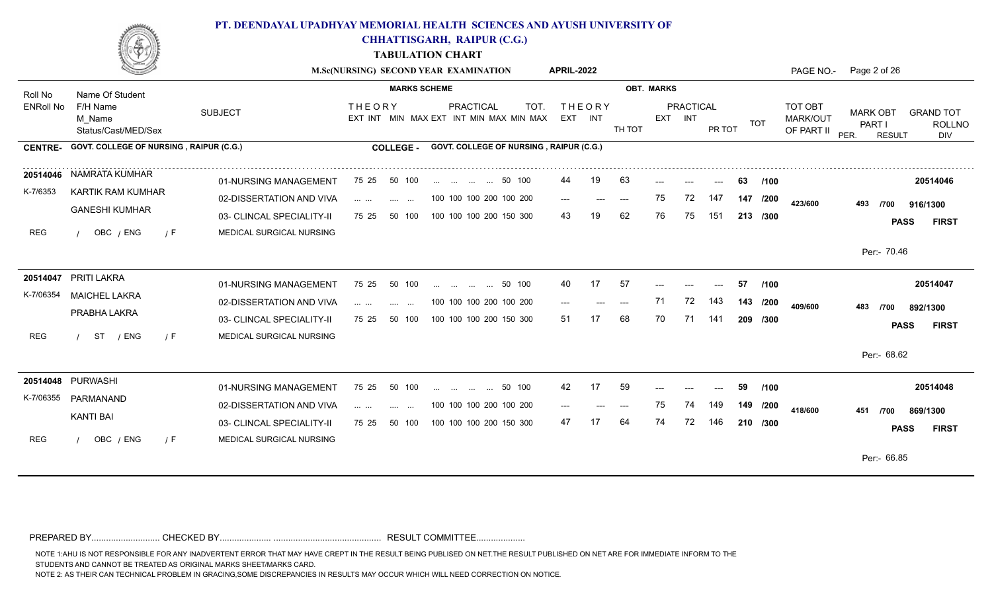

**CHHATTISGARH, RAIPUR (C.G.)**

**TABULATION CHART**

|                  |                                           |                           |                                                                       | M.Sc(NURSING) SECOND YEAR EXAMINATION                        | <b>APRIL-2022</b>        |                           |                   |    |                      |        |             |                                          | PAGE NO.- Page 2 of 26                             |                                          |
|------------------|-------------------------------------------|---------------------------|-----------------------------------------------------------------------|--------------------------------------------------------------|--------------------------|---------------------------|-------------------|----|----------------------|--------|-------------|------------------------------------------|----------------------------------------------------|------------------------------------------|
| Roll No          | Name Of Student                           |                           | <b>MARKS SCHEME</b>                                                   |                                                              |                          |                           | <b>OBT. MARKS</b> |    |                      |        |             |                                          |                                                    |                                          |
| <b>ENRoll No</b> | F/H Name<br>M Name<br>Status/Cast/MED/Sex | <b>SUBJECT</b>            | <b>THEORY</b>                                                         | PRACTICAL<br>TOT.<br>EXT INT MIN MAX EXT INT MIN MAX MIN MAX | <b>THEORY</b><br>EXT INT |                           | TH TOT            |    | PRACTICAL<br>EXT INT | PR TOT | TOT         | TOT OBT<br><b>MARK/OUT</b><br>OF PART II | <b>MARK OBT</b><br>PART I<br>PER.<br><b>RESULT</b> | <b>GRAND TOT</b><br><b>ROLLNO</b><br>DIV |
| <b>CENTRE-</b>   | GOVT. COLLEGE OF NURSING, RAIPUR (C.G.)   |                           | <b>COLLEGE -</b>                                                      | GOVT. COLLEGE OF NURSING, RAIPUR (C.G.)                      |                          |                           |                   |    |                      |        |             |                                          |                                                    |                                          |
|                  | 20514046 NAMRATA KUMHAR                   | 01-NURSING MANAGEMENT     | 50 100<br>75 25                                                       | 50 100                                                       | 44                       | 19                        | 63                |    |                      |        | 63<br>/100  |                                          |                                                    | 20514046                                 |
| K-7/6353         | KARTIK RAM KUMHAR                         | 02-DISSERTATION AND VIVA  | $\mathbf{1}$ . The set of $\mathbf{1}$<br>and the same state.         | 100 100 100 200 100 200                                      | $---$                    | $\qquad \qquad -\qquad -$ | $---$             | 75 | 72                   | 147    | 147<br>/200 | 423/600                                  | 493<br>/700                                        | 916/1300                                 |
|                  | <b>GANESHI KUMHAR</b>                     | 03- CLINCAL SPECIALITY-II | 75 25<br>50 100                                                       | 100 100 100 200 150 300                                      | 43                       |                           | 62                | 76 | 75                   | 151    | 213 /300    |                                          | <b>PASS</b>                                        | <b>FIRST</b>                             |
| REG              | OBC / ENG<br>7 F                          | MEDICAL SURGICAL NURSING  |                                                                       |                                                              |                          |                           |                   |    |                      |        |             |                                          |                                                    |                                          |
|                  |                                           |                           |                                                                       |                                                              |                          |                           |                   |    |                      |        |             |                                          | Per:- 70.46                                        |                                          |
|                  | 20514047 PRITI LAKRA                      | 01-NURSING MANAGEMENT     | 75 25<br>50 100                                                       | 50 100<br>and the same complete                              | 40                       | 17                        | 57                |    |                      | $---$  | 57<br>/100  |                                          |                                                    | 20514047                                 |
| K-7/06354        | <b>MAICHEL LAKRA</b>                      | 02-DISSERTATION AND VIVA  | $\cdots$ $\cdots$<br><b>Sales Contract</b>                            | 100 100 100 200 100 200                                      | $---$                    | ---                       | $---$             | 71 | 72                   | 143    | 143 /200    | 409/600                                  | 483<br>/700                                        | 892/1300                                 |
|                  | PRABHA LAKRA                              | 03- CLINCAL SPECIALITY-II | 50 100<br>75 25                                                       | 100 100 100 200 150 300                                      | 51                       |                           | 68                | 70 | 71                   | 141    | 209 /300    |                                          | <b>PASS</b>                                        | <b>FIRST</b>                             |
| REG              | ST<br>/ ENG<br>/ F                        | MEDICAL SURGICAL NURSING  |                                                                       |                                                              |                          |                           |                   |    |                      |        |             |                                          |                                                    |                                          |
|                  |                                           |                           |                                                                       |                                                              |                          |                           |                   |    |                      |        |             |                                          | Per:- 68.62                                        |                                          |
|                  | 20514048 PURWASHI                         | 01-NURSING MANAGEMENT     | 75 25<br>50 100                                                       | 50 100                                                       | 42                       | 17                        | 59                |    |                      | $---$  | 59<br>/100  |                                          |                                                    | 20514048                                 |
| K-7/06355        | PARMANAND                                 | 02-DISSERTATION AND VIVA  | $\mathbf{1}$ . The set of $\mathbf{1}$<br>$\sim 100$<br>$\sim$ $\sim$ | 100 100 100 200 100 200                                      | ---                      |                           |                   | 75 | 74                   | 149    | 149 /200    | 418/600                                  | 451<br>/700                                        | 869/1300                                 |
|                  | <b>KANTI BAI</b>                          | 03- CLINCAL SPECIALITY-II | 75 25<br>50 100                                                       | 100 100 100 200 150 300                                      | 47                       |                           | 64                | 74 | 72                   | 146    | 210 /300    |                                          |                                                    | <b>PASS</b><br><b>FIRST</b>              |
| <b>REG</b>       | OBC / ENG<br>7 F                          | MEDICAL SURGICAL NURSING  |                                                                       |                                                              |                          |                           |                   |    |                      |        |             |                                          |                                                    |                                          |
|                  |                                           |                           |                                                                       |                                                              |                          |                           |                   |    |                      |        |             |                                          | Per:- 66.85                                        |                                          |

PREPARED BY............................ CHECKED BY..................... ............................................ RESULT COMMITTEE....................

NOTE 1:AHU IS NOT RESPONSIBLE FOR ANY INADVERTENT ERROR THAT MAY HAVE CREPT IN THE RESULT BEING PUBLISED ON NET.THE RESULT PUBLISHED ON NET ARE FOR IMMEDIATE INFORM TO THE

STUDENTS AND CANNOT BE TREATED AS ORIGINAL MARKS SHEET/MARKS CARD.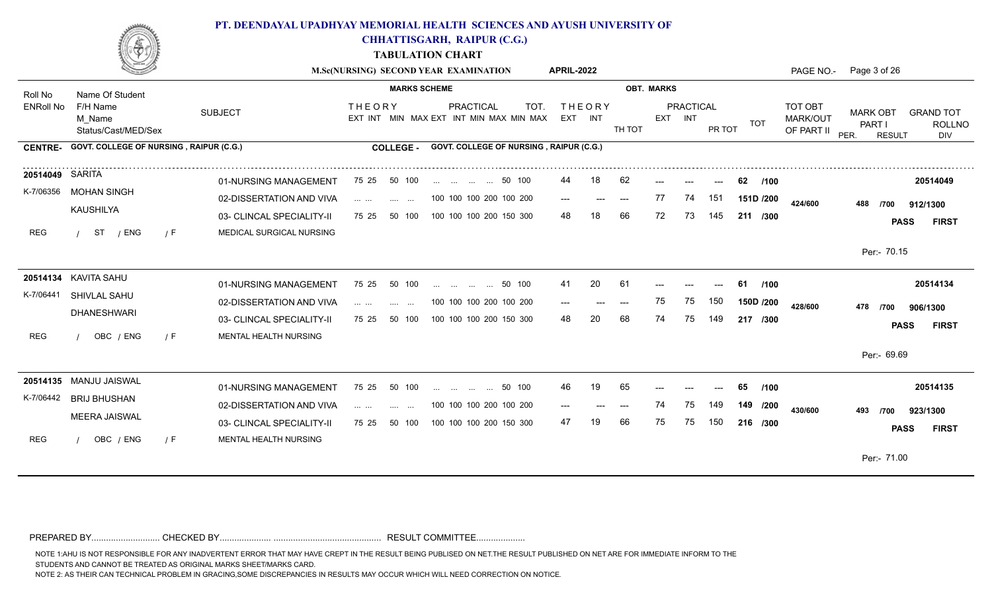

**CHHATTISGARH, RAIPUR (C.G.)**

**TABULATION CHART**

|                  |                                                 |                           |                                                                | M.Sc(NURSING) SECOND YEAR EXAMINATION                               | <b>APRIL-2022</b>        |       |                                        |         |                  |        |             |                                          | PAGE NO.- Page 3 of 26                             |                                          |
|------------------|-------------------------------------------------|---------------------------|----------------------------------------------------------------|---------------------------------------------------------------------|--------------------------|-------|----------------------------------------|---------|------------------|--------|-------------|------------------------------------------|----------------------------------------------------|------------------------------------------|
| Roll No          | Name Of Student                                 |                           | <b>MARKS SCHEME</b>                                            |                                                                     |                          |       | <b>OBT. MARKS</b>                      |         |                  |        |             |                                          |                                                    |                                          |
| <b>ENRoll No</b> | F/H Name<br>M Name<br>Status/Cast/MED/Sex       | <b>SUBJECT</b>            | <b>THEORY</b>                                                  | <b>PRACTICAL</b><br>TOT.<br>EXT INT MIN MAX EXT INT MIN MAX MIN MAX | <b>THEORY</b><br>EXT INT |       | TH TOT                                 | EXT INT | <b>PRACTICAL</b> | PR TOT | TOT         | <b>TOT OBT</b><br>MARK/OUT<br>OF PART II | <b>MARK OBT</b><br>PART I<br>PER.<br><b>RESULT</b> | <b>GRAND TOT</b><br><b>ROLLNO</b><br>DIV |
|                  | CENTRE- GOVT. COLLEGE OF NURSING, RAIPUR (C.G.) |                           | <b>COLLEGE -</b>                                               | GOVT. COLLEGE OF NURSING, RAIPUR (C.G.)                             |                          |       |                                        |         |                  |        |             |                                          |                                                    |                                          |
| 20514049 SARITA  |                                                 | 01-NURSING MANAGEMENT     | 75 25<br>50 100                                                | 50 100                                                              | 44                       | 18    | 62                                     |         |                  |        | 62<br>/100  |                                          |                                                    | 20514049                                 |
| K-7/06356        | MOHAN SINGH                                     | 02-DISSERTATION AND VIVA  | <b>Service Control</b><br><b>Contract Contract</b>             | 100 100 100 200 100 200                                             | $---$                    | $---$ | $\hspace{0.1em} \ldots \hspace{0.1em}$ | 77      | 74               | 151    | 151D /200   | 424/600                                  | 488<br>/700                                        | 912/1300                                 |
|                  | KAUSHILYA                                       | 03- CLINCAL SPECIALITY-II | 75 25<br>50 100                                                | 100 100 100 200 150 300                                             | 48                       |       | 66                                     | 72      | 73               | 145    | 211 /300    |                                          | <b>PASS</b>                                        | <b>FIRST</b>                             |
| REG              | ST<br>/ ENG<br>$\sqrt{F}$                       | MEDICAL SURGICAL NURSING  |                                                                |                                                                     |                          |       |                                        |         |                  |        |             |                                          |                                                    |                                          |
|                  |                                                 |                           |                                                                |                                                                     |                          |       |                                        |         |                  |        |             |                                          | Per:- 70.15                                        |                                          |
|                  | 20514134 KAVITA SAHU                            | 01-NURSING MANAGEMENT     | 50 100<br>75 25                                                | 50 100<br>and the same of the same                                  | 41                       | 20    | -61                                    |         |                  |        | /100<br>-61 |                                          |                                                    | 20514134                                 |
| K-7/06441        | SHIVLAL SAHU                                    | 02-DISSERTATION AND VIVA  | $\mathbf{1}$ and $\mathbf{1}$ and $\mathbf{1}$<br>and the same | 100 100 100 200 100 200                                             | $\qquad \qquad - -$      | $---$ | $---$                                  | 75      | 75               | 150    | 150D /200   | 428/600                                  | 478<br>/700                                        | 906/1300                                 |
|                  | <b>DHANESHWARI</b>                              | 03- CLINCAL SPECIALITY-II | 50 100<br>75 25                                                | 100 100 100 200 150 300                                             | 48                       | 20    | 68                                     | 74      | 75               | 149    | 217 /300    |                                          | <b>PASS</b>                                        | <b>FIRST</b>                             |
| <b>REG</b>       | OBC / ENG<br>$\sqrt{F}$                         | MENTAL HEALTH NURSING     |                                                                |                                                                     |                          |       |                                        |         |                  |        |             |                                          |                                                    |                                          |
|                  |                                                 |                           |                                                                |                                                                     |                          |       |                                        |         |                  |        |             |                                          | Per:- 69.69                                        |                                          |
|                  | 20514135 MANJU JAISWAL                          | 01-NURSING MANAGEMENT     | 75 25<br>50 100                                                | 50 100                                                              |                          | 19    | 65                                     |         |                  |        | /100<br>65  |                                          |                                                    | 20514135                                 |
| K-7/06442        | <b>BRIJ BHUSHAN</b>                             | 02-DISSERTATION AND VIVA  | $\mathcal{L}(\mathcal{L})$ . The same<br>and the same          | 100 100 100 200 100 200                                             | $---$                    |       | $---$                                  | 74      | 75               | 149    | 149 /200    | 430/600                                  | 493<br>/700                                        | 923/1300                                 |
|                  | <b>MEERA JAISWAL</b>                            | 03- CLINCAL SPECIALITY-II | 50 100<br>75 25                                                | 100 100 100 200 150 300                                             | 47                       |       | 66                                     | 75      | 75               | 150    | 216 /300    |                                          | <b>PASS</b>                                        | <b>FIRST</b>                             |
| REG              | OBC / ENG<br>/ F                                | MENTAL HEALTH NURSING     |                                                                |                                                                     |                          |       |                                        |         |                  |        |             |                                          |                                                    |                                          |
|                  |                                                 |                           |                                                                |                                                                     |                          |       |                                        |         |                  |        |             |                                          | Per:- 71.00                                        |                                          |

PREPARED BY............................ CHECKED BY..................... ............................................ RESULT COMMITTEE....................

NOTE 1:AHU IS NOT RESPONSIBLE FOR ANY INADVERTENT ERROR THAT MAY HAVE CREPT IN THE RESULT BEING PUBLISED ON NET.THE RESULT PUBLISHED ON NET ARE FOR IMMEDIATE INFORM TO THE

STUDENTS AND CANNOT BE TREATED AS ORIGINAL MARKS SHEET/MARKS CARD.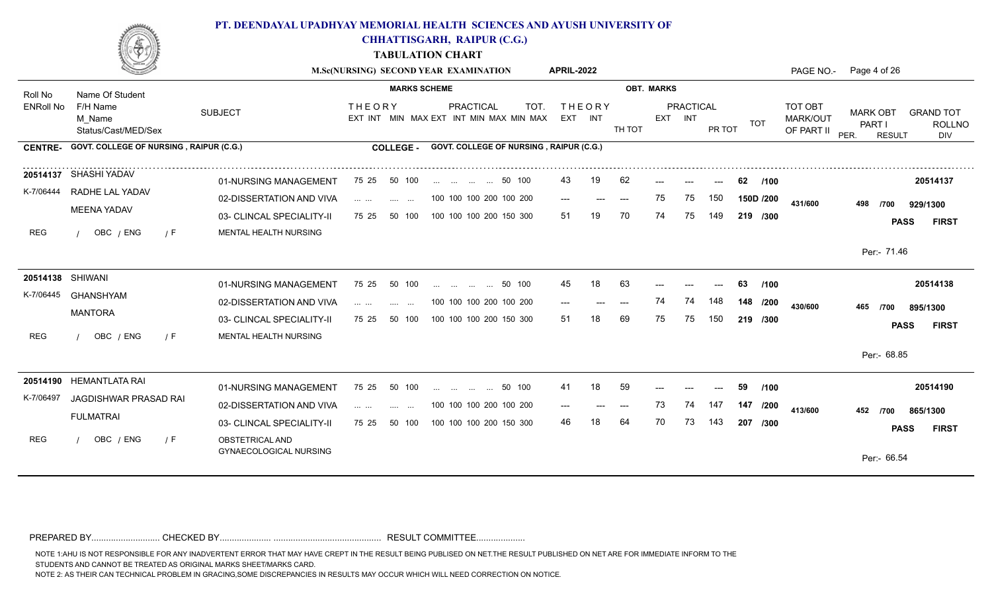

**CHHATTISGARH, RAIPUR (C.G.)**

**TABULATION CHART**

|                  |                                                 |                                           | M.Sc(NURSING) SECOND YEAR EXAMINATION                    |                          |                         |           |                                         | <b>APRIL-2022</b> |                          |        |                   |                      |        |            |                                          | PAGE NO.- Page 4 of 26                             |                                          |
|------------------|-------------------------------------------------|-------------------------------------------|----------------------------------------------------------|--------------------------|-------------------------|-----------|-----------------------------------------|-------------------|--------------------------|--------|-------------------|----------------------|--------|------------|------------------------------------------|----------------------------------------------------|------------------------------------------|
| Roll No          | Name Of Student                                 |                                           |                                                          | <b>MARKS SCHEME</b>      |                         |           |                                         |                   |                          |        | <b>OBT. MARKS</b> |                      |        |            |                                          |                                                    |                                          |
| <b>ENRoll No</b> | F/H Name<br>M Name<br>Status/Cast/MED/Sex       | <b>SUBJECT</b>                            | <b>THEORY</b><br>EXT INT MIN MAX EXT INT MIN MAX MIN MAX |                          |                         | PRACTICAL | TOT.                                    |                   | <b>THEORY</b><br>EXT INT | TH TOT |                   | PRACTICAL<br>EXT INT | PR TOT | TOT        | <b>TOT OBT</b><br>MARK/OUT<br>OF PART II | <b>MARK OBT</b><br>PART I<br>PER.<br><b>RESULT</b> | <b>GRAND TOT</b><br><b>ROLLNO</b><br>DIV |
|                  | CENTRE- GOVT. COLLEGE OF NURSING, RAIPUR (C.G.) |                                           | <b>COLLEGE -</b>                                         |                          |                         |           | GOVT. COLLEGE OF NURSING, RAIPUR (C.G.) |                   |                          |        |                   |                      |        |            |                                          |                                                    |                                          |
|                  | 20514137 SHASHI YADAV                           | 01-NURSING MANAGEMENT                     | 75 25                                                    | 50 100                   | 50 100                  |           |                                         | 43                | 19                       | 62     |                   |                      |        | 62<br>/100 |                                          |                                                    | 20514137                                 |
|                  | K-7/06444 RADHE LAL YADAV                       | 02-DISSERTATION AND VIVA                  | <b>Service</b>                                           | $\sim$ $\sim$            | 100 100 100 200 100 200 |           |                                         | $---$             |                          |        | 75                | 75                   | 150    | 150D /200  | 431/600                                  | 498<br>/700                                        | 929/1300                                 |
|                  | <b>MEENA YADAV</b>                              | 03- CLINCAL SPECIALITY-II                 | 75 25                                                    | 50 100                   | 100 100 100 200 150 300 |           |                                         | 51                |                          | 70     | 74                | 75                   | 149    | 219 /300   |                                          |                                                    | <b>PASS</b><br><b>FIRST</b>              |
| REG              | OBC / ENG<br>/ F                                | MENTAL HEALTH NURSING                     |                                                          |                          |                         |           |                                         |                   |                          |        |                   |                      |        |            |                                          |                                                    |                                          |
|                  |                                                 |                                           |                                                          |                          |                         |           |                                         |                   |                          |        |                   |                      |        |            |                                          | Per:- 71.46                                        |                                          |
|                  | 20514138 SHIWANI                                | 01-NURSING MANAGEMENT                     | 75 25                                                    | 50 100                   | 50 100                  |           |                                         | 45                | 18                       | 63     |                   |                      |        | 63<br>/100 |                                          |                                                    | 20514138                                 |
|                  | K-7/06445 GHANSHYAM                             | 02-DISSERTATION AND VIVA                  | and the same<br>$\sim 100$ km s $^{-1}$                  | $\sim$ 100 $\mu$         | 100 100 100 200 100 200 |           |                                         | ---               |                          | $---$  | 74                | 74                   | 148    | 148 /200   | 430/600                                  | 465<br>/700                                        | 895/1300                                 |
|                  | <b>MANTORA</b>                                  | 03- CLINCAL SPECIALITY-II                 | 75 25                                                    | 50 100                   | 100 100 100 200 150 300 |           |                                         | 51                |                          | 69     | 75                | 75                   | 150    | 219 /300   |                                          |                                                    | <b>PASS</b><br><b>FIRST</b>              |
| REG              | OBC / ENG<br>$\sqrt{F}$                         | MENTAL HEALTH NURSING                     |                                                          |                          |                         |           |                                         |                   |                          |        |                   |                      |        |            |                                          |                                                    |                                          |
|                  |                                                 |                                           |                                                          |                          |                         |           |                                         |                   |                          |        |                   |                      |        |            |                                          | Per:- 68.85                                        |                                          |
|                  | 20514190 HEMANTLATA RAI                         | 01-NURSING MANAGEMENT                     | 75 25                                                    | 50 100                   | 50 100                  |           |                                         | 41                | 18                       | 59     |                   |                      |        | 59<br>/100 |                                          |                                                    | 20514190                                 |
| K-7/06497        | JAGDISHWAR PRASAD RAI                           | 02-DISSERTATION AND VIVA                  | $\mathbf{1}$ and $\mathbf{1}$ and $\mathbf{1}$           | <b>Contract Contract</b> | 100 100 100 200 100 200 |           |                                         |                   |                          | $---$  | 73                | 74                   | 147    | 147 /200   | 413/600                                  |                                                    |                                          |
|                  | <b>FULMATRAI</b>                                | 03- CLINCAL SPECIALITY-II                 | 75 25                                                    | 50 100                   | 100 100 100 200 150 300 |           |                                         | 46                |                          | 64     | 70                | 73                   | 143    | 207 /300   |                                          | 452<br>/700                                        | 865/1300<br><b>FIRST</b><br><b>PASS</b>  |
| REG              | OBC / ENG<br>/ F                                | OBSTETRICAL AND<br>GYNAECOLOGICAL NURSING |                                                          |                          |                         |           |                                         |                   |                          |        |                   |                      |        |            |                                          | Per:- 66.54                                        |                                          |
|                  |                                                 |                                           |                                                          |                          |                         |           |                                         |                   |                          |        |                   |                      |        |            |                                          |                                                    |                                          |

PREPARED BY............................ CHECKED BY..................... ............................................ RESULT COMMITTEE....................

NOTE 1:AHU IS NOT RESPONSIBLE FOR ANY INADVERTENT ERROR THAT MAY HAVE CREPT IN THE RESULT BEING PUBLISED ON NET.THE RESULT PUBLISHED ON NET ARE FOR IMMEDIATE INFORM TO THE

STUDENTS AND CANNOT BE TREATED AS ORIGINAL MARKS SHEET/MARKS CARD.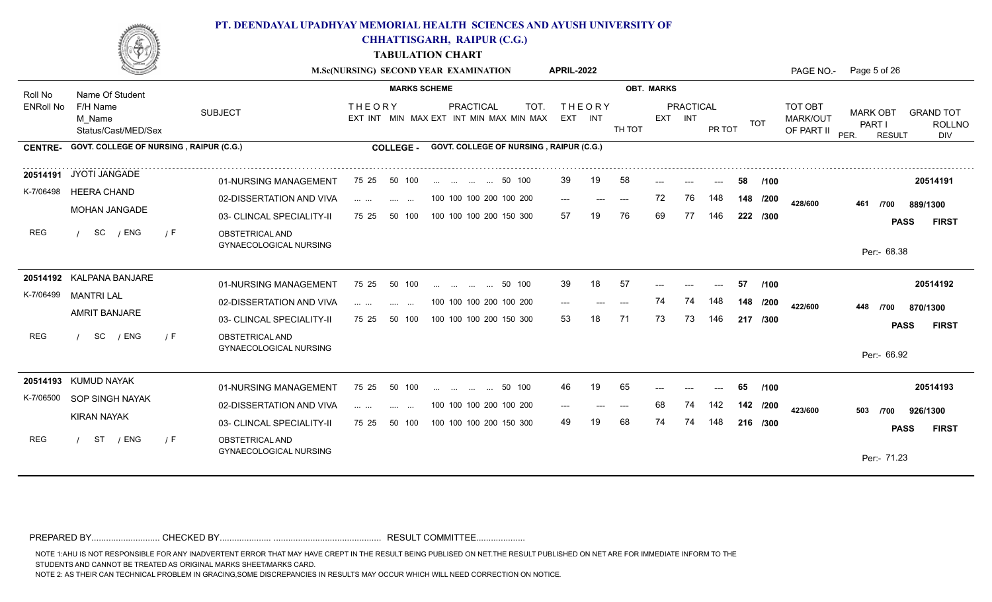

**CHHATTISGARH, RAIPUR (C.G.)**

**TABULATION CHART**

|                  |                                                |                                                  |                                                                                 | M.Sc(NURSING) SECOND YEAR EXAMINATION                        | <b>APRIL-2022</b>        |                |                   |                             |        |          | PAGE NO.-                         | Page 5 of 26                                       |                                          |
|------------------|------------------------------------------------|--------------------------------------------------|---------------------------------------------------------------------------------|--------------------------------------------------------------|--------------------------|----------------|-------------------|-----------------------------|--------|----------|-----------------------------------|----------------------------------------------------|------------------------------------------|
| Roll No          | Name Of Student                                |                                                  | <b>MARKS SCHEME</b>                                                             |                                                              |                          |                | <b>OBT. MARKS</b> |                             |        |          |                                   |                                                    |                                          |
| <b>ENRoll No</b> | F/H Name<br>M Name<br>Status/Cast/MED/Sex      | <b>SUBJECT</b>                                   | <b>THEORY</b>                                                                   | PRACTICAL<br>TOT.<br>EXT INT MIN MAX EXT INT MIN MAX MIN MAX | <b>THEORY</b><br>EXT INT | TH TOT         |                   | <b>PRACTICAL</b><br>EXT INT | PR TOT | TOT      | TOT OBT<br>MARK/OUT<br>OF PART II | <b>MARK OBT</b><br>PART I<br>PER.<br><b>RESULT</b> | <b>GRAND TOT</b><br><b>ROLLNO</b><br>DIV |
| <b>CENTRE-</b>   | <b>GOVT. COLLEGE OF NURSING, RAIPUR (C.G.)</b> |                                                  | <b>COLLEGE -</b>                                                                | GOVT. COLLEGE OF NURSING, RAIPUR (C.G.)                      |                          |                |                   |                             |        |          |                                   |                                                    |                                          |
|                  | 20514191 JYOTI JANGADE                         | 01-NURSING MANAGEMENT                            | 50 100<br>75 25                                                                 | 50 100                                                       | 39                       | 58<br>19       |                   |                             | 58     | /100     |                                   |                                                    | 20514191                                 |
| K-7/06498        | <b>HEERA CHAND</b>                             | 02-DISSERTATION AND VIVA                         | .<br>and the same                                                               | 100 100 100 200 100 200                                      | $---$                    | $---$<br>$---$ | 72                | 76                          | 148    | 148 /200 | 428/600                           | 461<br>/700                                        | 889/1300                                 |
|                  | <b>MOHAN JANGADE</b>                           | 03- CLINCAL SPECIALITY-II                        | 75 25<br>50 100                                                                 | 100 100 100 200 150 300                                      | 57                       | 76             | 69                | 77                          | 146    | 222 /300 |                                   |                                                    | <b>PASS</b><br><b>FIRST</b>              |
| <b>REG</b>       | SC<br>/ ENG<br>/ F                             | OBSTETRICAL AND<br>GYNAECOLOGICAL NURSING        |                                                                                 |                                                              |                          |                |                   |                             |        |          |                                   | Per:- 68.38                                        |                                          |
|                  | 20514192 KALPANA BANJARE                       | 01-NURSING MANAGEMENT                            | 75 25<br>50 100                                                                 | 50 100                                                       | 39                       | 18<br>57       |                   |                             | 57     | /100     |                                   |                                                    | 20514192                                 |
|                  | K-7/06499 MANTRI LAL                           | 02-DISSERTATION AND VIVA                         | $\mathcal{L}(\mathcal{L})$ . The same<br><b>Service</b><br>$\sim$ $\sim$ $\sim$ | 100 100 100 200 100 200                                      | $---$                    | $---$          | 74                | 74                          | 148    | 148 /200 | 422/600                           | 448<br>/700                                        | 870/1300                                 |
|                  | <b>AMRIT BANJARE</b>                           | 03- CLINCAL SPECIALITY-II                        | 50 100<br>75 25                                                                 | 100 100 100 200 150 300                                      | 53                       | 71             | 73                | 73                          | 146    | 217 /300 |                                   |                                                    | <b>PASS</b><br><b>FIRST</b>              |
| REG              | SC<br>/ ENG<br>/ F                             | OBSTETRICAL AND<br><b>GYNAECOLOGICAL NURSING</b> |                                                                                 |                                                              |                          |                |                   |                             |        |          |                                   | Per:- 66.92                                        |                                          |
|                  | 20514193 KUMUD NAYAK                           | 01-NURSING MANAGEMENT                            | 75 25<br>50 100                                                                 | 50 100                                                       | 46                       | 19<br>65       |                   |                             | 65     | /100     |                                   |                                                    | 20514193                                 |
| K-7/06500        | SOP SINGH NAYAK                                | 02-DISSERTATION AND VIVA                         | $\mathcal{L}(\mathcal{L})$ . The same<br>and the same                           | 100 100 100 200 100 200                                      | ---                      | $---$          | 68                | 74                          | 142    | 142 /200 | 423/600                           | 503<br>/700                                        | 926/1300                                 |
|                  | <b>KIRAN NAYAK</b>                             | 03- CLINCAL SPECIALITY-II                        | 75 25<br>50 100                                                                 | 100 100 100 200 150 300                                      | 49                       | 68             | 74                | 74                          | 148    | 216 /300 |                                   |                                                    | <b>FIRST</b><br><b>PASS</b>              |
| REG              | / ENG<br>ST<br>/ F                             | OBSTETRICAL AND<br>GYNAECOLOGICAL NURSING        |                                                                                 |                                                              |                          |                |                   |                             |        |          |                                   | Per:- 71.23                                        |                                          |

PREPARED BY............................ CHECKED BY..................... ............................................ RESULT COMMITTEE....................

NOTE 1:AHU IS NOT RESPONSIBLE FOR ANY INADVERTENT ERROR THAT MAY HAVE CREPT IN THE RESULT BEING PUBLISED ON NET.THE RESULT PUBLISHED ON NET ARE FOR IMMEDIATE INFORM TO THE

STUDENTS AND CANNOT BE TREATED AS ORIGINAL MARKS SHEET/MARKS CARD.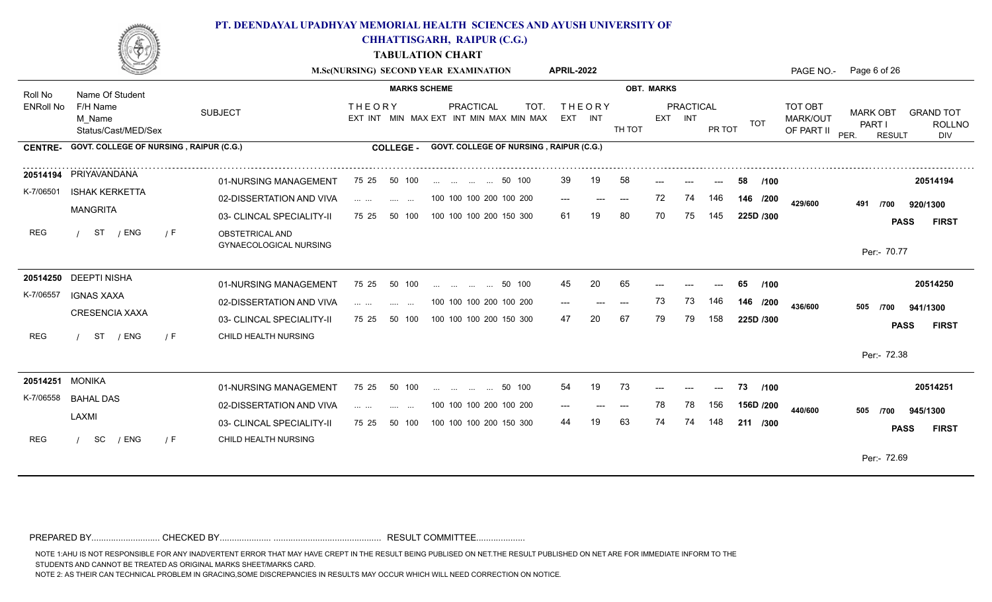

**CHHATTISGARH, RAIPUR (C.G.)**

**TABULATION CHART**

|                  |                                                |                                           |                                                                                                                                                                                                                                                                                                                                                                                                                                                                                                                   | M.Sc(NURSING) SECOND YEAR EXAMINATION                               | <b>APRIL-2022</b>        |                                          |                   |                  |                     |                                          | PAGE NO.- Page 6 of 26                                                                                |
|------------------|------------------------------------------------|-------------------------------------------|-------------------------------------------------------------------------------------------------------------------------------------------------------------------------------------------------------------------------------------------------------------------------------------------------------------------------------------------------------------------------------------------------------------------------------------------------------------------------------------------------------------------|---------------------------------------------------------------------|--------------------------|------------------------------------------|-------------------|------------------|---------------------|------------------------------------------|-------------------------------------------------------------------------------------------------------|
| Roll No          | Name Of Student                                |                                           | <b>MARKS SCHEME</b>                                                                                                                                                                                                                                                                                                                                                                                                                                                                                               |                                                                     |                          |                                          | <b>OBT. MARKS</b> |                  |                     |                                          |                                                                                                       |
| <b>ENRoll No</b> | F/H Name<br>M Name<br>Status/Cast/MED/Sex      | <b>SUBJECT</b>                            | <b>THEORY</b>                                                                                                                                                                                                                                                                                                                                                                                                                                                                                                     | <b>PRACTICAL</b><br>TOT.<br>EXT INT MIN MAX EXT INT MIN MAX MIN MAX | <b>THEORY</b><br>EXT INT | TH TOT                                   | EXT INT           | <b>PRACTICAL</b> | TOT<br>PR TOT       | TOT OBT<br><b>MARK/OUT</b><br>OF PART II | <b>MARK OBT</b><br><b>GRAND TOT</b><br><b>PART I</b><br><b>ROLLNO</b><br>PER.<br><b>RESULT</b><br>DIV |
| <b>CENTRE-</b>   | <b>GOVT. COLLEGE OF NURSING, RAIPUR (C.G.)</b> |                                           | <b>COLLEGE -</b>                                                                                                                                                                                                                                                                                                                                                                                                                                                                                                  | GOVT. COLLEGE OF NURSING, RAIPUR (C.G.)                             |                          |                                          |                   |                  |                     |                                          |                                                                                                       |
|                  | 20514194 PRIYAVANDANA                          | 01-NURSING MANAGEMENT                     | 75 25 50 100                                                                                                                                                                                                                                                                                                                                                                                                                                                                                                      | 50 100                                                              | 39<br>19                 | 58                                       |                   |                  | 58<br>/100          |                                          | 20514194                                                                                              |
| K-7/06501        | <b>ISHAK KERKETTA</b>                          | 02-DISSERTATION AND VIVA                  | $\mathbf{1} \cdot \mathbf{1} \cdot \mathbf{1} \cdot \mathbf{1} \cdot \mathbf{1} \cdot \mathbf{1} \cdot \mathbf{1} \cdot \mathbf{1} \cdot \mathbf{1} \cdot \mathbf{1} \cdot \mathbf{1} \cdot \mathbf{1} \cdot \mathbf{1} \cdot \mathbf{1} \cdot \mathbf{1} \cdot \mathbf{1} \cdot \mathbf{1} \cdot \mathbf{1} \cdot \mathbf{1} \cdot \mathbf{1} \cdot \mathbf{1} \cdot \mathbf{1} \cdot \mathbf{1} \cdot \mathbf{1} \cdot \mathbf{1} \cdot \mathbf{1} \cdot \mathbf{1} \cdot \mathbf{$<br><b>Contract Contract</b> | 100 100 100 200 100 200                                             | $---$<br>$---$           | $\hspace{0.05cm} \ldots \hspace{0.05cm}$ | 72                | 74<br>146        | 146 /200            | 429/600                                  | 491<br>920/1300<br>/700                                                                               |
|                  | <b>MANGRITA</b>                                | 03- CLINCAL SPECIALITY-II                 | 75 25<br>50 100                                                                                                                                                                                                                                                                                                                                                                                                                                                                                                   | 100 100 100 200 150 300                                             | 61<br>19                 | 80                                       | 70                | 145<br>75        | 225D /300           |                                          | <b>PASS</b><br><b>FIRST</b>                                                                           |
| REG              | ST<br>/ ENG<br>/ F                             | OBSTETRICAL AND<br>GYNAECOLOGICAL NURSING |                                                                                                                                                                                                                                                                                                                                                                                                                                                                                                                   |                                                                     |                          |                                          |                   |                  |                     |                                          | Per:- 70.77                                                                                           |
|                  | 20514250 DEEPTI NISHA                          |                                           |                                                                                                                                                                                                                                                                                                                                                                                                                                                                                                                   |                                                                     |                          |                                          |                   |                  |                     |                                          |                                                                                                       |
| K-7/06557        | <b>IGNAS XAXA</b>                              | 01-NURSING MANAGEMENT                     | 75 25<br>50 100                                                                                                                                                                                                                                                                                                                                                                                                                                                                                                   | 50 100<br>$\mathbf{r}$ . The state of $\mathbf{r}$                  | 20<br>45                 | 65                                       |                   |                  | 65<br>/100          |                                          | 20514250                                                                                              |
|                  | <b>CRESENCIA XAXA</b>                          | 02-DISSERTATION AND VIVA                  | $\cdots$ $\cdots$<br><b>Service</b><br>$\sim$                                                                                                                                                                                                                                                                                                                                                                                                                                                                     | 100 100 100 200 100 200                                             |                          | $---$                                    | 73                | 73<br>146        | 146 /200            | 436/600                                  | 505<br>/700<br>941/1300                                                                               |
|                  |                                                | 03- CLINCAL SPECIALITY-II                 | 50 100<br>75 25                                                                                                                                                                                                                                                                                                                                                                                                                                                                                                   | 100 100 100 200 150 300                                             | 47<br>20                 | 67                                       | 79                | 79<br>158        | 225D /300           |                                          | <b>PASS</b><br><b>FIRST</b>                                                                           |
| <b>REG</b>       | / ENG<br>ST<br>/ F                             | CHILD HEALTH NURSING                      |                                                                                                                                                                                                                                                                                                                                                                                                                                                                                                                   |                                                                     |                          |                                          |                   |                  |                     |                                          |                                                                                                       |
|                  |                                                |                                           |                                                                                                                                                                                                                                                                                                                                                                                                                                                                                                                   |                                                                     |                          |                                          |                   |                  |                     |                                          | Per:- 72.38                                                                                           |
| 20514251 MONIKA  |                                                | 01-NURSING MANAGEMENT                     | 75 25 50 100                                                                                                                                                                                                                                                                                                                                                                                                                                                                                                      | 50 100                                                              | 54<br>19                 | 73                                       |                   |                  | /100<br>73<br>$---$ |                                          | 20514251                                                                                              |
| K-7/06558        | <b>BAHAL DAS</b>                               | 02-DISSERTATION AND VIVA                  | $\mathbf{1} \cdot \mathbf{1} \cdot \mathbf{1} \cdot \mathbf{1} \cdot \mathbf{1} \cdot \mathbf{1} \cdot \mathbf{1}$<br><b>Contract</b><br>$\sim$ $\sim$                                                                                                                                                                                                                                                                                                                                                            | 100 100 100 200 100 200                                             | $---$                    | $---$                                    | 78                | 78<br>156        | 156D /200           | 440/600                                  |                                                                                                       |
|                  | LAXMI                                          | 03- CLINCAL SPECIALITY-II                 | 75 25<br>50 100                                                                                                                                                                                                                                                                                                                                                                                                                                                                                                   | 100 100 100 200 150 300                                             | 44                       | 63                                       | 74                | 74<br>148        | 211 /300            |                                          | 505<br>/700<br>945/1300                                                                               |
| <b>REG</b>       | SC<br>/ ENG<br>7 F                             | CHILD HEALTH NURSING                      |                                                                                                                                                                                                                                                                                                                                                                                                                                                                                                                   |                                                                     |                          |                                          |                   |                  |                     |                                          | <b>FIRST</b><br><b>PASS</b>                                                                           |
|                  |                                                |                                           |                                                                                                                                                                                                                                                                                                                                                                                                                                                                                                                   |                                                                     |                          |                                          |                   |                  |                     |                                          | Per:- 72.69                                                                                           |
|                  |                                                |                                           |                                                                                                                                                                                                                                                                                                                                                                                                                                                                                                                   |                                                                     |                          |                                          |                   |                  |                     |                                          |                                                                                                       |

PREPARED BY............................ CHECKED BY..................... ............................................ RESULT COMMITTEE....................

NOTE 1:AHU IS NOT RESPONSIBLE FOR ANY INADVERTENT ERROR THAT MAY HAVE CREPT IN THE RESULT BEING PUBLISED ON NET.THE RESULT PUBLISHED ON NET ARE FOR IMMEDIATE INFORM TO THE

STUDENTS AND CANNOT BE TREATED AS ORIGINAL MARKS SHEET/MARKS CARD.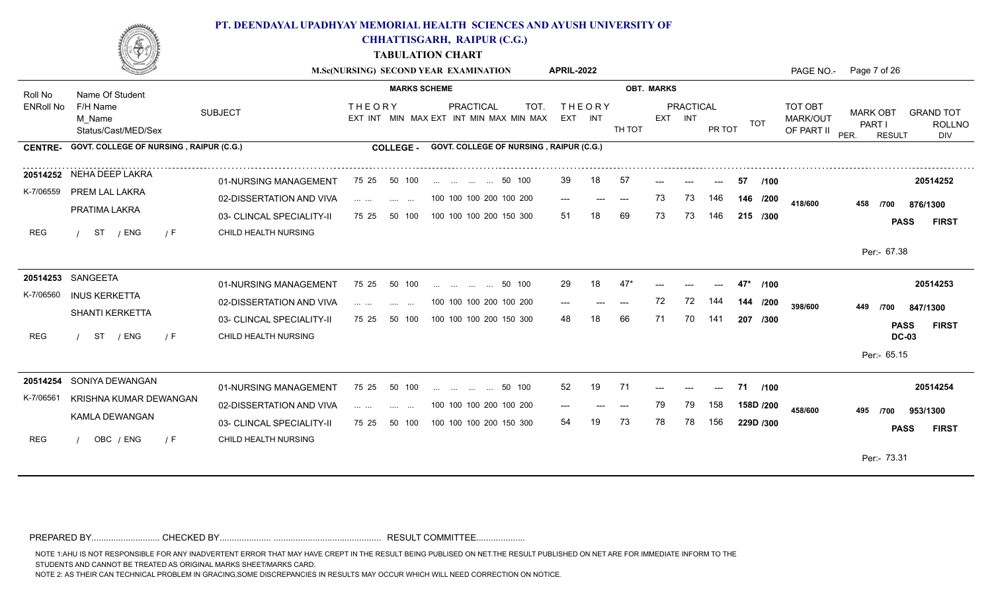

**CHHATTISGARH, RAIPUR (C.G.)**

**TABULATION CHART**

|                  |                                           |                           |                                                                                  | M.Sc(NURSING) SECOND YEAR EXAMINATION                        | <b>APRIL-2022</b> |                           |        |                   |                      |                |             |                                          | PAGE NO.- Page 7 of 26                             |                                          |
|------------------|-------------------------------------------|---------------------------|----------------------------------------------------------------------------------|--------------------------------------------------------------|-------------------|---------------------------|--------|-------------------|----------------------|----------------|-------------|------------------------------------------|----------------------------------------------------|------------------------------------------|
| Roll No          | Name Of Student                           |                           | <b>MARKS SCHEME</b>                                                              |                                                              |                   |                           |        | <b>OBT. MARKS</b> |                      |                |             |                                          |                                                    |                                          |
| <b>ENRoll No</b> | F/H Name<br>M Name<br>Status/Cast/MED/Sex | <b>SUBJECT</b>            | <b>THEORY</b>                                                                    | PRACTICAL<br>TOT.<br>EXT INT MIN MAX EXT INT MIN MAX MIN MAX | EXT INT           | <b>THEORY</b>             | TH TOT |                   | PRACTICAL<br>EXT INT | PR TOT         | TOT         | TOT OBT<br><b>MARK/OUT</b><br>OF PART II | <b>MARK OBT</b><br>PART I<br>PER.<br><b>RESULT</b> | <b>GRAND TOT</b><br><b>ROLLNO</b><br>DIV |
| <b>CENTRE-</b>   | GOVT. COLLEGE OF NURSING, RAIPUR (C.G.)   |                           | <b>COLLEGE -</b>                                                                 | GOVT. COLLEGE OF NURSING, RAIPUR (C.G.)                      |                   |                           |        |                   |                      |                |             |                                          |                                                    |                                          |
|                  | 20514252 NEHA DEEP LAKRA                  | 01-NURSING MANAGEMENT     | 50 100<br>75 25                                                                  | 50 100                                                       | 39                | 18                        | 57     |                   |                      |                | 57<br>/100  |                                          |                                                    | 20514252                                 |
| K-7/06559        | PREM LAL LAKRA                            | 02-DISSERTATION AND VIVA  | $\mathbf{1}$ . The set of $\mathbf{1}$<br>and the same state.                    | 100 100 100 200 100 200                                      | $---$             | $\qquad \qquad -\qquad -$ | ----   | 73                | 73                   | 146            | 146 /200    | 418/600                                  | 458<br>/700                                        | 876/1300                                 |
|                  | PRATIMA LAKRA                             | 03- CLINCAL SPECIALITY-II | 75 25<br>50 100                                                                  | 100 100 100 200 150 300                                      | 51                |                           | 69     | 73                | 73                   | 146            | 215 /300    |                                          |                                                    | <b>PASS</b><br><b>FIRST</b>              |
| REG              | / ENG<br>ST<br>7 F                        | CHILD HEALTH NURSING      |                                                                                  |                                                              |                   |                           |        |                   |                      |                |             |                                          |                                                    |                                          |
|                  |                                           |                           |                                                                                  |                                                              |                   |                           |        |                   |                      |                |             |                                          | Per:- 67.38                                        |                                          |
|                  | 20514253 SANGEETA                         | 01-NURSING MANAGEMENT     | 75 25<br>50 100                                                                  | 50 100<br>and the same complete                              | 29                | 18                        | 47     |                   |                      | $---$          | 47*<br>/100 |                                          |                                                    | 20514253                                 |
| K-7/06560        | <b>INUS KERKETTA</b>                      | 02-DISSERTATION AND VIVA  | $\cdots$ $\cdots$<br><b>Sales Contract</b>                                       | 100 100 100 200 100 200                                      | $---$             |                           |        | 72                | 72                   | 144            | 144 /200    | 398/600                                  | 449<br>/700                                        | 847/1300                                 |
|                  | SHANTI KERKETTA                           | 03- CLINCAL SPECIALITY-II | 50 100<br>75 25                                                                  | 100 100 100 200 150 300                                      | 48                |                           | 66     | 71                | 70                   | 141            | 207 /300    |                                          |                                                    | <b>PASS</b><br><b>FIRST</b>              |
| REG              | ST<br>/ ENG<br>/ F                        | CHILD HEALTH NURSING      |                                                                                  |                                                              |                   |                           |        |                   |                      |                |             |                                          |                                                    | <b>DC-03</b>                             |
|                  |                                           |                           |                                                                                  |                                                              |                   |                           |        |                   |                      |                |             |                                          | Per:- 65.15                                        |                                          |
| 20514254         | SONIYA DEWANGAN                           | 01-NURSING MANAGEMENT     | 50 100<br>75 25                                                                  | 50 100                                                       | 52                | 19                        | 71     |                   | ---                  | $\overline{a}$ | 71 /100     |                                          |                                                    | 20514254                                 |
| K-7/06561        | KRISHNA KUMAR DEWANGAN                    | 02-DISSERTATION AND VIVA  | $\mathbf{1}$ . The set of $\mathbf{1}$<br><b>Service</b><br>$\sim$ $\sim$ $\sim$ | 100 100 100 200 100 200                                      | $---$             |                           |        | 79                | 79                   | 158            | 158D /200   | 458/600                                  | 495<br>/700                                        | 953/1300                                 |
|                  | KAMLA DEWANGAN                            | 03- CLINCAL SPECIALITY-II | 75 25<br>50 100                                                                  | 100 100 100 200 150 300                                      | 54                |                           | 73     | 78                | 78                   | 156            | 229D /300   |                                          |                                                    | <b>PASS</b><br><b>FIRST</b>              |
| <b>REG</b>       | OBC / ENG<br>7 F                          | CHILD HEALTH NURSING      |                                                                                  |                                                              |                   |                           |        |                   |                      |                |             |                                          |                                                    |                                          |
|                  |                                           |                           |                                                                                  |                                                              |                   |                           |        |                   |                      |                |             |                                          | Per:- 73.31                                        |                                          |
|                  |                                           |                           |                                                                                  |                                                              |                   |                           |        |                   |                      |                |             |                                          |                                                    |                                          |

PREPARED BY............................ CHECKED BY..................... ............................................ RESULT COMMITTEE....................

NOTE 1:AHU IS NOT RESPONSIBLE FOR ANY INADVERTENT ERROR THAT MAY HAVE CREPT IN THE RESULT BEING PUBLISED ON NET.THE RESULT PUBLISHED ON NET ARE FOR IMMEDIATE INFORM TO THE

STUDENTS AND CANNOT BE TREATED AS ORIGINAL MARKS SHEET/MARKS CARD.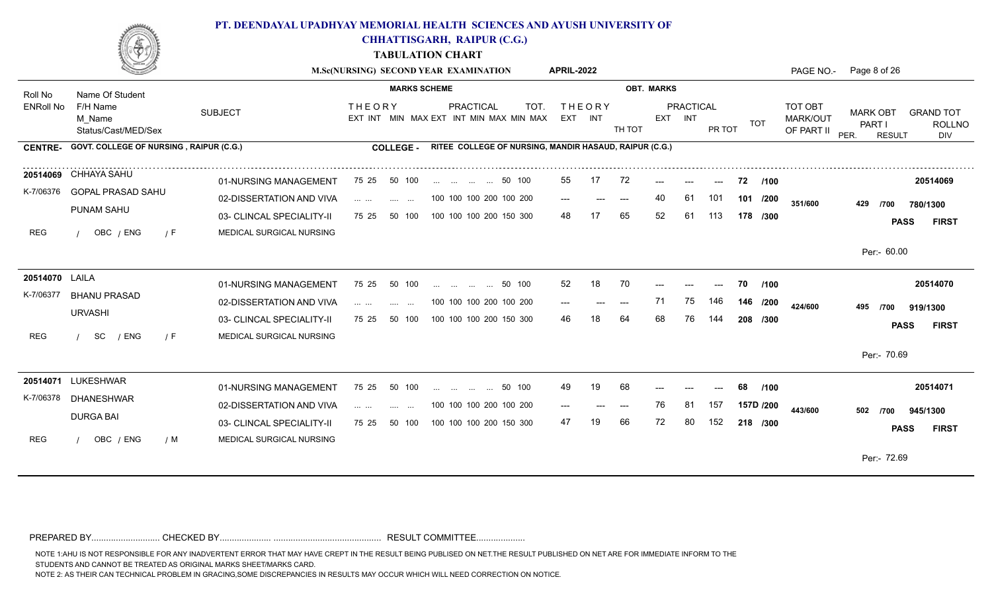

**CHHATTISGARH, RAIPUR (C.G.)**

**TABULATION CHART**

|                             |                                           |                                                       |                                                                                                                                                                                                                                                                                                                                                                                                                                                                                                            | M.Sc(NURSING) SECOND YEAR EXAMINATION                        | <b>APRIL-2022</b>        |    |                   |          |           |            |                        |                                   | PAGE NO.- Page 8 of 26                             |                                          |
|-----------------------------|-------------------------------------------|-------------------------------------------------------|------------------------------------------------------------------------------------------------------------------------------------------------------------------------------------------------------------------------------------------------------------------------------------------------------------------------------------------------------------------------------------------------------------------------------------------------------------------------------------------------------------|--------------------------------------------------------------|--------------------------|----|-------------------|----------|-----------|------------|------------------------|-----------------------------------|----------------------------------------------------|------------------------------------------|
| Roll No                     | Name Of Student                           |                                                       | <b>MARKS SCHEME</b>                                                                                                                                                                                                                                                                                                                                                                                                                                                                                        |                                                              |                          |    | <b>OBT. MARKS</b> |          |           |            |                        |                                   |                                                    |                                          |
| <b>ENRoll No</b>            | F/H Name<br>M Name<br>Status/Cast/MED/Sex | <b>SUBJECT</b>                                        | <b>THEORY</b>                                                                                                                                                                                                                                                                                                                                                                                                                                                                                              | PRACTICAL<br>TOT.<br>EXT INT MIN MAX EXT INT MIN MAX MIN MAX | <b>THEORY</b><br>EXT INT |    | TH TOT            | EXT INT  | PRACTICAL | PR TOT     | <b>TOT</b>             | TOT OBT<br>MARK/OUT<br>OF PART II | <b>MARK OBT</b><br>PART I<br>PER.<br><b>RESULT</b> | <b>GRAND TOT</b><br><b>ROLLNO</b><br>DIV |
| <b>CENTRE-</b>              | GOVT. COLLEGE OF NURSING, RAIPUR (C.G.)   |                                                       | <b>COLLEGE -</b>                                                                                                                                                                                                                                                                                                                                                                                                                                                                                           | RITEE COLLEGE OF NURSING, MANDIR HASAUD, RAIPUR (C.G.)       |                          |    |                   |          |           |            |                        |                                   |                                                    |                                          |
| K-7/06376                   | 20514069 CHHAYA SAHU<br>GOPAL PRASAD SAHU | 01-NURSING MANAGEMENT<br>02-DISSERTATION AND VIVA     | 75 25<br>50 100<br>$\mathcal{L}(\mathcal{L}(\mathcal{L}(\mathcal{L}(\mathcal{L}(\mathcal{L}(\mathcal{L}(\mathcal{L}(\mathcal{L}(\mathcal{L}(\mathcal{L}(\mathcal{L}(\mathcal{L}(\mathcal{L}(\mathcal{L}(\mathcal{L}(\mathcal{L}(\mathcal{L}(\mathcal{L}(\mathcal{L}(\mathcal{L}(\mathcal{L}(\mathcal{L}(\mathcal{L}(\mathcal{L}(\mathcal{L}(\mathcal{L}(\mathcal{L}(\mathcal{L}(\mathcal{L}(\mathcal{L}(\mathcal{L}(\mathcal{L}(\mathcal{L}(\mathcal{L}(\mathcal{L}(\mathcal{$<br><b>Contract Contract</b> | 50 100<br>100 100 100 200 100 200                            | 55<br>$---$              | 17 | 72<br>$---$       | ---      | ---<br>61 | ---<br>101 | 72<br>/100<br>101 /200 |                                   |                                                    | 20514069                                 |
| <b>REG</b>                  | PUNAM SAHU<br>OBC / ENG<br>$\sqrt{F}$     | 03- CLINCAL SPECIALITY-II<br>MEDICAL SURGICAL NURSING | 75 25<br>50 100                                                                                                                                                                                                                                                                                                                                                                                                                                                                                            | 100 100 100 200 150 300                                      | 48                       |    | 65                | 52       | 61        | 113        | 178 /300               | 351/600                           | 429<br>/700                                        | 780/1300<br><b>PASS</b><br><b>FIRST</b>  |
|                             |                                           |                                                       |                                                                                                                                                                                                                                                                                                                                                                                                                                                                                                            |                                                              |                          |    |                   |          |           |            |                        |                                   | Per:- 60.00                                        |                                          |
| 20514070 LAILA<br>K-7/06377 | <b>BHANU PRASAD</b>                       | 01-NURSING MANAGEMENT                                 | 75 25<br>50 100                                                                                                                                                                                                                                                                                                                                                                                                                                                                                            | 50 100<br>and the same company of the same                   | 52                       | 18 | 70                |          |           | ---        | /100<br>70             |                                   |                                                    | 20514070                                 |
|                             | <b>URVASHI</b>                            | 02-DISSERTATION AND VIVA<br>03- CLINCAL SPECIALITY-II | .<br><b>Service</b><br>$\sim$ $\sim$<br>50 100<br>75 25                                                                                                                                                                                                                                                                                                                                                                                                                                                    | 100 100 100 200 100 200<br>100 100 100 200 150 300           | 46.                      |    | $---$<br>64       | 71<br>68 | 75        | 146<br>144 | 146 /200<br>208 /300   | 424/600                           | 495<br>/700                                        | 919/1300<br><b>FIRST</b><br><b>PASS</b>  |
| <b>REG</b>                  | SC<br>/ ENG<br>$\sqrt{F}$                 | MEDICAL SURGICAL NURSING                              |                                                                                                                                                                                                                                                                                                                                                                                                                                                                                                            |                                                              |                          |    |                   |          |           |            |                        |                                   | Per:- 70.69                                        |                                          |
|                             | 20514071 LUKESHWAR                        | 01-NURSING MANAGEMENT                                 | 75 25<br>50 100                                                                                                                                                                                                                                                                                                                                                                                                                                                                                            | 50 100                                                       | 49                       | 19 | 68                |          |           | ---        | 68<br>/100             |                                   |                                                    | 20514071                                 |
| K-7/06378                   | <b>DHANESHWAR</b><br><b>DURGA BAI</b>     | 02-DISSERTATION AND VIVA<br>03- CLINCAL SPECIALITY-II | $\mathcal{L}_{\mathcal{A}}$ , $\mathcal{L}_{\mathcal{A}}$ , $\mathcal{L}_{\mathcal{A}}$ ,<br><b>Service</b><br>$\sim$ $\sim$<br>75 25<br>50 100                                                                                                                                                                                                                                                                                                                                                            | 100 100 100 200 100 200<br>100 100 100 200 150 300           | $---$<br>47              |    | 66                | 76<br>72 | 81<br>80  | 157<br>152 | 157D /200<br>218 /300  | 443/600                           | 502<br>/700                                        | 945/1300                                 |
| <b>REG</b>                  | OBC / ENG<br>/ M                          | MEDICAL SURGICAL NURSING                              |                                                                                                                                                                                                                                                                                                                                                                                                                                                                                                            |                                                              |                          |    |                   |          |           |            |                        |                                   |                                                    | <b>PASS</b><br><b>FIRST</b>              |
|                             |                                           |                                                       |                                                                                                                                                                                                                                                                                                                                                                                                                                                                                                            |                                                              |                          |    |                   |          |           |            |                        |                                   | Per:- 72.69                                        |                                          |

PREPARED BY............................ CHECKED BY..................... ............................................ RESULT COMMITTEE....................

NOTE 1:AHU IS NOT RESPONSIBLE FOR ANY INADVERTENT ERROR THAT MAY HAVE CREPT IN THE RESULT BEING PUBLISED ON NET.THE RESULT PUBLISHED ON NET ARE FOR IMMEDIATE INFORM TO THE

STUDENTS AND CANNOT BE TREATED AS ORIGINAL MARKS SHEET/MARKS CARD.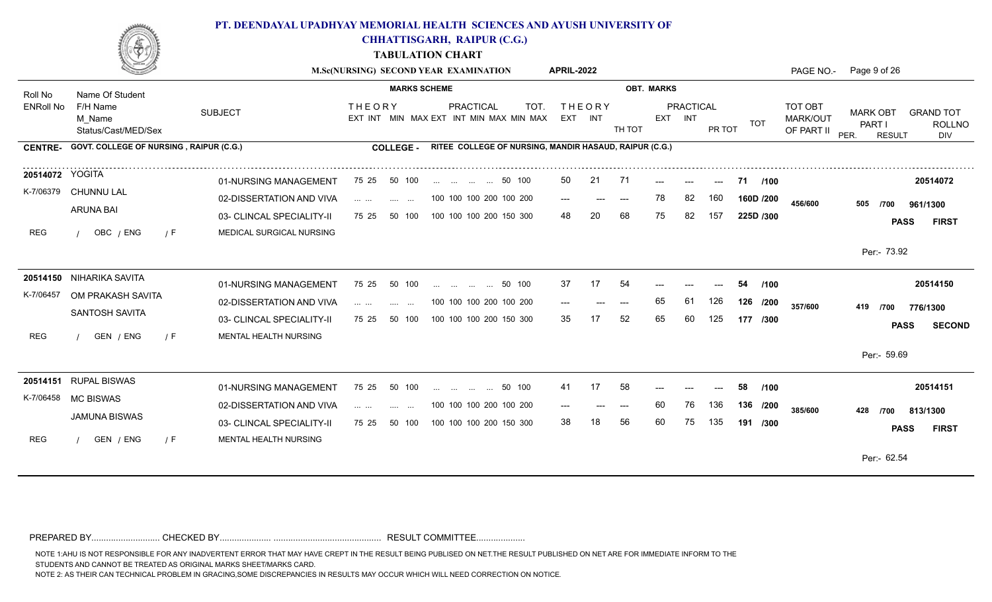

**CHHATTISGARH, RAIPUR (C.G.)**

**TABULATION CHART**

|                  |                                               |                                                       |                                                                                                                                                                                                                                                                                                                                                                                                                                                                      |                                    | M.Sc(NURSING) SECOND YEAR EXAMINATION                  |        | <b>APRIL-2022</b> |                          |             |                   |                      |                            |                      |                                   | PAGE NO.- Page 9 of 26            |               |                                          |
|------------------|-----------------------------------------------|-------------------------------------------------------|----------------------------------------------------------------------------------------------------------------------------------------------------------------------------------------------------------------------------------------------------------------------------------------------------------------------------------------------------------------------------------------------------------------------------------------------------------------------|------------------------------------|--------------------------------------------------------|--------|-------------------|--------------------------|-------------|-------------------|----------------------|----------------------------|----------------------|-----------------------------------|-----------------------------------|---------------|------------------------------------------|
| Roll No          | Name Of Student                               |                                                       |                                                                                                                                                                                                                                                                                                                                                                                                                                                                      | <b>MARKS SCHEME</b>                |                                                        |        |                   |                          |             | <b>OBT. MARKS</b> |                      |                            |                      |                                   |                                   |               |                                          |
| <b>ENRoll No</b> | F/H Name<br>M Name<br>Status/Cast/MED/Sex     | <b>SUBJECT</b>                                        | <b>THEORY</b>                                                                                                                                                                                                                                                                                                                                                                                                                                                        |                                    | PRACTICAL<br>EXT INT MIN MAX EXT INT MIN MAX MIN MAX   | TOT.   |                   | <b>THEORY</b><br>EXT INT | TH TOT      |                   | PRACTICAL<br>EXT INT | PR TOT                     | <b>TOT</b>           | TOT OBT<br>MARK/OUT<br>OF PART II | <b>MARK OBT</b><br>PART I<br>PER. | <b>RESULT</b> | <b>GRAND TOT</b><br><b>ROLLNO</b><br>DIV |
| <b>CENTRE-</b>   | GOVT. COLLEGE OF NURSING, RAIPUR (C.G.)       |                                                       | <b>COLLEGE -</b>                                                                                                                                                                                                                                                                                                                                                                                                                                                     |                                    | RITEE COLLEGE OF NURSING, MANDIR HASAUD, RAIPUR (C.G.) |        |                   |                          |             |                   |                      |                            |                      |                                   |                                   |               |                                          |
| 20514072 YOGITA  | K-7/06379 CHUNNU LAL                          | 01-NURSING MANAGEMENT<br>02-DISSERTATION AND VIVA     | 75 25                                                                                                                                                                                                                                                                                                                                                                                                                                                                | 50 100                             | 50 100<br>100 100 100 200 100 200                      |        | 50                | 21                       | -71         | ---<br>78         | $---$<br>82          | $\qquad \qquad - -$<br>160 | 71 /100<br>160D /200 |                                   |                                   |               | 20514072                                 |
| <b>REG</b>       | <b>ARUNA BAI</b><br>OBC / ENG<br>$\sqrt{F}$   | 03- CLINCAL SPECIALITY-II<br>MEDICAL SURGICAL NURSING | $\mathcal{L}(\mathcal{L}(\mathcal{L}(\mathcal{L}(\mathcal{L}(\mathcal{L}(\mathcal{L}(\mathcal{L}(\mathcal{L}(\mathcal{L}(\mathcal{L}(\mathcal{L}(\mathcal{L}(\mathcal{L}(\mathcal{L}(\mathcal{L}(\mathcal{L}(\mathcal{L}(\mathcal{L}(\mathcal{L}(\mathcal{L}(\mathcal{L}(\mathcal{L}(\mathcal{L}(\mathcal{L}(\mathcal{L}(\mathcal{L}(\mathcal{L}(\mathcal{L}(\mathcal{L}(\mathcal{L}(\mathcal{L}(\mathcal{L}(\mathcal{L}(\mathcal{L}(\mathcal{L}(\mathcal{$<br>75 25 | <b>Contract Contract</b><br>50 100 | 100 100 100 200 150 300                                |        | $---$<br>48       | $---$<br>20              | $---$<br>68 | 75                | 82                   | 157                        | 225D /300            | 456/600                           | 505<br>/700                       | <b>PASS</b>   | 961/1300<br><b>FIRST</b>                 |
|                  |                                               |                                                       |                                                                                                                                                                                                                                                                                                                                                                                                                                                                      |                                    |                                                        |        |                   |                          |             |                   |                      |                            |                      |                                   | Per: 73.92                        |               |                                          |
| K-7/06457        | 20514150 NIHARIKA SAVITA<br>OM PRAKASH SAVITA | 01-NURSING MANAGEMENT                                 | 75 25                                                                                                                                                                                                                                                                                                                                                                                                                                                                | 50 100                             | and the same of the same                               | 50 100 | 37                | 17                       | 54          |                   |                      |                            | /100<br>54           |                                   |                                   |               | 20514150                                 |
|                  | SANTOSH SAVITA                                | 02-DISSERTATION AND VIVA<br>03- CLINCAL SPECIALITY-II | $\mathbf{1}$ and $\mathbf{1}$ and $\mathbf{1}$<br>75 25                                                                                                                                                                                                                                                                                                                                                                                                              | <b>Service</b> State<br>50 100     | 100 100 100 200 100 200<br>100 100 100 200 150 300     |        | $---$<br>35       | $---$<br>17              | $---$<br>52 | 65<br>65          | 61<br>60             | 126<br>125                 | 126 /200<br>177 /300 | 357/600                           | 419<br>/700                       | <b>PASS</b>   | 776/1300<br><b>SECOND</b>                |
| <b>REG</b>       | GEN / ENG<br>$\sqrt{F}$                       | MENTAL HEALTH NURSING                                 |                                                                                                                                                                                                                                                                                                                                                                                                                                                                      |                                    |                                                        |        |                   |                          |             |                   |                      |                            |                      |                                   | Per:- 59.69                       |               |                                          |
| K-7/06458        | 20514151 RUPAL BISWAS<br><b>MC BISWAS</b>     | 01-NURSING MANAGEMENT                                 | 75 25                                                                                                                                                                                                                                                                                                                                                                                                                                                                | 50 100                             | 50 100                                                 |        | 41                | 17                       | -58         |                   |                      | ---                        | 58<br>/100           |                                   |                                   |               | 20514151                                 |
|                  | <b>JAMUNA BISWAS</b>                          | 02-DISSERTATION AND VIVA<br>03- CLINCAL SPECIALITY-II | $\mathbf{1}$ and $\mathbf{1}$ and $\mathbf{1}$<br><b>Service</b><br>75 25                                                                                                                                                                                                                                                                                                                                                                                            | $\sim$ $\sim$ $\sim$<br>50 100     | 100 100 100 200 100 200<br>100 100 100 200 150 300     |        | $---$<br>38       |                          | $---$<br>56 | 60<br>60          | 76<br>75             | 136<br>135                 | 136 /200<br>191 /300 | 385/600                           | 428<br>/700                       | <b>PASS</b>   | 813/1300<br><b>FIRST</b>                 |
| <b>REG</b>       | GEN / ENG<br>/ F                              | MENTAL HEALTH NURSING                                 |                                                                                                                                                                                                                                                                                                                                                                                                                                                                      |                                    |                                                        |        |                   |                          |             |                   |                      |                            |                      |                                   | Per:- 62.54                       |               |                                          |
|                  |                                               |                                                       |                                                                                                                                                                                                                                                                                                                                                                                                                                                                      |                                    |                                                        |        |                   |                          |             |                   |                      |                            |                      |                                   |                                   |               |                                          |

PREPARED BY............................ CHECKED BY..................... ............................................ RESULT COMMITTEE....................

NOTE 1:AHU IS NOT RESPONSIBLE FOR ANY INADVERTENT ERROR THAT MAY HAVE CREPT IN THE RESULT BEING PUBLISED ON NET.THE RESULT PUBLISHED ON NET ARE FOR IMMEDIATE INFORM TO THE

STUDENTS AND CANNOT BE TREATED AS ORIGINAL MARKS SHEET/MARKS CARD.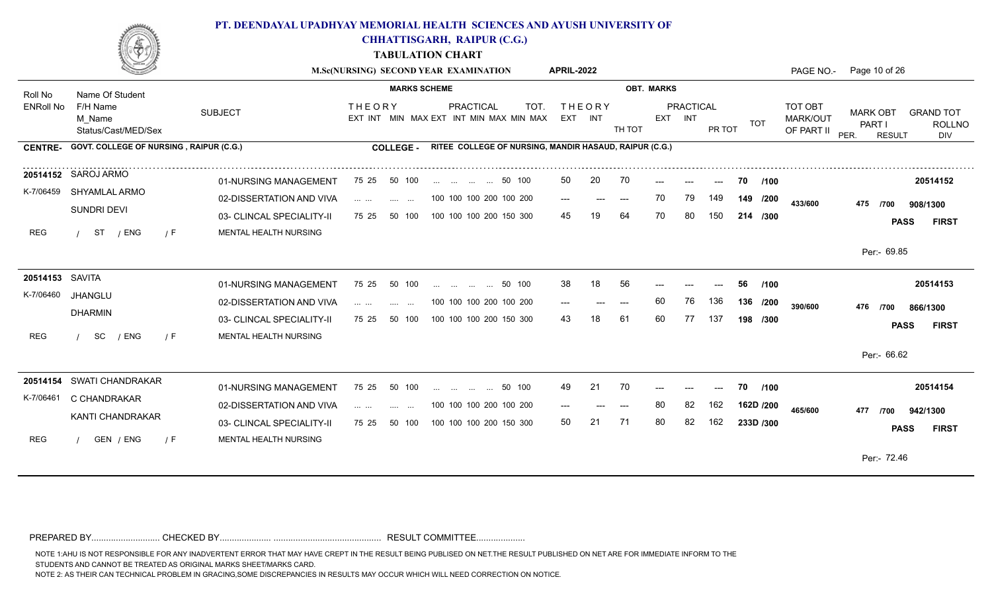

**CHHATTISGARH, RAIPUR (C.G.)**

**TABULATION CHART**

|                  |                                                |                           | M.Sc(NURSING) SECOND YEAR EXAMINATION                                                                                                                                                                                                                                                                                                                                                                                                                                                                                   |                     |                         |                                                        | <b>APRIL-2022</b> |               |        |                   |                      |        |            |                                   | PAGE NO.- Page 10 of 26           |                                                           |
|------------------|------------------------------------------------|---------------------------|-------------------------------------------------------------------------------------------------------------------------------------------------------------------------------------------------------------------------------------------------------------------------------------------------------------------------------------------------------------------------------------------------------------------------------------------------------------------------------------------------------------------------|---------------------|-------------------------|--------------------------------------------------------|-------------------|---------------|--------|-------------------|----------------------|--------|------------|-----------------------------------|-----------------------------------|-----------------------------------------------------------|
| Roll No          | Name Of Student                                |                           |                                                                                                                                                                                                                                                                                                                                                                                                                                                                                                                         | <b>MARKS SCHEME</b> |                         |                                                        |                   |               |        | <b>OBT. MARKS</b> |                      |        |            |                                   |                                   |                                                           |
| <b>ENRoll No</b> | F/H Name<br>M Name<br>Status/Cast/MED/Sex      | <b>SUBJECT</b>            | <b>THEORY</b><br>EXT INT MIN MAX EXT INT MIN MAX MIN MAX                                                                                                                                                                                                                                                                                                                                                                                                                                                                |                     | <b>PRACTICAL</b>        | TOT.                                                   | EXT INT           | <b>THEORY</b> | TH TOT |                   | PRACTICAL<br>EXT INT | PR TOT | <b>TOT</b> | TOT OBT<br>MARK/OUT<br>OF PART II | <b>MARK OBT</b><br>PART I<br>PER. | <b>GRAND TOT</b><br><b>ROLLNO</b><br><b>RESULT</b><br>DIV |
| <b>CENTRE-</b>   | <b>GOVT. COLLEGE OF NURSING, RAIPUR (C.G.)</b> |                           | <b>COLLEGE -</b>                                                                                                                                                                                                                                                                                                                                                                                                                                                                                                        |                     |                         | RITEE COLLEGE OF NURSING, MANDIR HASAUD, RAIPUR (C.G.) |                   |               |        |                   |                      |        |            |                                   |                                   |                                                           |
|                  | 20514152 SAROJ ARMO                            | 01-NURSING MANAGEMENT     | 75 25<br>50 100                                                                                                                                                                                                                                                                                                                                                                                                                                                                                                         |                     | 50 100                  |                                                        | 50                | 20            | 70     | ---               | ---                  | $---$  | 70<br>/100 |                                   |                                   | 20514152                                                  |
| K-7/06459        | SHYAMLAL ARMO                                  | 02-DISSERTATION AND VIVA  | $\mathbf{r}$ and $\mathbf{r}$ and $\mathbf{r}$<br><b>Contract Contract</b>                                                                                                                                                                                                                                                                                                                                                                                                                                              |                     | 100 100 100 200 100 200 |                                                        | $---$             |               | $---$  | 70                | 79                   | 149    | 149 /200   | 433/600                           | 475<br>/700                       | 908/1300                                                  |
|                  | SUNDRI DEVI                                    | 03- CLINCAL SPECIALITY-II | 75 25<br>50 100                                                                                                                                                                                                                                                                                                                                                                                                                                                                                                         |                     | 100 100 100 200 150 300 |                                                        | 45                |               | 64     |                   | 80                   | 150    | 214 /300   |                                   |                                   | <b>FIRST</b><br><b>PASS</b>                               |
| REG              | ST<br>/ ENG<br>/ F                             | MENTAL HEALTH NURSING     |                                                                                                                                                                                                                                                                                                                                                                                                                                                                                                                         |                     |                         |                                                        |                   |               |        |                   |                      |        |            |                                   |                                   |                                                           |
|                  |                                                |                           |                                                                                                                                                                                                                                                                                                                                                                                                                                                                                                                         |                     |                         |                                                        |                   |               |        |                   |                      |        |            |                                   | Per:- 69.85                       |                                                           |
| 20514153 SAVITA  |                                                | 01-NURSING MANAGEMENT     | 50 100<br>75 25                                                                                                                                                                                                                                                                                                                                                                                                                                                                                                         |                     | 50 100                  |                                                        | 38                | 18            | 56     |                   |                      |        | 56<br>/100 |                                   |                                   | 20514153                                                  |
| K-7/06460        | <b>JHANGLU</b>                                 | 02-DISSERTATION AND VIVA  |                                                                                                                                                                                                                                                                                                                                                                                                                                                                                                                         |                     | 100 100 100 200 100 200 |                                                        |                   |               |        | 60                | 76                   | 136    | 136 /200   | 390/600                           | 476<br>/700                       | 866/1300                                                  |
|                  | <b>DHARMIN</b>                                 | 03- CLINCAL SPECIALITY-II | 50 100<br>75 25                                                                                                                                                                                                                                                                                                                                                                                                                                                                                                         |                     | 100 100 100 200 150 300 |                                                        | 43                |               | -61    | 60                | 77                   | 137    | 198 /300   |                                   |                                   | <b>PASS</b><br><b>FIRST</b>                               |
| REG              | SC<br>/ ENG<br>/ F                             | MENTAL HEALTH NURSING     |                                                                                                                                                                                                                                                                                                                                                                                                                                                                                                                         |                     |                         |                                                        |                   |               |        |                   |                      |        |            |                                   |                                   |                                                           |
|                  |                                                |                           |                                                                                                                                                                                                                                                                                                                                                                                                                                                                                                                         |                     |                         |                                                        |                   |               |        |                   |                      |        |            |                                   | Per:- 66.62                       |                                                           |
|                  | 20514154 SWATI CHANDRAKAR                      | 01-NURSING MANAGEMENT     | 75 25<br>50 100                                                                                                                                                                                                                                                                                                                                                                                                                                                                                                         |                     | 50 100                  |                                                        | 49                | 21            | 70     |                   |                      | $---$  | /100<br>70 |                                   |                                   | 20514154                                                  |
| K-7/06461        | C CHANDRAKAR                                   | 02-DISSERTATION AND VIVA  | $\mathbf{1} \cdot \mathbf{1} \cdot \mathbf{1} \cdot \mathbf{1} \cdot \mathbf{1} \cdot \mathbf{1} \cdot \mathbf{1} \cdot \mathbf{1} \cdot \mathbf{1} \cdot \mathbf{1} \cdot \mathbf{1} \cdot \mathbf{1} \cdot \mathbf{1} \cdot \mathbf{1} \cdot \mathbf{1} \cdot \mathbf{1} \cdot \mathbf{1} \cdot \mathbf{1} \cdot \mathbf{1} \cdot \mathbf{1} \cdot \mathbf{1} \cdot \mathbf{1} \cdot \mathbf{1} \cdot \mathbf{1} \cdot \mathbf{1} \cdot \mathbf{1} \cdot \mathbf{1} \cdot \mathbf{$<br>$\sim 100$<br>$\sim$ 100 $\mu$ |                     | 100 100 100 200 100 200 |                                                        |                   |               | ---    | 80                | 82                   | 162    | 162D /200  | 465/600                           | 477<br>/700                       | 942/1300                                                  |
|                  | KANTI CHANDRAKAR                               | 03- CLINCAL SPECIALITY-II | 75 25<br>50 100                                                                                                                                                                                                                                                                                                                                                                                                                                                                                                         |                     | 100 100 100 200 150 300 |                                                        | 50                | 21            | 71     | 80                | 82                   | 162    | 233D /300  |                                   |                                   | <b>PASS</b><br><b>FIRST</b>                               |
| REG              | GEN / ENG<br>/ F                               | MENTAL HEALTH NURSING     |                                                                                                                                                                                                                                                                                                                                                                                                                                                                                                                         |                     |                         |                                                        |                   |               |        |                   |                      |        |            |                                   |                                   |                                                           |
|                  |                                                |                           |                                                                                                                                                                                                                                                                                                                                                                                                                                                                                                                         |                     |                         |                                                        |                   |               |        |                   |                      |        |            |                                   | Per:- 72.46                       |                                                           |
|                  |                                                |                           |                                                                                                                                                                                                                                                                                                                                                                                                                                                                                                                         |                     |                         |                                                        |                   |               |        |                   |                      |        |            |                                   |                                   |                                                           |

PREPARED BY............................ CHECKED BY..................... ............................................ RESULT COMMITTEE....................

NOTE 1:AHU IS NOT RESPONSIBLE FOR ANY INADVERTENT ERROR THAT MAY HAVE CREPT IN THE RESULT BEING PUBLISED ON NET.THE RESULT PUBLISHED ON NET ARE FOR IMMEDIATE INFORM TO THE

STUDENTS AND CANNOT BE TREATED AS ORIGINAL MARKS SHEET/MARKS CARD.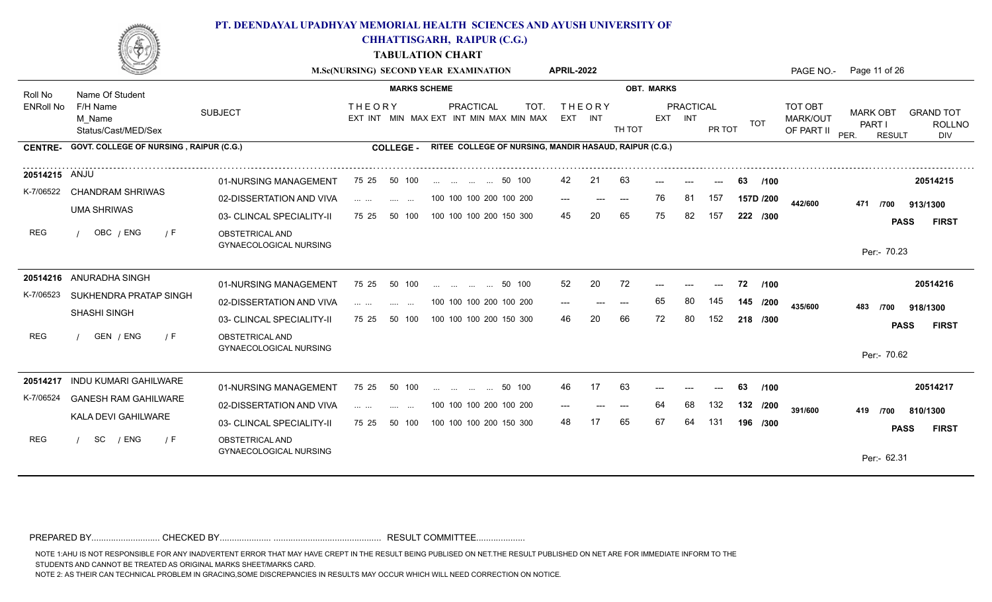

**CHHATTISGARH, RAIPUR (C.G.)**

**TABULATION CHART**

|                  |                                                |                                                  | M.Sc(NURSING) SECOND YEAR EXAMINATION                                                                                                                                                                                                                                                                                                                                                                                                                                                                 |                     |                         |                                                        | <b>APRIL-2022</b> |                          |        |                   |                             |        |            |                                   | PAGE NO.- Page 11 of 26                            |                                          |
|------------------|------------------------------------------------|--------------------------------------------------|-------------------------------------------------------------------------------------------------------------------------------------------------------------------------------------------------------------------------------------------------------------------------------------------------------------------------------------------------------------------------------------------------------------------------------------------------------------------------------------------------------|---------------------|-------------------------|--------------------------------------------------------|-------------------|--------------------------|--------|-------------------|-----------------------------|--------|------------|-----------------------------------|----------------------------------------------------|------------------------------------------|
| Roll No          | Name Of Student                                |                                                  |                                                                                                                                                                                                                                                                                                                                                                                                                                                                                                       | <b>MARKS SCHEME</b> |                         |                                                        |                   |                          |        | <b>OBT. MARKS</b> |                             |        |            |                                   |                                                    |                                          |
| <b>ENRoll No</b> | F/H Name<br>M Name<br>Status/Cast/MED/Sex      | <b>SUBJECT</b>                                   | <b>THEORY</b><br>EXT INT MIN MAX EXT INT MIN MAX MIN MAX                                                                                                                                                                                                                                                                                                                                                                                                                                              |                     | PRACTICAL               | TOT.                                                   |                   | <b>THEORY</b><br>EXT INT | TH TOT |                   | <b>PRACTICAL</b><br>EXT INT | PR TOT | TOT        | TOT OBT<br>MARK/OUT<br>OF PART II | <b>MARK OBT</b><br>PART I<br>PER.<br><b>RESULT</b> | <b>GRAND TOT</b><br><b>ROLLNO</b><br>DIV |
| <b>CENTRE-</b>   | <b>GOVT. COLLEGE OF NURSING, RAIPUR (C.G.)</b> |                                                  | <b>COLLEGE -</b>                                                                                                                                                                                                                                                                                                                                                                                                                                                                                      |                     |                         | RITEE COLLEGE OF NURSING, MANDIR HASAUD, RAIPUR (C.G.) |                   |                          |        |                   |                             |        |            |                                   |                                                    |                                          |
| 20514215 ANJU    |                                                | 01-NURSING MANAGEMENT                            | 75 25<br>50 100                                                                                                                                                                                                                                                                                                                                                                                                                                                                                       |                     | 50 100                  |                                                        | 42                | 21                       | 63     |                   |                             |        | 63<br>/100 |                                   |                                                    | 20514215                                 |
| K-7/06522        | <b>CHANDRAM SHRIWAS</b>                        | 02-DISSERTATION AND VIVA                         | and the same                                                                                                                                                                                                                                                                                                                                                                                                                                                                                          |                     | 100 100 100 200 100 200 |                                                        | $---$             | $---$                    | $---$  | 76                | 81                          | 157    | 157D /200  | 442/600                           | 471<br>/700                                        | 913/1300                                 |
|                  | <b>UMA SHRIWAS</b>                             | 03- CLINCAL SPECIALITY-II                        | 75 25<br>50 100                                                                                                                                                                                                                                                                                                                                                                                                                                                                                       |                     | 100 100 100 200 150 300 |                                                        | 45                | 20                       | 65     |                   | 82                          | 157    | 222 /300   |                                   |                                                    | <b>FIRST</b><br><b>PASS</b>              |
| <b>REG</b>       | OBC / ENG<br>/ F                               | OBSTETRICAL AND<br>GYNAECOLOGICAL NURSING        |                                                                                                                                                                                                                                                                                                                                                                                                                                                                                                       |                     |                         |                                                        |                   |                          |        |                   |                             |        |            |                                   | Per:- 70.23                                        |                                          |
|                  | 20514216 ANURADHA SINGH                        | 01-NURSING MANAGEMENT                            | 75 25<br>50 100                                                                                                                                                                                                                                                                                                                                                                                                                                                                                       |                     | 50 100                  |                                                        | 52                | 20                       | 72     |                   |                             |        | 72<br>/100 |                                   |                                                    | 20514216                                 |
| K-7/06523        | SUKHENDRA PRATAP SINGH                         | 02-DISSERTATION AND VIVA                         | $\cdots$<br><b>Service</b>                                                                                                                                                                                                                                                                                                                                                                                                                                                                            | $\sim$ $\sim$       | 100 100 100 200 100 200 |                                                        | $---$             | ---                      | $---$  | 65                | 80                          | 145    | 145 /200   | 435/600                           | 483<br>/700                                        | 918/1300                                 |
|                  | <b>SHASHI SINGH</b>                            | 03- CLINCAL SPECIALITY-II                        | 50 100<br>75 25                                                                                                                                                                                                                                                                                                                                                                                                                                                                                       |                     | 100 100 100 200 150 300 |                                                        | 46                |                          | 66     | 72                | 80                          | 152    | 218 /300   |                                   |                                                    | <b>PASS</b><br><b>FIRST</b>              |
| REG              | GEN / ENG<br>/ F                               | OBSTETRICAL AND<br><b>GYNAECOLOGICAL NURSING</b> |                                                                                                                                                                                                                                                                                                                                                                                                                                                                                                       |                     |                         |                                                        |                   |                          |        |                   |                             |        |            |                                   | Per:- 70.62                                        |                                          |
|                  | 20514217 INDU KUMARI GAHILWARE                 | 01-NURSING MANAGEMENT                            | 75 25<br>50 100                                                                                                                                                                                                                                                                                                                                                                                                                                                                                       |                     | 50 100                  |                                                        | 46                | 17                       | 63     |                   |                             |        | 63<br>/100 |                                   |                                                    | 20514217                                 |
| K-7/06524        | <b>GANESH RAM GAHILWARE</b>                    | 02-DISSERTATION AND VIVA                         | $\mathbf{1} \cdot \mathbf{1} \cdot \mathbf{1} \cdot \mathbf{1} \cdot \mathbf{1} \cdot \mathbf{1} \cdot \mathbf{1} \cdot \mathbf{1} \cdot \mathbf{1} \cdot \mathbf{1} \cdot \mathbf{1} \cdot \mathbf{1} \cdot \mathbf{1} \cdot \mathbf{1} \cdot \mathbf{1} \cdot \mathbf{1} \cdot \mathbf{1} \cdot \mathbf{1} \cdot \mathbf{1} \cdot \mathbf{1} \cdot \mathbf{1} \cdot \mathbf{1} \cdot \mathbf{1} \cdot \mathbf{1} \cdot \mathbf{1} \cdot \mathbf{1} \cdot \mathbf{1} \cdot \mathbf{$<br>and the same |                     | 100 100 100 200 100 200 |                                                        | ---               |                          | $---$  | 64                | 68                          | 132    | 132 /200   | 391/600                           | /700<br>419                                        | 810/1300                                 |
|                  | KALA DEVI GAHILWARE                            | 03- CLINCAL SPECIALITY-II                        | 75 25<br>50 100                                                                                                                                                                                                                                                                                                                                                                                                                                                                                       |                     | 100 100 100 200 150 300 |                                                        | 48                |                          | 65     | 67                | 64                          | 131    | 196 /300   |                                   |                                                    | <b>FIRST</b><br><b>PASS</b>              |
| REG              | / ENG<br>SC<br>/ F                             | OBSTETRICAL AND<br><b>GYNAECOLOGICAL NURSING</b> |                                                                                                                                                                                                                                                                                                                                                                                                                                                                                                       |                     |                         |                                                        |                   |                          |        |                   |                             |        |            |                                   | Per:- 62.31                                        |                                          |
|                  |                                                |                                                  |                                                                                                                                                                                                                                                                                                                                                                                                                                                                                                       |                     |                         |                                                        |                   |                          |        |                   |                             |        |            |                                   |                                                    |                                          |

PREPARED BY............................ CHECKED BY..................... ............................................ RESULT COMMITTEE....................

NOTE 1:AHU IS NOT RESPONSIBLE FOR ANY INADVERTENT ERROR THAT MAY HAVE CREPT IN THE RESULT BEING PUBLISED ON NET.THE RESULT PUBLISHED ON NET ARE FOR IMMEDIATE INFORM TO THE

STUDENTS AND CANNOT BE TREATED AS ORIGINAL MARKS SHEET/MARKS CARD.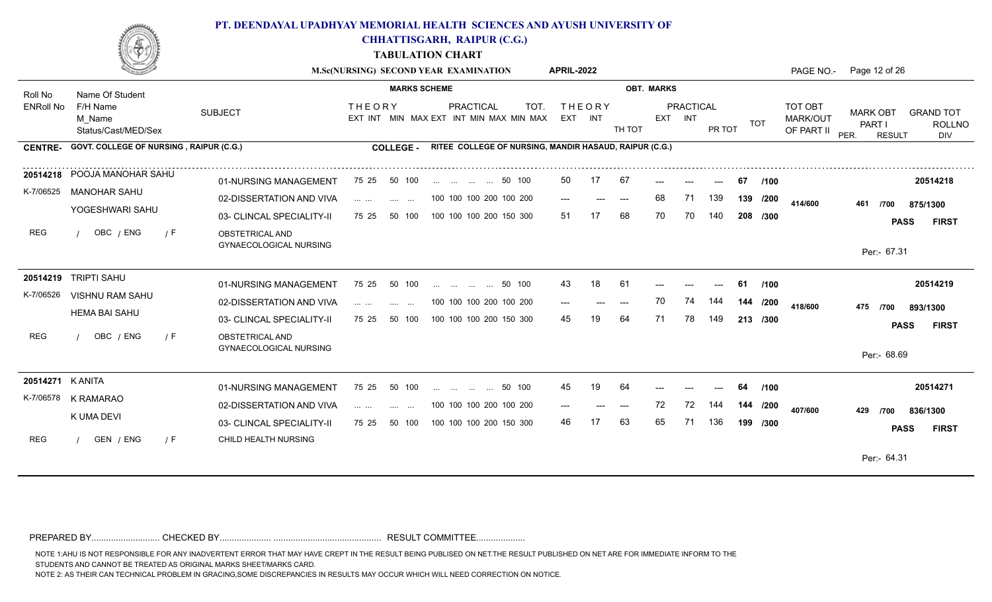

**CHHATTISGARH, RAIPUR (C.G.)**

**TABULATION CHART**

|                  |                                                |                                                  |                                                                                                                                           | M.Sc(NURSING) SECOND YEAR EXAMINATION                               | <b>APRIL-2022</b>        |       |                   |                             |        |            |                                          | PAGE NO.- Page 12 of 26                            |                                          |
|------------------|------------------------------------------------|--------------------------------------------------|-------------------------------------------------------------------------------------------------------------------------------------------|---------------------------------------------------------------------|--------------------------|-------|-------------------|-----------------------------|--------|------------|------------------------------------------|----------------------------------------------------|------------------------------------------|
| Roll No          | Name Of Student                                |                                                  | <b>MARKS SCHEME</b>                                                                                                                       |                                                                     |                          |       | <b>OBT. MARKS</b> |                             |        |            |                                          |                                                    |                                          |
| <b>ENRoll No</b> | F/H Name<br>M Name<br>Status/Cast/MED/Sex      | <b>SUBJECT</b>                                   | <b>THEORY</b>                                                                                                                             | <b>PRACTICAL</b><br>TOT.<br>EXT INT MIN MAX EXT INT MIN MAX MIN MAX | <b>THEORY</b><br>EXT INT |       | TH TOT            | <b>PRACTICAL</b><br>EXT INT | PR TOT | TOT        | <b>TOT OBT</b><br>MARK/OUT<br>OF PART II | <b>MARK OBT</b><br>PART I<br>PER.<br><b>RESULT</b> | <b>GRAND TOT</b><br><b>ROLLNO</b><br>DIV |
| <b>CENTRE-</b>   | <b>GOVT. COLLEGE OF NURSING, RAIPUR (C.G.)</b> |                                                  | <b>COLLEGE -</b>                                                                                                                          | RITEE COLLEGE OF NURSING, MANDIR HASAUD, RAIPUR (C.G.)              |                          |       |                   |                             |        |            |                                          |                                                    |                                          |
|                  | 20514218 POOJA MANOHAR SAHU                    | 01-NURSING MANAGEMENT                            | 50 100<br>75 25                                                                                                                           | 50 100                                                              | 50                       | 17    | 67                |                             |        | /100<br>67 |                                          |                                                    | 20514218                                 |
| K-7/06525        | MANOHAR SAHU                                   | 02-DISSERTATION AND VIVA                         | $\mathcal{L}(\mathcal{L}(\mathcal{L}^{\mathcal{L}}),\mathcal{L}(\mathcal{L}^{\mathcal{L}}))$<br><b>Contract Contract</b>                  | 100 100 100 200 100 200                                             | $---$                    | $---$ | 68<br>$---$       | 71                          | 139    | 139 /200   | 414/600                                  | 461<br>/700                                        | 875/1300                                 |
|                  | YOGESHWARI SAHU                                | 03- CLINCAL SPECIALITY-II                        | 75 25<br>50 100                                                                                                                           | 100 100 100 200 150 300                                             | 51                       |       | 68<br>70          | 70                          | 140    | 208 /300   |                                          |                                                    | <b>PASS</b><br><b>FIRST</b>              |
| <b>REG</b>       | OBC / ENG<br>/ F                               | OBSTETRICAL AND<br><b>GYNAECOLOGICAL NURSING</b> |                                                                                                                                           |                                                                     |                          |       |                   |                             |        |            |                                          | Per:- 67.31                                        |                                          |
|                  | 20514219 TRIPTI SAHU                           | 01-NURSING MANAGEMENT                            | 75 25<br>50 100                                                                                                                           | 50 100<br>$\mathbf{r}$ . The state of $\mathbf{r}$                  | 43                       | 18    | 61                |                             |        | /100<br>61 |                                          |                                                    | 20514219                                 |
| K-7/06526        | VISHNU RAM SAHU                                | 02-DISSERTATION AND VIVA                         | $\mathbf{1}$ and $\mathbf{1}$ and $\mathbf{1}$<br><b>Service Contract</b>                                                                 | 100 100 100 200 100 200                                             | $---$                    | ---   | 70<br>$---$       | 74                          | 144    | 144 /200   | 418/600                                  | 475 /700                                           | 893/1300                                 |
|                  | <b>HEMA BAI SAHU</b>                           | 03- CLINCAL SPECIALITY-II                        | 50 100<br>75 25                                                                                                                           | 100 100 100 200 150 300                                             | 45                       |       | 64<br>71          | 78                          | 149    | 213 /300   |                                          |                                                    | <b>PASS</b><br><b>FIRST</b>              |
| <b>REG</b>       | OBC / ENG<br>/ F                               | OBSTETRICAL AND<br><b>GYNAECOLOGICAL NURSING</b> |                                                                                                                                           |                                                                     |                          |       |                   |                             |        |            |                                          | Per:- 68.69                                        |                                          |
| 20514271 K ANITA |                                                | 01-NURSING MANAGEMENT                            | 75 25<br>50 100                                                                                                                           | 50 100                                                              | 45                       | 19    | 64                |                             |        | /100<br>64 |                                          |                                                    | 20514271                                 |
| K-7/06578        | K RAMARAO                                      | 02-DISSERTATION AND VIVA                         | $\mathcal{L}_{\mathcal{A}}$ , and $\mathcal{L}_{\mathcal{A}}$ , and $\mathcal{L}_{\mathcal{A}}$<br><b>Service</b><br>$\sim$ $\sim$ $\sim$ | 100 100 100 200 100 200                                             |                          |       | 72<br>$---$       | 72                          | 144    | 144 /200   | 407/600                                  | 429<br>/700                                        | 836/1300                                 |
|                  | K UMA DEVI                                     | 03- CLINCAL SPECIALITY-II                        | 75 25<br>50 100                                                                                                                           | 100 100 100 200 150 300                                             | 46                       | 17    | 63<br>65          | 71                          | 136    | 199 /300   |                                          |                                                    | <b>PASS</b><br><b>FIRST</b>              |
| <b>REG</b>       | GEN / ENG<br>$\sqrt{F}$                        | CHILD HEALTH NURSING                             |                                                                                                                                           |                                                                     |                          |       |                   |                             |        |            |                                          | Per:- 64.31                                        |                                          |
|                  |                                                |                                                  |                                                                                                                                           |                                                                     |                          |       |                   |                             |        |            |                                          |                                                    |                                          |

PREPARED BY............................ CHECKED BY..................... ............................................ RESULT COMMITTEE....................

NOTE 1:AHU IS NOT RESPONSIBLE FOR ANY INADVERTENT ERROR THAT MAY HAVE CREPT IN THE RESULT BEING PUBLISED ON NET.THE RESULT PUBLISHED ON NET ARE FOR IMMEDIATE INFORM TO THE

STUDENTS AND CANNOT BE TREATED AS ORIGINAL MARKS SHEET/MARKS CARD.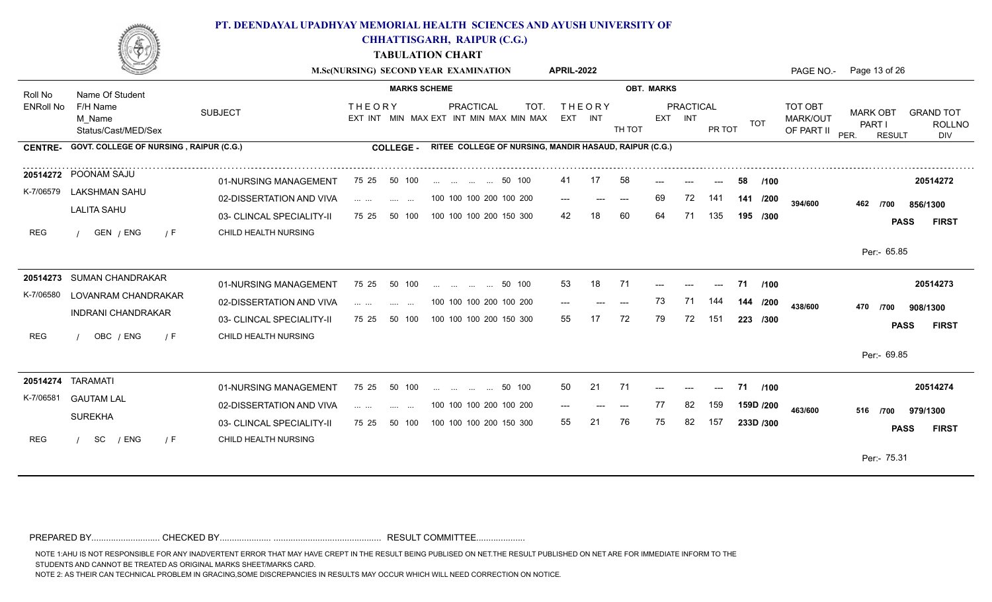

**CHHATTISGARH, RAIPUR (C.G.)**

**TABULATION CHART**

|                  |                                                |                           |                                                                                                                                                                                                                                                                                                                                                                                                                                                             |                                 | M.Sc(NURSING) SECOND YEAR EXAMINATION |                         |                                                        | <b>APRIL-2022</b> |                          |        |                   |                      |                                        |           |      | PAGE NO.-                         | Page 13 of 26                     |               |          |                                          |
|------------------|------------------------------------------------|---------------------------|-------------------------------------------------------------------------------------------------------------------------------------------------------------------------------------------------------------------------------------------------------------------------------------------------------------------------------------------------------------------------------------------------------------------------------------------------------------|---------------------------------|---------------------------------------|-------------------------|--------------------------------------------------------|-------------------|--------------------------|--------|-------------------|----------------------|----------------------------------------|-----------|------|-----------------------------------|-----------------------------------|---------------|----------|------------------------------------------|
| Roll No          | Name Of Student                                |                           |                                                                                                                                                                                                                                                                                                                                                                                                                                                             | <b>MARKS SCHEME</b>             |                                       |                         |                                                        |                   |                          |        | <b>OBT. MARKS</b> |                      |                                        |           |      |                                   |                                   |               |          |                                          |
| <b>ENRoll No</b> | F/H Name<br>M Name<br>Status/Cast/MED/Sex      | <b>SUBJECT</b>            | <b>THEORY</b>                                                                                                                                                                                                                                                                                                                                                                                                                                               |                                 |                                       | PRACTICAL               | TOT.<br>EXT INT MIN MAX EXT INT MIN MAX MIN MAX        |                   | <b>THEORY</b><br>EXT INT | TH TOT |                   | PRACTICAL<br>EXT INT | PR TOT                                 | TOT       |      | TOT OBT<br>MARK/OUT<br>OF PART II | <b>MARK OBT</b><br>PART I<br>PER. | <b>RESULT</b> |          | <b>GRAND TOT</b><br><b>ROLLNO</b><br>DIV |
| <b>CENTRE-</b>   | <b>GOVT. COLLEGE OF NURSING, RAIPUR (C.G.)</b> |                           |                                                                                                                                                                                                                                                                                                                                                                                                                                                             | <b>COLLEGE -</b>                |                                       |                         | RITEE COLLEGE OF NURSING, MANDIR HASAUD, RAIPUR (C.G.) |                   |                          |        |                   |                      |                                        |           |      |                                   |                                   |               |          |                                          |
|                  | 20514272 POONAM SAJU                           | 01-NURSING MANAGEMENT     | 75 25                                                                                                                                                                                                                                                                                                                                                                                                                                                       | 50 100                          |                                       | 50 100                  |                                                        | 41                | 17                       | 58     |                   |                      | ---                                    | 58        | /100 |                                   |                                   |               |          | 20514272                                 |
|                  | K-7/06579 LAKSHMAN SAHU                        | 02-DISSERTATION AND VIVA  | $\mathcal{L}(\mathcal{L}(\mathcal{L}(\mathcal{L}(\mathcal{L}(\mathcal{L}(\mathcal{L}(\mathcal{L}(\mathcal{L}(\mathcal{L}(\mathcal{L}(\mathcal{L}(\mathcal{L}(\mathcal{L}(\mathcal{L}(\mathcal{L}(\mathcal{L}(\mathcal{L}(\mathcal{L}(\mathcal{L}(\mathcal{L}(\mathcal{L}(\mathcal{L}(\mathcal{L}(\mathcal{L}(\mathcal{L}(\mathcal{L}(\mathcal{L}(\mathcal{L}(\mathcal{L}(\mathcal{L}(\mathcal{L}(\mathcal{L}(\mathcal{L}(\mathcal{L}(\mathcal{L}(\mathcal{$ | <b>Contract Contract</b>        |                                       | 100 100 100 200 100 200 |                                                        | $---$             | $---$                    | $---$  | 69                | 72                   | 141                                    | 141 /200  |      | 394/600                           | 462                               | /700          |          | 856/1300                                 |
|                  | <b>LALITA SAHU</b>                             | 03- CLINCAL SPECIALITY-II | 75 25                                                                                                                                                                                                                                                                                                                                                                                                                                                       | 50 100                          |                                       | 100 100 100 200 150 300 |                                                        | 42                |                          | 60     | 64                | 71                   | 135                                    | 195 /300  |      |                                   |                                   | <b>PASS</b>   |          | <b>FIRST</b>                             |
| <b>REG</b>       | GEN / ENG<br>$\sqrt{F}$                        | CHILD HEALTH NURSING      |                                                                                                                                                                                                                                                                                                                                                                                                                                                             |                                 |                                       |                         |                                                        |                   |                          |        |                   |                      |                                        |           |      |                                   |                                   |               |          |                                          |
|                  |                                                |                           |                                                                                                                                                                                                                                                                                                                                                                                                                                                             |                                 |                                       |                         |                                                        |                   |                          |        |                   |                      |                                        |           |      |                                   | Per:- 65.85                       |               |          |                                          |
|                  | 20514273 SUMAN CHANDRAKAR                      | 01-NURSING MANAGEMENT     | 75 25                                                                                                                                                                                                                                                                                                                                                                                                                                                       | 50 100                          | and the same state of the same        |                         | 50 100                                                 | 53                | 18                       | -71    |                   |                      | ---                                    | 71        | /100 |                                   |                                   |               |          | 20514273                                 |
| K-7/06580        | LOVANRAM CHANDRAKAR                            | 02-DISSERTATION AND VIVA  | .                                                                                                                                                                                                                                                                                                                                                                                                                                                           | $\sim 100$<br>$\sim$ $\sim$     |                                       | 100 100 100 200 100 200 |                                                        |                   |                          | $---$  | 73                | 71                   | 144                                    | 144 /200  |      | 438/600                           | 470                               | /700          |          |                                          |
|                  | <b>INDRANI CHANDRAKAR</b>                      | 03- CLINCAL SPECIALITY-II | 75 25                                                                                                                                                                                                                                                                                                                                                                                                                                                       | 50 100                          | 100 100 100 200 150 300               |                         |                                                        | 55                | 17                       | 72     | 79                | 72                   | 151                                    | 223 /300  |      |                                   |                                   | <b>PASS</b>   |          | 908/1300<br><b>FIRST</b>                 |
| <b>REG</b>       | OBC / ENG<br>/ F                               | CHILD HEALTH NURSING      |                                                                                                                                                                                                                                                                                                                                                                                                                                                             |                                 |                                       |                         |                                                        |                   |                          |        |                   |                      |                                        |           |      |                                   |                                   |               |          |                                          |
|                  |                                                |                           |                                                                                                                                                                                                                                                                                                                                                                                                                                                             |                                 |                                       |                         |                                                        |                   |                          |        |                   |                      |                                        |           |      |                                   | Per:- 69.85                       |               |          |                                          |
|                  | 20514274 TARAMATI                              | 01-NURSING MANAGEMENT     | 75 25                                                                                                                                                                                                                                                                                                                                                                                                                                                       | 50 100                          |                                       | 50 100                  |                                                        | 50                | 21                       | 71     | $---$             | $---$                | $\scriptstyle\cdots\scriptstyle\cdots$ | 71        | /100 |                                   |                                   |               |          | 20514274                                 |
| K-7/06581        | <b>GAUTAM LAL</b>                              | 02-DISSERTATION AND VIVA  | and the con-                                                                                                                                                                                                                                                                                                                                                                                                                                                | <b>Service</b><br>$\sim$ $\sim$ |                                       | 100 100 100 200 100 200 |                                                        | $---$             |                          |        | 77                | 82                   | 159                                    | 159D /200 |      | 463/600                           | 516 /700                          |               | 979/1300 |                                          |
|                  | <b>SUREKHA</b>                                 | 03- CLINCAL SPECIALITY-II | 75 25                                                                                                                                                                                                                                                                                                                                                                                                                                                       | 50 100                          |                                       | 100 100 100 200 150 300 |                                                        | 55                | 21                       | 76     | 75                | 82                   | 157                                    | 233D /300 |      |                                   |                                   | <b>PASS</b>   |          | <b>FIRST</b>                             |
| <b>REG</b>       | SC<br>/ ENG<br>/ F                             | CHILD HEALTH NURSING      |                                                                                                                                                                                                                                                                                                                                                                                                                                                             |                                 |                                       |                         |                                                        |                   |                          |        |                   |                      |                                        |           |      |                                   |                                   |               |          |                                          |
|                  |                                                |                           |                                                                                                                                                                                                                                                                                                                                                                                                                                                             |                                 |                                       |                         |                                                        |                   |                          |        |                   |                      |                                        |           |      |                                   | Per:- 75.31                       |               |          |                                          |
|                  |                                                |                           |                                                                                                                                                                                                                                                                                                                                                                                                                                                             |                                 |                                       |                         |                                                        |                   |                          |        |                   |                      |                                        |           |      |                                   |                                   |               |          |                                          |

PREPARED BY............................ CHECKED BY..................... ............................................ RESULT COMMITTEE....................

NOTE 1:AHU IS NOT RESPONSIBLE FOR ANY INADVERTENT ERROR THAT MAY HAVE CREPT IN THE RESULT BEING PUBLISED ON NET.THE RESULT PUBLISHED ON NET ARE FOR IMMEDIATE INFORM TO THE

STUDENTS AND CANNOT BE TREATED AS ORIGINAL MARKS SHEET/MARKS CARD.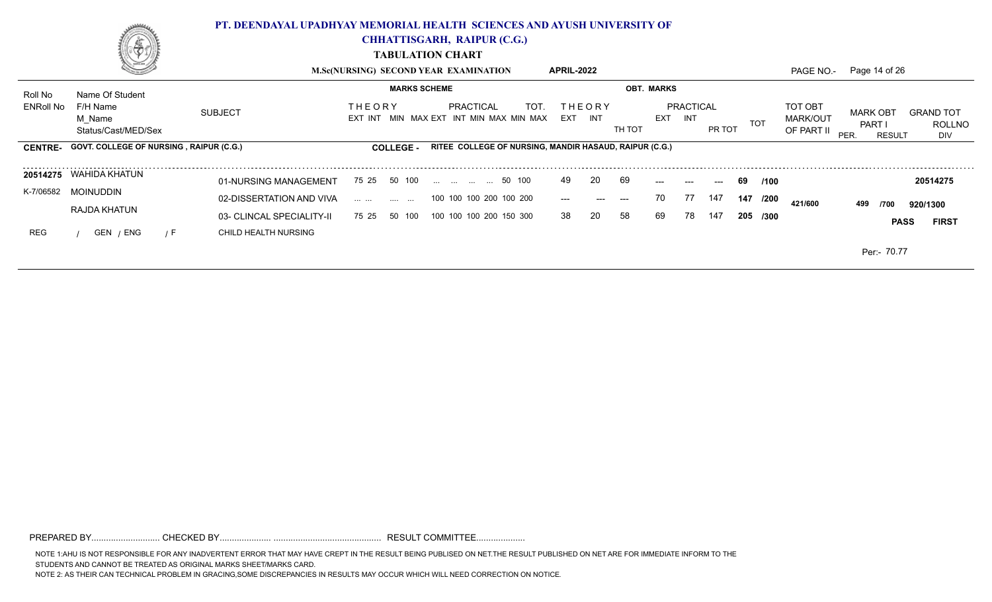

**CHHATTISGARH, RAIPUR (C.G.)**

**TABULATION CHART**

|                  | Series de la propie                             |                           | <b>M.Sc(NURSING) SECOND YEAR EXAMINATION</b>   |                                                        | <b>APRIL-2022</b>          |        |                                |        |             |                                                 | PAGE NO.- Page 14 of 26                                       |                                   |
|------------------|-------------------------------------------------|---------------------------|------------------------------------------------|--------------------------------------------------------|----------------------------|--------|--------------------------------|--------|-------------|-------------------------------------------------|---------------------------------------------------------------|-----------------------------------|
| Roll No          | Name Of Student                                 |                           | <b>MARKS SCHEME</b>                            |                                                        |                            |        | <b>OBT. MARKS</b>              |        |             |                                                 |                                                               |                                   |
| <b>ENRoll No</b> | F/H Name<br>M Name<br>Status/Cast/MED/Sex       | <b>SUBJECT</b>            | <b>THEORY</b><br>EXT INT                       | TOT.<br>PRACTICAL<br>MIN MAX EXT INT MIN MAX MIN MAX   | <b>THEORY</b><br>EXT INT   | TH TOT | PRACTICAL<br><b>EXT</b><br>INT | PR TOT | <b>TOT</b>  | <b>TOT OBT</b><br><b>MARK/OUT</b><br>OF PART II | <b>MARK OBT</b><br><b>PART</b><br><b>PER</b><br><b>RESULT</b> | <b>GRAND TOT</b><br>ROLLNO<br>DIV |
|                  | CENTRE- GOVT. COLLEGE OF NURSING, RAIPUR (C.G.) |                           | <b>COLLEGE -</b>                               | RITEE COLLEGE OF NURSING, MANDIR HASAUD, RAIPUR (C.G.) |                            |        |                                |        |             |                                                 |                                                               |                                   |
|                  | 20514275 WAHIDA KHATUN                          | 01-NURSING MANAGEMENT     | 75 25 50 100                                   | 50 100                                                 | <b>20</b><br>49            | 69     | $---$<br>---                   | $---$  | 69<br>/100  |                                                 |                                                               | 20514275                          |
| K-7/06582        | MOINUDDIN                                       | 02-DISSERTATION AND VIVA  | $\mathbf{m}$ and $\mathbf{m}$ are also the set | 100 100 100 200 100 200                                | $\qquad \qquad - -$<br>--- | $---$  | 77<br>70                       | 147    | 147<br>/200 | 421/600                                         | 499<br>/700                                                   | 920/1300                          |
|                  | <b>RAJDA KHATUN</b>                             | 03- CLINCAL SPECIALITY-II | 50 100<br>75 25                                | 100 100 100 200 150 300                                | 20<br>38                   | 58     | 69<br>78                       | 147    | 205<br>/300 |                                                 | <b>PASS</b>                                                   | <b>FIRST</b>                      |
| <b>REG</b>       | GEN / ENG<br>$\sqrt{F}$                         | CHILD HEALTH NURSING      |                                                |                                                        |                            |        |                                |        |             |                                                 |                                                               |                                   |
|                  |                                                 |                           |                                                |                                                        |                            |        |                                |        |             |                                                 | Per: 70.77                                                    |                                   |

PREPARED BY............................ CHECKED BY..................... ............................................ RESULT COMMITTEE....................

NOTE 1:AHU IS NOT RESPONSIBLE FOR ANY INADVERTENT ERROR THAT MAY HAVE CREPT IN THE RESULT BEING PUBLISED ON NET.THE RESULT PUBLISHED ON NET ARE FOR IMMEDIATE INFORM TO THE STUDENTS AND CANNOT BE TREATED AS ORIGINAL MARKS SHEET/MARKS CARD.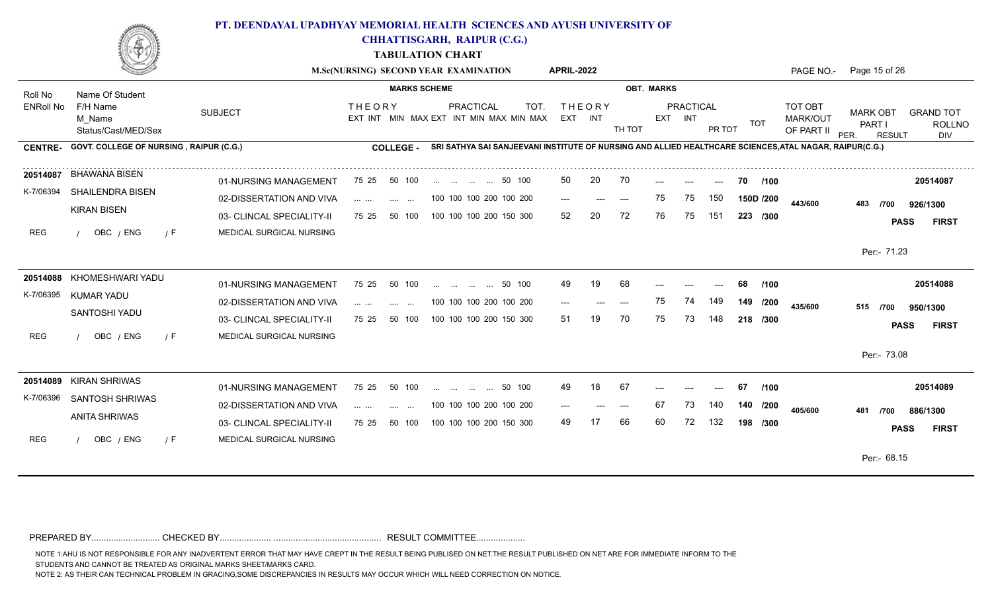

**CHHATTISGARH, RAIPUR (C.G.)**

**TABULATION CHART**

|                  |                                           |                           |                                                                                                                                                | M.Sc(NURSING) SECOND YEAR EXAMINATION                                                                   | <b>APRIL-2022</b>            |                   |                                | PAGE NO.-                                       | Page 15 of 26                                                                                  |
|------------------|-------------------------------------------|---------------------------|------------------------------------------------------------------------------------------------------------------------------------------------|---------------------------------------------------------------------------------------------------------|------------------------------|-------------------|--------------------------------|-------------------------------------------------|------------------------------------------------------------------------------------------------|
| Roll No          | Name Of Student                           |                           | <b>MARKS SCHEME</b>                                                                                                                            |                                                                                                         |                              | <b>OBT. MARKS</b> |                                |                                                 |                                                                                                |
| <b>ENRoll No</b> | F/H Name<br>M Name<br>Status/Cast/MED/Sex | <b>SUBJECT</b>            | <b>THEORY</b>                                                                                                                                  | PRACTICAL<br>TOT.<br>EXT INT MIN MAX EXT INT MIN MAX MIN MAX                                            | <b>THEORY</b><br>EXT INT     | TH TOT            | PRACTICAL<br>EXT INT<br>PR TOT | TOT OBT<br>MARK/OUT<br><b>TOT</b><br>OF PART II | <b>MARK OBT</b><br><b>GRAND TOT</b><br>PART I<br><b>ROLLNO</b><br>PER.<br>DIV<br><b>RESULT</b> |
| <b>CENTRE-</b>   | GOVT. COLLEGE OF NURSING, RAIPUR (C.G.)   |                           | COLLEGE -                                                                                                                                      | SRI SATHYA SAI SANJEEVANI INSTITUTE OF NURSING AND ALLIED HEALTHCARE SCIENCES, ATAL NAGAR, RAIPUR(C.G.) |                              |                   |                                |                                                 |                                                                                                |
|                  | 20514087 BHAWANA BISEN                    | 01-NURSING MANAGEMENT     | 75 25<br>50 100                                                                                                                                | 50 100                                                                                                  | 20<br>50                     | 70                | ---                            | 70<br>/100                                      | 20514087                                                                                       |
| K-7/06394        | SHAILENDRA BISEN                          | 02-DISSERTATION AND VIVA  | $\mathbf{1} \cdot \mathbf{1} \cdot \mathbf{1} \cdot \mathbf{1} \cdot \mathbf{1} \cdot \mathbf{1} \cdot \mathbf{1}$<br><b>Contract Contract</b> | 100 100 100 200 100 200                                                                                 | $\qquad \qquad - -$<br>$---$ | 75<br>$---$       | 150<br>75                      | 150D /200<br>443/600                            | 483<br>926/1300<br>/700                                                                        |
|                  | <b>KIRAN BISEN</b>                        | 03- CLINCAL SPECIALITY-II | 75 25<br>50 100                                                                                                                                | 100 100 100 200 150 300                                                                                 | 20<br>52                     | 72<br>76          | 75<br>151                      | 223 /300                                        | <b>FIRST</b><br><b>PASS</b>                                                                    |
| <b>REG</b>       | OBC / ENG<br>$\sqrt{F}$                   | MEDICAL SURGICAL NURSING  |                                                                                                                                                |                                                                                                         |                              |                   |                                |                                                 | Per:- 71.23                                                                                    |
|                  | 20514088 KHOMESHWARI YADU                 | 01-NURSING MANAGEMENT     | 75 25<br>50 100                                                                                                                                | 50 100<br>$\cdots$<br>$\cdots$ $\cdots$                                                                 | 19<br>49                     | 68                |                                | /100<br>68                                      | 20514088                                                                                       |
| K-7/06395        | KUMAR YADU                                | 02-DISSERTATION AND VIVA  | $\sim 100$<br>$\cdots$                                                                                                                         | 100 100 100 200 100 200                                                                                 | $---$                        | 75<br>$---$       | 74<br>149                      | 149 /200<br>435/600                             | 515 /700<br>950/1300                                                                           |
|                  | SANTOSHI YADU                             | 03- CLINCAL SPECIALITY-II | 75 25<br>50 100                                                                                                                                | 100 100 100 200 150 300                                                                                 | 51                           | 70<br>75          | 73<br>148                      | 218 /300                                        | <b>PASS</b><br><b>FIRST</b>                                                                    |
| <b>REG</b>       | OBC / ENG<br>$\sqrt{F}$                   | MEDICAL SURGICAL NURSING  |                                                                                                                                                |                                                                                                         |                              |                   |                                |                                                 | Per:- 73.08                                                                                    |
|                  | 20514089 KIRAN SHRIWAS                    | 01-NURSING MANAGEMENT     | 75 25<br>50 100                                                                                                                                | 50 100<br>$\mathbf{r}$ . The contract of $\mathbf{r}$                                                   | 18<br>49                     | -67               |                                | /100<br>67                                      | 20514089                                                                                       |
| K-7/06396        | <b>SANTOSH SHRIWAS</b>                    | 02-DISSERTATION AND VIVA  | $\mathbf{1}$ and $\mathbf{1}$ and $\mathbf{1}$<br>$\sim 100$                                                                                   | 100 100 100 200 100 200                                                                                 | $---$                        | 67<br>---         | 73<br>140                      | 140 /200<br>405/600                             | 481<br>/700<br>886/1300                                                                        |
|                  | <b>ANITA SHRIWAS</b>                      | 03- CLINCAL SPECIALITY-II | 75 25<br>50 100                                                                                                                                | 100 100 100 200 150 300                                                                                 | 49                           | 66<br>60          | 132<br>72                      | 198 /300                                        | <b>FIRST</b><br><b>PASS</b>                                                                    |
| <b>REG</b>       | OBC / ENG<br>$\sqrt{F}$                   | MEDICAL SURGICAL NURSING  |                                                                                                                                                |                                                                                                         |                              |                   |                                |                                                 |                                                                                                |
|                  |                                           |                           |                                                                                                                                                |                                                                                                         |                              |                   |                                |                                                 | Per:- 68.15                                                                                    |

PREPARED BY............................ CHECKED BY..................... ............................................ RESULT COMMITTEE....................

NOTE 1:AHU IS NOT RESPONSIBLE FOR ANY INADVERTENT ERROR THAT MAY HAVE CREPT IN THE RESULT BEING PUBLISED ON NET.THE RESULT PUBLISHED ON NET ARE FOR IMMEDIATE INFORM TO THE

STUDENTS AND CANNOT BE TREATED AS ORIGINAL MARKS SHEET/MARKS CARD.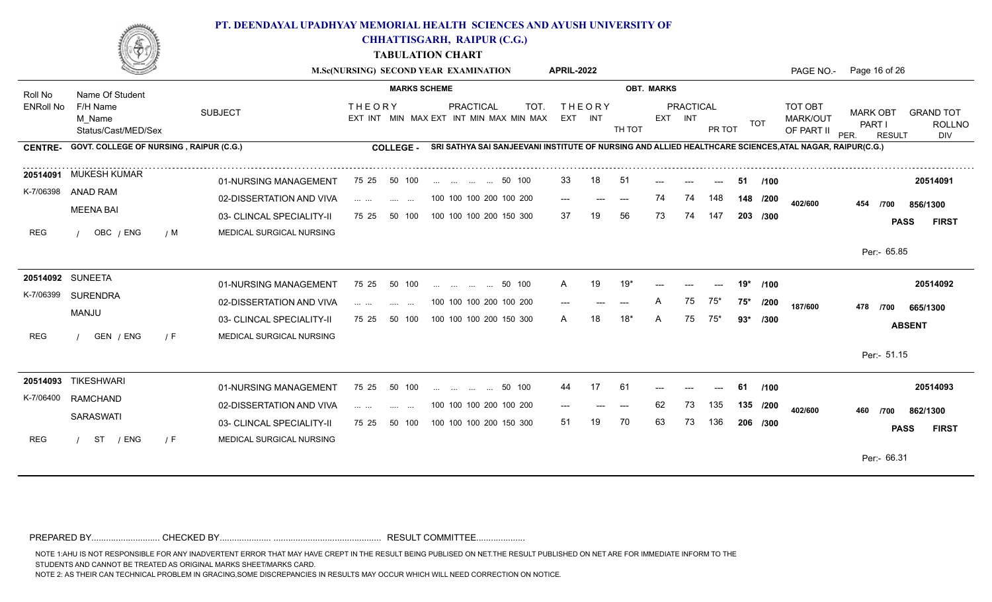

**CHHATTISGARH, RAIPUR (C.G.)**

**TABULATION CHART**

|                  |                                                |                                                       |                                                                                                                       | M.Sc(NURSING) SECOND YEAR EXAMINATION                        | APRIL-2022               |                                                                                                         | PAGE NO.-                                              | Page 16 of 26                                                                                  |
|------------------|------------------------------------------------|-------------------------------------------------------|-----------------------------------------------------------------------------------------------------------------------|--------------------------------------------------------------|--------------------------|---------------------------------------------------------------------------------------------------------|--------------------------------------------------------|------------------------------------------------------------------------------------------------|
| Roll No          | Name Of Student                                |                                                       |                                                                                                                       | <b>MARKS SCHEME</b>                                          |                          | <b>OBT. MARKS</b>                                                                                       |                                                        |                                                                                                |
| <b>ENRoll No</b> | F/H Name<br>M Name<br>Status/Cast/MED/Sex      | <b>SUBJECT</b>                                        | <b>THEORY</b>                                                                                                         | PRACTICAL<br>TOT.<br>EXT INT MIN MAX EXT INT MIN MAX MIN MAX | <b>THEORY</b><br>EXT INT | PRACTICAL<br>EXT INT<br>TH TOT<br>PR TOT                                                                | <b>TOT OBT</b><br>MARK/OUT<br><b>TOT</b><br>OF PART II | <b>MARK OBT</b><br><b>GRAND TOT</b><br>PART I<br><b>ROLLNO</b><br>PER.<br><b>RESULT</b><br>DIV |
| <b>CENTRE-</b>   | <b>GOVT. COLLEGE OF NURSING, RAIPUR (C.G.)</b> |                                                       | <b>COLLEGE -</b>                                                                                                      |                                                              |                          | SRI SATHYA SAI SANJEEVANI INSTITUTE OF NURSING AND ALLIED HEALTHCARE SCIENCES, ATAL NAGAR, RAIPUR(C.G.) |                                                        |                                                                                                |
|                  | 20514091 MUKESH KUMAR                          | 01-NURSING MANAGEMENT                                 | 75 25<br>50 100                                                                                                       | 50 100                                                       | -51<br>33<br>18          | -51                                                                                                     | /100                                                   | 20514091                                                                                       |
| K-7/06398        | ANAD RAM                                       | 02-DISSERTATION AND VIVA                              | $\mathcal{L}_{\mathcal{A}}$ , $\mathcal{L}_{\mathcal{A}}$ , $\mathcal{L}_{\mathcal{A}}$ ,<br><b>Contract Contract</b> | 100 100 100 200 100 200                                      | $---$<br>$---$<br>$---$  | 148<br>74<br>74                                                                                         | 148 /200<br>402/600                                    | 454<br>/700<br>856/1300                                                                        |
|                  | <b>MEENA BAI</b>                               | 03- CLINCAL SPECIALITY-II                             | 50 100<br>75 25                                                                                                       | 100 100 100 200 150 300                                      | 56<br>37                 | 73<br>74<br>147                                                                                         | 203 /300                                               | <b>PASS</b><br><b>FIRST</b>                                                                    |
| <b>REG</b>       | OBC / ENG                                      | MEDICAL SURGICAL NURSING<br>/ M                       |                                                                                                                       |                                                              |                          |                                                                                                         |                                                        | Per:- 65.85                                                                                    |
|                  | 20514092 SUNEETA                               | 01-NURSING MANAGEMENT                                 | 75 25<br>50 100                                                                                                       | 50 100<br>and the state of the state of                      | 19'<br>19                | 19*                                                                                                     | /100                                                   | 20514092                                                                                       |
| K-7/06399        | <b>SURENDRA</b><br>MANJU                       | 02-DISSERTATION AND VIVA                              | $\sim$ $\sim$                                                                                                         | 100 100 100 200 100 200                                      | $---$<br>---             | 75<br>75*<br>$75*$                                                                                      | /200<br>187/600                                        | 478<br>/700<br>665/1300                                                                        |
| <b>REG</b>       | GEN / ENG<br>/ F                               | 03- CLINCAL SPECIALITY-II<br>MEDICAL SURGICAL NURSING | 75 25<br>50 100                                                                                                       | 100 100 100 200 150 300                                      | 18'                      | 75<br>75*<br>93*                                                                                        | /300                                                   | <b>ABSENT</b>                                                                                  |
|                  |                                                |                                                       |                                                                                                                       |                                                              |                          |                                                                                                         |                                                        | Per:- 51.15                                                                                    |
|                  | 20514093 TIKESHWARI                            | 01-NURSING MANAGEMENT                                 | 75 25<br>50 100                                                                                                       | 50 100                                                       | 17<br>61<br>44           | 61                                                                                                      | /100                                                   | 20514093                                                                                       |
|                  | K-7/06400 RAMCHAND<br><b>SARASWATI</b>         | 02-DISSERTATION AND VIVA                              | $\mathcal{L}_{\mathcal{A}}$ , $\mathcal{L}_{\mathcal{A}}$ , $\mathcal{L}_{\mathcal{A}}$ ,<br>$\sim 100$<br>$\sim$     | 100 100 100 200 100 200                                      | $---$<br>$---$           | 62<br>135<br>73                                                                                         | 135 /200<br>402/600                                    | 460<br>862/1300<br>/700                                                                        |
| <b>REG</b>       | ST<br>/ ENG<br>/ F                             | 03- CLINCAL SPECIALITY-II<br>MEDICAL SURGICAL NURSING | 75 25<br>50 100                                                                                                       | 100 100 100 200 150 300                                      | 70<br>51                 | 63<br>73<br>136                                                                                         | 206 /300                                               | <b>PASS</b><br><b>FIRST</b>                                                                    |
|                  |                                                |                                                       |                                                                                                                       |                                                              |                          |                                                                                                         |                                                        | Per:- 66.31                                                                                    |
|                  |                                                |                                                       |                                                                                                                       |                                                              |                          |                                                                                                         |                                                        |                                                                                                |

PREPARED BY............................ CHECKED BY..................... ............................................ RESULT COMMITTEE....................

NOTE 1:AHU IS NOT RESPONSIBLE FOR ANY INADVERTENT ERROR THAT MAY HAVE CREPT IN THE RESULT BEING PUBLISED ON NET.THE RESULT PUBLISHED ON NET ARE FOR IMMEDIATE INFORM TO THE

STUDENTS AND CANNOT BE TREATED AS ORIGINAL MARKS SHEET/MARKS CARD.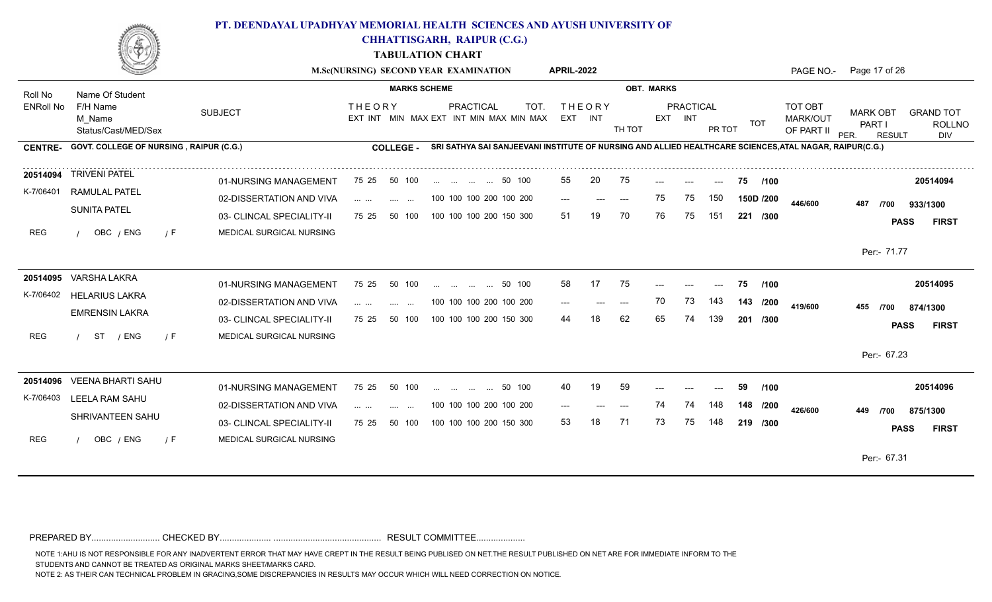

**CHHATTISGARH, RAIPUR (C.G.)**

**TABULATION CHART**

|                  |                                           |                           | M.Sc(NURSING) SECOND YEAR EXAMINATION                                      |                     |                                                                                                         |        | <b>APRIL-2022</b> |                          |        |                   |                      |        |            | PAGE NO.-                         | Page 17 of 26                     |               |                                          |
|------------------|-------------------------------------------|---------------------------|----------------------------------------------------------------------------|---------------------|---------------------------------------------------------------------------------------------------------|--------|-------------------|--------------------------|--------|-------------------|----------------------|--------|------------|-----------------------------------|-----------------------------------|---------------|------------------------------------------|
| Roll No          | Name Of Student                           |                           |                                                                            | <b>MARKS SCHEME</b> |                                                                                                         |        |                   |                          |        | <b>OBT. MARKS</b> |                      |        |            |                                   |                                   |               |                                          |
| <b>ENRoll No</b> | F/H Name<br>M Name<br>Status/Cast/MED/Sex | <b>SUBJECT</b>            | <b>THEORY</b>                                                              |                     | PRACTICAL<br>EXT INT MIN MAX EXT INT MIN MAX MIN MAX                                                    | TOT.   |                   | <b>THEORY</b><br>EXT INT | TH TOT |                   | PRACTICAL<br>EXT INT | PR TOT | <b>TOT</b> | TOT OBT<br>MARK/OUT<br>OF PART II | <b>MARK OBT</b><br>PART I<br>PER. | <b>RESULT</b> | <b>GRAND TOT</b><br><b>ROLLNO</b><br>DIV |
| <b>CENTRE-</b>   | GOVT. COLLEGE OF NURSING, RAIPUR (C.G.)   |                           | COLLEGE -                                                                  |                     | SRI SATHYA SAI SANJEEVANI INSTITUTE OF NURSING AND ALLIED HEALTHCARE SCIENCES, ATAL NAGAR, RAIPUR(C.G.) |        |                   |                          |        |                   |                      |        |            |                                   |                                   |               |                                          |
|                  | 20514094 TRIVENI PATEL                    | 01-NURSING MANAGEMENT     | 75 25<br>50 100                                                            |                     | 50 100                                                                                                  |        | 55                | 20                       | 75     |                   |                      |        | 75<br>/100 |                                   |                                   |               | 20514094                                 |
| K-7/06401        | RAMULAL PATEL                             | 02-DISSERTATION AND VIVA  | $\mathbf{1}$ and $\mathbf{1}$ and $\mathbf{1}$<br><b>Contract Contract</b> |                     | 100 100 100 200 100 200                                                                                 |        | $---$             | $---$                    | $---$  | 75                | 75                   | 150    | 150D /200  | 446/600                           | 487                               | /700          | 933/1300                                 |
|                  | <b>SUNITA PATEL</b>                       | 03- CLINCAL SPECIALITY-II | 75 25<br>50 100                                                            |                     | 100 100 100 200 150 300                                                                                 |        | 51                | 19                       | 70     | 76                | 75                   | 151    | 221 /300   |                                   |                                   | <b>PASS</b>   | <b>FIRST</b>                             |
| <b>REG</b>       | OBC / ENG<br>$\sqrt{F}$                   | MEDICAL SURGICAL NURSING  |                                                                            |                     |                                                                                                         |        |                   |                          |        |                   |                      |        |            |                                   |                                   |               |                                          |
|                  |                                           |                           |                                                                            |                     |                                                                                                         |        |                   |                          |        |                   |                      |        |            |                                   |                                   | Per:- 71.77   |                                          |
|                  | 20514095 VARSHA LAKRA                     | 01-NURSING MANAGEMENT     | 75 25<br>50 100                                                            |                     | and the same of the same                                                                                | 50 100 | 58                | 17                       | 75     |                   |                      |        | /100<br>75 |                                   |                                   |               | 20514095                                 |
| K-7/06402        | <b>HELARIUS LAKRA</b>                     | 02-DISSERTATION AND VIVA  | $\cdots$ $\cdots$<br>$\sim 100$                                            | $\sim$              | 100 100 100 200 100 200                                                                                 |        |                   |                          |        | 70                | 73                   | 143    | 143 /200   | 419/600                           | 455                               | /700          | 874/1300                                 |
|                  | <b>EMRENSIN LAKRA</b>                     | 03- CLINCAL SPECIALITY-II | 50 100<br>75 25                                                            |                     | 100 100 100 200 150 300                                                                                 |        | 44                |                          | 62     | 65                | 74                   | 139    | 201 /300   |                                   |                                   | <b>PASS</b>   | <b>FIRST</b>                             |
| <b>REG</b>       | ST<br>/ ENG<br>$\sqrt{F}$                 | MEDICAL SURGICAL NURSING  |                                                                            |                     |                                                                                                         |        |                   |                          |        |                   |                      |        |            |                                   |                                   |               |                                          |
|                  |                                           |                           |                                                                            |                     |                                                                                                         |        |                   |                          |        |                   |                      |        |            |                                   |                                   | Per: 67.23    |                                          |
|                  | 20514096 VEENA BHARTI SAHU                | 01-NURSING MANAGEMENT     | 75 25<br>50 100                                                            |                     | 50 100                                                                                                  |        | 40                | 19                       | 59     |                   |                      |        | 59<br>/100 |                                   |                                   |               | 20514096                                 |
| K-7/06403        | LEELA RAM SAHU                            | 02-DISSERTATION AND VIVA  | $\mathbf{1}$ and $\mathbf{1}$ and $\mathbf{1}$<br><b>Service</b>           | $\sim$ 100 $\mu$    | 100 100 100 200 100 200                                                                                 |        |                   |                          |        |                   | 74                   | 148    | 148 /200   | 426/600                           | 449                               | /700          | 875/1300                                 |
|                  | SHRIVANTEEN SAHU                          | 03- CLINCAL SPECIALITY-II | 75 25<br>50 100                                                            |                     | 100 100 100 200 150 300                                                                                 |        | 53                | 18                       | 71     | 73                | 75                   | 148    | 219 /300   |                                   |                                   | <b>PASS</b>   | <b>FIRST</b>                             |
| <b>REG</b>       | OBC / ENG<br>/ F                          | MEDICAL SURGICAL NURSING  |                                                                            |                     |                                                                                                         |        |                   |                          |        |                   |                      |        |            |                                   |                                   |               |                                          |
|                  |                                           |                           |                                                                            |                     |                                                                                                         |        |                   |                          |        |                   |                      |        |            |                                   |                                   | Per:- 67.31   |                                          |

PREPARED BY............................ CHECKED BY..................... ............................................ RESULT COMMITTEE....................

NOTE 1:AHU IS NOT RESPONSIBLE FOR ANY INADVERTENT ERROR THAT MAY HAVE CREPT IN THE RESULT BEING PUBLISED ON NET.THE RESULT PUBLISHED ON NET ARE FOR IMMEDIATE INFORM TO THE

STUDENTS AND CANNOT BE TREATED AS ORIGINAL MARKS SHEET/MARKS CARD.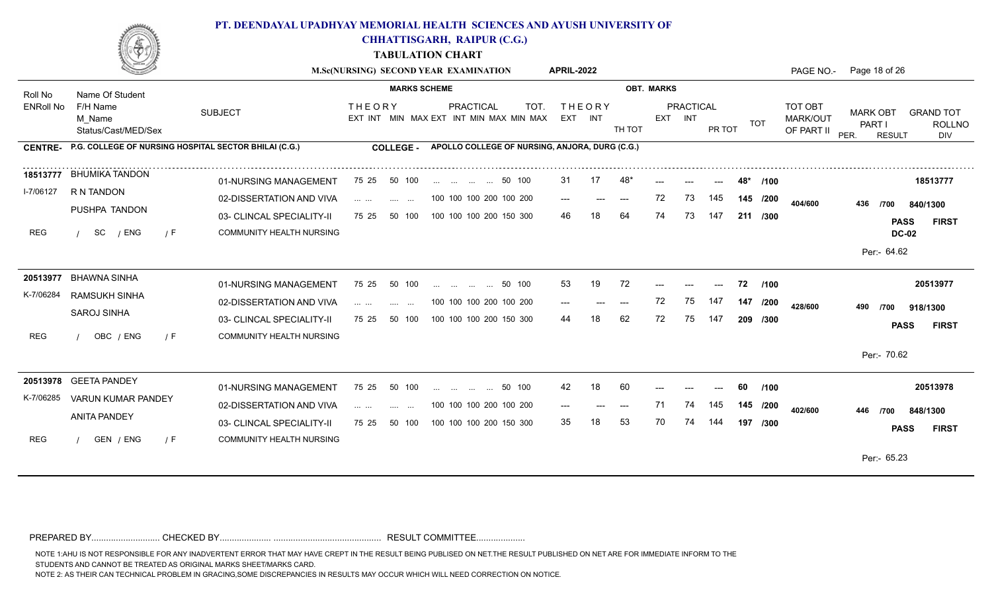

**CHHATTISGARH, RAIPUR (C.G.)**

**TABULATION CHART**

|                  |                                                               |                                                       |                                                                                                                         | M.Sc(NURSING) SECOND YEAR EXAMINATION                              | <b>APRIL-2022</b>        |                   |                                          | PAGE NO.-                                | Page 18 of 26                                                                                  |
|------------------|---------------------------------------------------------------|-------------------------------------------------------|-------------------------------------------------------------------------------------------------------------------------|--------------------------------------------------------------------|--------------------------|-------------------|------------------------------------------|------------------------------------------|------------------------------------------------------------------------------------------------|
| Roll No          | Name Of Student                                               |                                                       | <b>MARKS SCHEME</b>                                                                                                     |                                                                    |                          | <b>OBT. MARKS</b> |                                          |                                          |                                                                                                |
| <b>ENRoll No</b> | F/H Name<br>M Name<br>Status/Cast/MED/Sex                     | <b>SUBJECT</b>                                        | <b>THEORY</b>                                                                                                           | <b>PRACTICAL</b><br>TOT<br>EXT INT MIN MAX EXT INT MIN MAX MIN MAX | <b>THEORY</b><br>EXT INT | EXT INT<br>TH TOT | <b>PRACTICAL</b><br><b>TOT</b><br>PR TOT | <b>TOT OBT</b><br>MARK/OUT<br>OF PART II | <b>MARK OBT</b><br><b>GRAND TOT</b><br>PART I<br><b>ROLLNO</b><br>PER.<br><b>RESULT</b><br>DIV |
|                  | CENTRE- P.G. COLLEGE OF NURSING HOSPITAL SECTOR BHILAI (C.G.) |                                                       | COLLEGE -                                                                                                               | APOLLO COLLEGE OF NURSING, ANJORA, DURG (C.G.)                     |                          |                   |                                          |                                          |                                                                                                |
| 18513777         | BHUMIKA TANDON                                                | 01-NURSING MANAGEMENT                                 | 75 25<br>50 100                                                                                                         | 50 100                                                             | 31<br>17                 | 48                | $---$                                    | /100                                     | 18513777                                                                                       |
| I-7/06127        | R N TANDON                                                    | 02-DISSERTATION AND VIVA                              | $\mathcal{L}(\mathcal{L}(\mathcal{L}^{\mathcal{L}}),\mathcal{L}(\mathcal{L}^{\mathcal{L}}))$<br><b>Service Contract</b> | 100 100 100 200 100 200                                            | $---$                    | 72<br>$---$       | 145<br>73<br>145 /200                    | 404/600                                  | 436<br>/700<br>840/1300                                                                        |
| <b>REG</b>       | PUSHPA TANDON<br>SC<br>/ ENG<br>7 F                           | 03- CLINCAL SPECIALITY-II<br>COMMUNITY HEALTH NURSING | 75 25<br>50 100                                                                                                         | 100 100 100 200 150 300                                            | 46.                      | 64<br>74          | 73<br>147<br>211 /300                    |                                          | <b>PASS</b><br><b>FIRST</b>                                                                    |
|                  |                                                               |                                                       |                                                                                                                         |                                                                    |                          |                   |                                          |                                          | <b>DC-02</b><br>Per:- 64.62                                                                    |
|                  | 20513977 BHAWNA SINHA                                         | 01-NURSING MANAGEMENT                                 | 75 25<br>50 100                                                                                                         | 50 100<br>and the same complete                                    | 53<br>19                 | 72                | 72<br>$---$                              | /100                                     | 20513977                                                                                       |
| K-7/06284        | RAMSUKH SINHA                                                 | 02-DISSERTATION AND VIVA                              | <b>Service Contract</b>                                                                                                 | 100 100 100 200 100 200                                            | $---$                    | 72<br>$---$       | 75<br>147<br>147 /200                    | 428/600                                  | 490<br>/700<br>918/1300                                                                        |
|                  | <b>SAROJ SINHA</b>                                            | 03- CLINCAL SPECIALITY-II                             | 50 100<br>75 25                                                                                                         | 100 100 100 200 150 300                                            | 44                       | 62<br>72          | 75<br>147<br>209 /300                    |                                          | <b>PASS</b><br><b>FIRST</b>                                                                    |
| <b>REG</b>       | OBC / ENG<br>/ F                                              | <b>COMMUNITY HEALTH NURSING</b>                       |                                                                                                                         |                                                                    |                          |                   |                                          |                                          | Per:- 70.62                                                                                    |
|                  | 20513978 GEETA PANDEY                                         | 01-NURSING MANAGEMENT                                 | 75 25<br>50 100                                                                                                         | 50 100                                                             | 42<br>18                 | 60                | 60                                       | /100                                     | 20513978                                                                                       |
| K-7/06285        | <b>VARUN KUMAR PANDEY</b>                                     | 02-DISSERTATION AND VIVA                              | $\mathbf{1}$ . The set of $\mathbf{1}$<br>$\sim 100$<br>$\cdots$                                                        | 100 100 100 200 100 200                                            | ---                      | 71                | 145<br>74<br>145 /200                    | 402/600                                  | 446<br>/700<br>848/1300                                                                        |
|                  | <b>ANITA PANDEY</b>                                           | 03- CLINCAL SPECIALITY-II                             | 75 25<br>50 100                                                                                                         | 100 100 100 200 150 300                                            | 35                       | 53<br>70          | 74<br>144<br>197 /300                    |                                          | <b>PASS</b><br><b>FIRST</b>                                                                    |
| <b>REG</b>       | GEN / ENG<br>/ F                                              | <b>COMMUNITY HEALTH NURSING</b>                       |                                                                                                                         |                                                                    |                          |                   |                                          |                                          | Per:- 65.23                                                                                    |
|                  |                                                               |                                                       |                                                                                                                         |                                                                    |                          |                   |                                          |                                          |                                                                                                |

PREPARED BY............................ CHECKED BY..................... ............................................ RESULT COMMITTEE....................

NOTE 1:AHU IS NOT RESPONSIBLE FOR ANY INADVERTENT ERROR THAT MAY HAVE CREPT IN THE RESULT BEING PUBLISED ON NET.THE RESULT PUBLISHED ON NET ARE FOR IMMEDIATE INFORM TO THE

STUDENTS AND CANNOT BE TREATED AS ORIGINAL MARKS SHEET/MARKS CARD.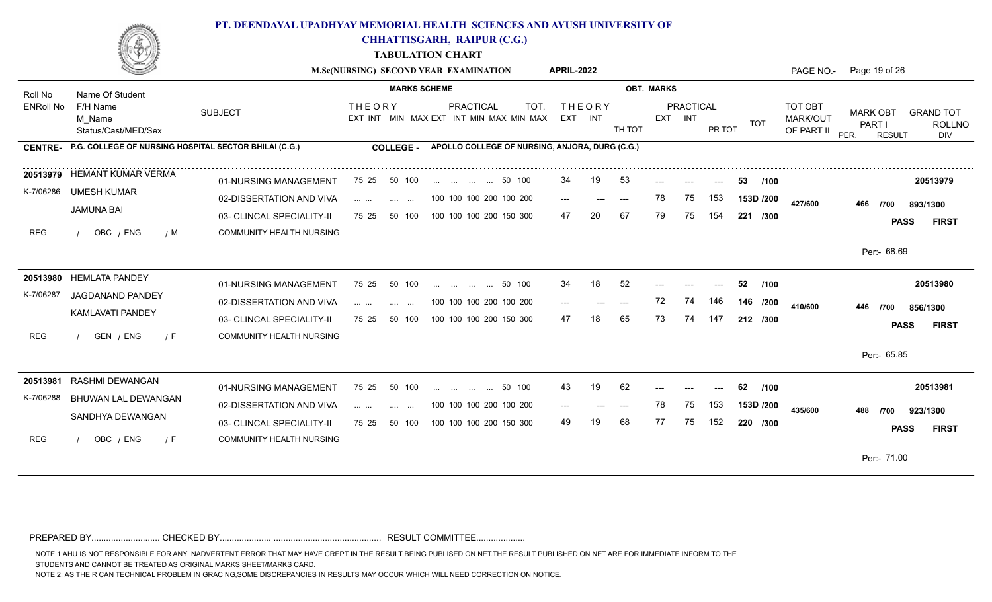

**CHHATTISGARH, RAIPUR (C.G.)**

**TABULATION CHART**

|                  |                                                       |                                 | M.Sc(NURSING) SECOND YEAR EXAMINATION                                                                                                                                                                                                                                                                                                                                                                                                                                                 |                          |                 |                             |                                                | <b>APRIL-2022</b> |                          |                                          |                   |                      |        |            | PAGE NO.-                         | Page 19 of 26                                      |                                          |
|------------------|-------------------------------------------------------|---------------------------------|---------------------------------------------------------------------------------------------------------------------------------------------------------------------------------------------------------------------------------------------------------------------------------------------------------------------------------------------------------------------------------------------------------------------------------------------------------------------------------------|--------------------------|-----------------|-----------------------------|------------------------------------------------|-------------------|--------------------------|------------------------------------------|-------------------|----------------------|--------|------------|-----------------------------------|----------------------------------------------------|------------------------------------------|
| Roll No          | Name Of Student                                       |                                 |                                                                                                                                                                                                                                                                                                                                                                                                                                                                                       | <b>MARKS SCHEME</b>      |                 |                             |                                                |                   |                          |                                          | <b>OBT. MARKS</b> |                      |        |            |                                   |                                                    |                                          |
| <b>ENRoll No</b> | F/H Name<br>M Name<br>Status/Cast/MED/Sex             | <b>SUBJECT</b>                  | <b>THEORY</b><br>EXT INT MIN MAX EXT INT MIN MAX MIN MAX                                                                                                                                                                                                                                                                                                                                                                                                                              |                          |                 | <b>PRACTICAL</b>            | TOT.                                           |                   | <b>THEORY</b><br>EXT INT | TH TOT                                   |                   | PRACTICAL<br>EXT INT | PR TOT | <b>TOT</b> | TOT OBT<br>MARK/OUT<br>OF PART II | <b>MARK OBT</b><br>PART I<br>PER.<br><b>RESULT</b> | <b>GRAND TOT</b><br><b>ROLLNO</b><br>DIV |
| <b>CENTRE-</b>   | P.G. COLLEGE OF NURSING HOSPITAL SECTOR BHILAI (C.G.) |                                 | <b>COLLEGE -</b>                                                                                                                                                                                                                                                                                                                                                                                                                                                                      |                          |                 |                             | APOLLO COLLEGE OF NURSING, ANJORA, DURG (C.G.) |                   |                          |                                          |                   |                      |        |            |                                   |                                                    |                                          |
|                  | 20513979 HEMANT KUMAR VERMA                           | 01-NURSING MANAGEMENT           | 75 25                                                                                                                                                                                                                                                                                                                                                                                                                                                                                 | 50 100                   |                 | 50 100                      |                                                | 34                | 19                       | 53                                       |                   |                      |        | 53<br>/100 |                                   |                                                    | 20513979                                 |
| K-7/06286        | <b>UMESH KUMAR</b>                                    | 02-DISSERTATION AND VIVA        | $\mathbf{1} \cdot \mathbf{1} \cdot \mathbf{1} \cdot \mathbf{1} \cdot \mathbf{1} \cdot \mathbf{1} \cdot \mathbf{1} \cdot \mathbf{1} \cdot \mathbf{1} \cdot \mathbf{1} \cdot \mathbf{1} \cdot \mathbf{1} \cdot \mathbf{1} \cdot \mathbf{1} \cdot \mathbf{1} \cdot \mathbf{1} \cdot \mathbf{1} \cdot \mathbf{1} \cdot \mathbf{1} \cdot \mathbf{1} \cdot \mathbf{1} \cdot \mathbf{1} \cdot \mathbf{1} \cdot \mathbf{1} \cdot \mathbf{1} \cdot \mathbf{1} \cdot \mathbf{1} \cdot \mathbf{$ | <b>Contract Contract</b> |                 | 100 100 100 200 100 200     |                                                | $---$             | $---$                    | $\hspace{0.05cm} \ldots \hspace{0.05cm}$ | 78                | 75                   | 153    | 153D /200  | 427/600                           | 466<br>/700                                        | 893/1300                                 |
|                  | <b>JAMUNA BAI</b>                                     | 03- CLINCAL SPECIALITY-II       | 75 25                                                                                                                                                                                                                                                                                                                                                                                                                                                                                 | 50 100                   |                 | 100 100 100 200 150 300     |                                                | 47                | 20                       | 67                                       | 79                | 75                   | 154    | 221 /300   |                                   |                                                    | <b>PASS</b><br><b>FIRST</b>              |
| REG              | OBC / ENG<br>/ M                                      | COMMUNITY HEALTH NURSING        |                                                                                                                                                                                                                                                                                                                                                                                                                                                                                       |                          |                 |                             |                                                |                   |                          |                                          |                   |                      |        |            |                                   |                                                    |                                          |
|                  |                                                       |                                 |                                                                                                                                                                                                                                                                                                                                                                                                                                                                                       |                          |                 |                             |                                                |                   |                          |                                          |                   |                      |        |            |                                   | Per:- 68.69                                        |                                          |
|                  | 20513980 HEMLATA PANDEY                               | 01-NURSING MANAGEMENT           | 75 25                                                                                                                                                                                                                                                                                                                                                                                                                                                                                 | 50 100                   | and the control | and the state of the state  | 50 100                                         | 34                | 18                       | 52                                       |                   |                      | $---$  | 52<br>/100 |                                   |                                                    | 20513980                                 |
| K-7/06287        | JAGDANAND PANDEY                                      | 02-DISSERTATION AND VIVA        | $\sim 100$                                                                                                                                                                                                                                                                                                                                                                                                                                                                            |                          |                 | 100 100 100 200 100 200     |                                                |                   |                          |                                          | 72                | 74                   | 146    | 146 /200   | 410/600                           | 446<br>/700                                        | 856/1300                                 |
|                  | KAMLAVATI PANDEY                                      | 03- CLINCAL SPECIALITY-II       | 75 25                                                                                                                                                                                                                                                                                                                                                                                                                                                                                 | 50 100                   |                 | 100 100 100 200 150 300     |                                                | 47                |                          | 65                                       | 73                | 74                   | 147    | 212 /300   |                                   |                                                    | <b>PASS</b><br><b>FIRST</b>              |
| <b>REG</b>       | GEN / ENG<br>/ F                                      | <b>COMMUNITY HEALTH NURSING</b> |                                                                                                                                                                                                                                                                                                                                                                                                                                                                                       |                          |                 |                             |                                                |                   |                          |                                          |                   |                      |        |            |                                   |                                                    |                                          |
|                  |                                                       |                                 |                                                                                                                                                                                                                                                                                                                                                                                                                                                                                       |                          |                 |                             |                                                |                   |                          |                                          |                   |                      |        |            |                                   | Per:- 65.85                                        |                                          |
| 20513981         | RASHMI DEWANGAN                                       | 01-NURSING MANAGEMENT           | 75 25                                                                                                                                                                                                                                                                                                                                                                                                                                                                                 | 50 100                   |                 | المنفر المنفر المنفر المنفر | 50 100                                         | 43                | 19                       | 62                                       |                   |                      | $---$  | 62<br>/100 |                                   |                                                    | 20513981                                 |
| K-7/06288        | BHUWAN LAL DEWANGAN                                   | 02-DISSERTATION AND VIVA        | .<br>$\sim 100$                                                                                                                                                                                                                                                                                                                                                                                                                                                                       |                          |                 | 100 100 100 200 100 200     |                                                | ---               |                          | $---$                                    | 78                | 75                   | 153    | 153D /200  | 435/600                           | 488<br>/700                                        | 923/1300                                 |
|                  | SANDHYA DEWANGAN                                      | 03- CLINCAL SPECIALITY-II       | 75 25                                                                                                                                                                                                                                                                                                                                                                                                                                                                                 | 50 100                   |                 | 100 100 100 200 150 300     |                                                | 49                |                          | 68                                       | 77                | 75                   | 152    | 220 /300   |                                   |                                                    | <b>PASS</b><br><b>FIRST</b>              |
| <b>REG</b>       | OBC / ENG<br>/ F                                      | COMMUNITY HEALTH NURSING        |                                                                                                                                                                                                                                                                                                                                                                                                                                                                                       |                          |                 |                             |                                                |                   |                          |                                          |                   |                      |        |            |                                   |                                                    |                                          |
|                  |                                                       |                                 |                                                                                                                                                                                                                                                                                                                                                                                                                                                                                       |                          |                 |                             |                                                |                   |                          |                                          |                   |                      |        |            |                                   | Per:- 71.00                                        |                                          |
|                  |                                                       |                                 |                                                                                                                                                                                                                                                                                                                                                                                                                                                                                       |                          |                 |                             |                                                |                   |                          |                                          |                   |                      |        |            |                                   |                                                    |                                          |

PREPARED BY............................ CHECKED BY..................... ............................................ RESULT COMMITTEE....................

NOTE 1:AHU IS NOT RESPONSIBLE FOR ANY INADVERTENT ERROR THAT MAY HAVE CREPT IN THE RESULT BEING PUBLISED ON NET.THE RESULT PUBLISHED ON NET ARE FOR IMMEDIATE INFORM TO THE

STUDENTS AND CANNOT BE TREATED AS ORIGINAL MARKS SHEET/MARKS CARD.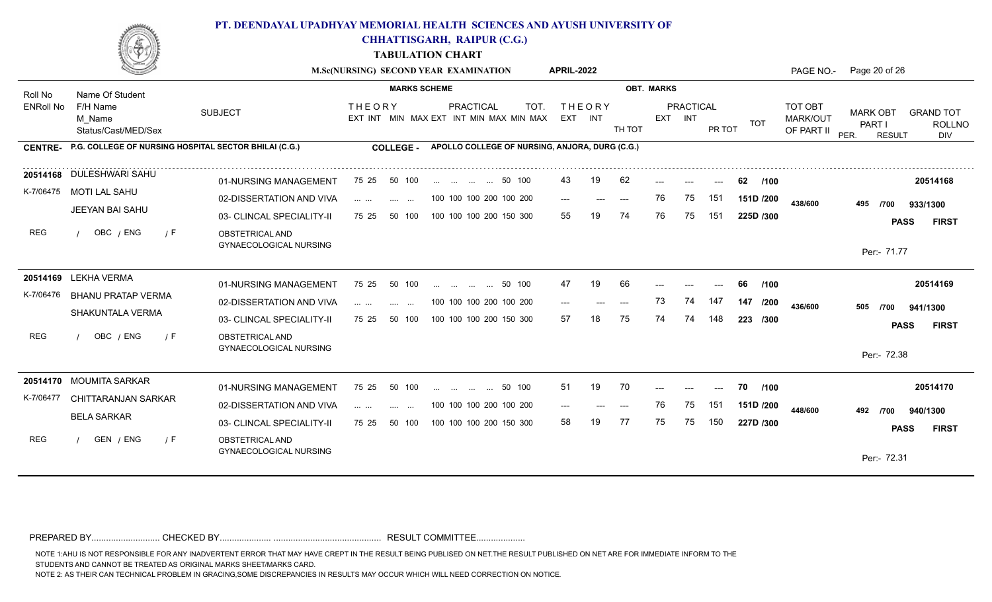

**CHHATTISGARH, RAIPUR (C.G.)**

**TABULATION CHART**

|                  |                                                       |                                                  | M.Sc(NURSING) SECOND YEAR EXAMINATION |                          |                                                |                          |                                                 | <b>APRIL-2022</b> |               |        |                   |                      |        |             | PAGE NO.-                         | Page 20 of 26                                             |                                          |
|------------------|-------------------------------------------------------|--------------------------------------------------|---------------------------------------|--------------------------|------------------------------------------------|--------------------------|-------------------------------------------------|-------------------|---------------|--------|-------------------|----------------------|--------|-------------|-----------------------------------|-----------------------------------------------------------|------------------------------------------|
| Roll No          | Name Of Student                                       |                                                  |                                       | <b>MARKS SCHEME</b>      |                                                |                          |                                                 |                   |               |        | <b>OBT. MARKS</b> |                      |        |             |                                   |                                                           |                                          |
| <b>ENRoll No</b> | F/H Name<br>M Name<br>Status/Cast/MED/Sex             | <b>SUBJECT</b>                                   | <b>THEORY</b>                         |                          |                                                | <b>PRACTICAL</b>         | TOT.<br>EXT INT MIN MAX EXT INT MIN MAX MIN MAX | EXT INT           | <b>THEORY</b> | TH TOT |                   | PRACTICAL<br>EXT INT | PR TOT | TOT         | TOT OBT<br>MARK/OUT<br>OF PART II | <b>MARK OBT</b><br><b>PART I</b><br>PER.<br><b>RESULT</b> | <b>GRAND TOT</b><br><b>ROLLNO</b><br>DIV |
| <b>CENTRE-</b>   | P.G. COLLEGE OF NURSING HOSPITAL SECTOR BHILAI (C.G.) |                                                  |                                       | <b>COLLEGE -</b>         |                                                |                          | APOLLO COLLEGE OF NURSING, ANJORA, DURG (C.G.)  |                   |               |        |                   |                      |        |             |                                   |                                                           |                                          |
|                  | 20514168 DULESHWARI SAHU                              | 01-NURSING MANAGEMENT                            | 75 25                                 | 50 100                   |                                                | 50 100                   |                                                 | 43.               | 19            | 62     |                   |                      |        | 62<br>/100  |                                   |                                                           | 20514168                                 |
|                  | K-7/06475 MOTI LAL SAHU                               | 02-DISSERTATION AND VIVA                         | .                                     | <b>Service Contract</b>  |                                                |                          | 100 100 100 200 100 200                         | $---$             | $---$         | $---$  | 76                | 75                   | 151    | 151D /200   | 438/600                           | 495<br>/700                                               | 933/1300                                 |
|                  | JEEYAN BAI SAHU                                       | 03- CLINCAL SPECIALITY-II                        | 75 25                                 | 50 100                   |                                                |                          | 100 100 100 200 150 300                         | 55                |               | 74     | 76                | 75                   | 151    | 225D /300   |                                   |                                                           | <b>PASS</b><br><b>FIRST</b>              |
| <b>REG</b>       | OBC / ENG<br>/ F                                      | OBSTETRICAL AND<br><b>GYNAECOLOGICAL NURSING</b> |                                       |                          |                                                |                          |                                                 |                   |               |        |                   |                      |        |             |                                   | Per:- 71.77                                               |                                          |
|                  | 20514169 LEKHA VERMA                                  | 01-NURSING MANAGEMENT                            | 75 25                                 | 50 100                   |                                                | and the same of the same | 50 100                                          | 47                | 19            | 66     |                   |                      |        | 1100<br>66  |                                   |                                                           | 20514169                                 |
| K-7/06476        | BHANU PRATAP VERMA                                    | 02-DISSERTATION AND VIVA                         |                                       | $\cdots$<br>$\cdots$     |                                                |                          | 100 100 100 200 100 200                         | $---$             | ---           | $---$  | 73                | 74                   | 147    | 147<br>/200 |                                   |                                                           |                                          |
|                  | SHAKUNTALA VERMA                                      | 03- CLINCAL SPECIALITY-II                        | 75 25                                 | 50 100                   |                                                |                          | 100 100 100 200 150 300                         | 57                |               | 75     | 74                | 74                   | 148    | 223 /300    | 436/600                           | 505<br>/700                                               | 941/1300                                 |
| <b>REG</b>       | OBC / ENG<br>$\sqrt{F}$                               | OBSTETRICAL AND                                  |                                       |                          |                                                |                          |                                                 |                   |               |        |                   |                      |        |             |                                   |                                                           | <b>PASS</b><br><b>FIRST</b>              |
|                  |                                                       | <b>GYNAECOLOGICAL NURSING</b>                    |                                       |                          |                                                |                          |                                                 |                   |               |        |                   |                      |        |             |                                   | Per:- 72.38                                               |                                          |
|                  | 20514170 MOUMITA SARKAR                               | 01-NURSING MANAGEMENT                            | 75 25                                 | 50 100                   | $\mathbf{r}$ and $\mathbf{r}$ and $\mathbf{r}$ | $\sim$ 100 $\sim$        | 50 100                                          | 51                | 19            | 70     |                   |                      |        | 70<br>/100  |                                   |                                                           | 20514170                                 |
| K-7/06477        | CHITTARANJAN SARKAR                                   | 02-DISSERTATION AND VIVA                         | and the con-                          | <b>Contract Contract</b> |                                                |                          | 100 100 100 200 100 200                         | ---               |               | $---$  | 76                | 75                   | 151    | 151D /200   | 448/600                           |                                                           |                                          |
|                  | <b>BELA SARKAR</b>                                    | 03- CLINCAL SPECIALITY-II                        | 75 25                                 | 50 100                   |                                                |                          | 100 100 100 200 150 300                         | 58                | 19            | 77     | 75                | 75                   | 150    | 227D /300   |                                   | 492<br>/700                                               | 940/1300                                 |
| <b>REG</b>       | GEN / ENG<br>/ F                                      | OBSTETRICAL AND<br><b>GYNAECOLOGICAL NURSING</b> |                                       |                          |                                                |                          |                                                 |                   |               |        |                   |                      |        |             |                                   |                                                           | <b>FIRST</b><br><b>PASS</b>              |

PREPARED BY............................ CHECKED BY..................... ............................................ RESULT COMMITTEE....................

NOTE 1:AHU IS NOT RESPONSIBLE FOR ANY INADVERTENT ERROR THAT MAY HAVE CREPT IN THE RESULT BEING PUBLISED ON NET.THE RESULT PUBLISHED ON NET ARE FOR IMMEDIATE INFORM TO THE

STUDENTS AND CANNOT BE TREATED AS ORIGINAL MARKS SHEET/MARKS CARD.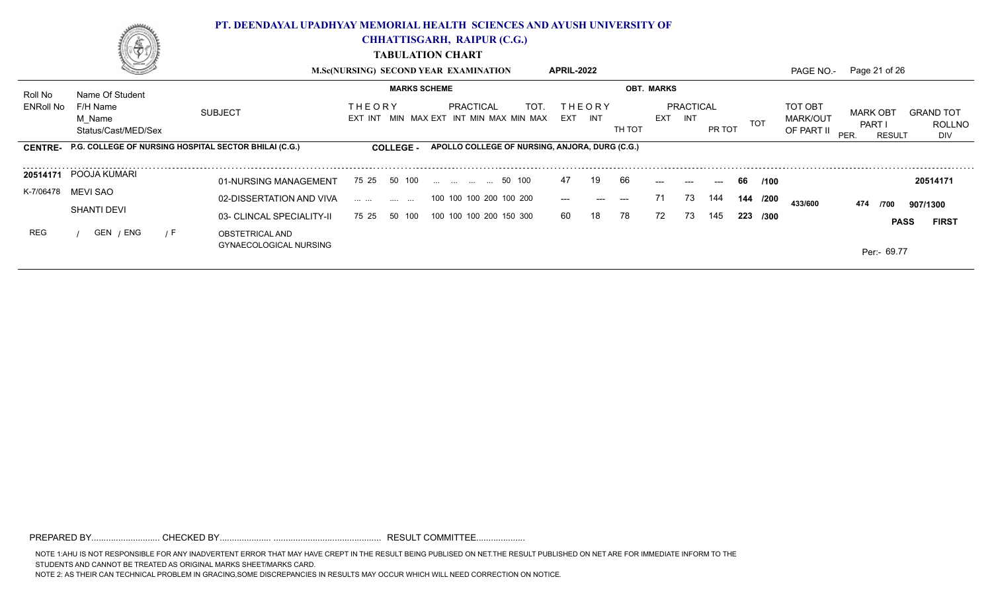

**CHHATTISGARH, RAIPUR (C.G.)**

**TABULATION CHART**

|           | - 19                                                          |                                                  | <b>M.Sc(NURSING) SECOND YEAR EXAMINATION</b> |                                                              | APRIL-2022               |                |                   |                         |        |            | PAGE NO.-                                | Page 21 of 26                                          |                                          |
|-----------|---------------------------------------------------------------|--------------------------------------------------|----------------------------------------------|--------------------------------------------------------------|--------------------------|----------------|-------------------|-------------------------|--------|------------|------------------------------------------|--------------------------------------------------------|------------------------------------------|
| Roll No   | Name Of Student                                               |                                                  | <b>MARKS SCHEME</b>                          |                                                              |                          |                | <b>OBT. MARKS</b> |                         |        |            |                                          |                                                        |                                          |
| ENRoll No | F/H Name<br>M Name<br>Status/Cast/MED/Sex                     | <b>SUBJECT</b>                                   | <b>THEORY</b>                                | PRACTICAL<br>TOT.<br>EXT INT MIN MAX EXT INT MIN MAX MIN MAX | <b>THEORY</b><br>EXT INT | TH TOT         | EXT               | PRACTICAL<br><b>INT</b> | PR TOT | <b>TOT</b> | TOT OBT<br><b>MARK/OUT</b><br>OF PART II | <b>MARK OBT</b><br><b>PART</b><br>PER<br><b>RESULT</b> | <b>GRAND TOT</b><br><b>ROLLNO</b><br>DIV |
|           | CENTRE- P.G. COLLEGE OF NURSING HOSPITAL SECTOR BHILAI (C.G.) |                                                  | <b>COLLEGE -</b>                             | APOLLO COLLEGE OF NURSING, ANJORA, DURG (C.G.)               |                          |                |                   |                         |        |            |                                          |                                                        |                                          |
|           | 20514171 POOJA KUMARI                                         | 01-NURSING MANAGEMENT                            | 75 25 50 100                                 | 50 100                                                       | 47                       | 66<br>19       | $---$             | $---$                   | $---$  | 66 /100    |                                          |                                                        | 20514171                                 |
| K-7/06478 | MEVI SAO                                                      | 02-DISSERTATION AND VIVA                         | المتدار التبين الماريني التبديل              | 100 100 100 200 100 200                                      | $---$                    | $---$<br>$---$ | 71                | 73                      | 144    | 144 /200   | 433/600                                  | 474<br>/700                                            | 907/1300                                 |
|           | <b>SHANTI DEVI</b>                                            | 03- CLINCAL SPECIALITY-II                        | 50 100<br>75 25                              | 100 100 100 200 150 300                                      | 60                       | 78<br>18       | 72                | 73                      | 145    | 223 /300   |                                          |                                                        | <b>PASS</b><br><b>FIRST</b>              |
| REG       | GEN / ENG<br>7 F                                              | OBSTETRICAL AND<br><b>GYNAECOLOGICAL NURSING</b> |                                              |                                                              |                          |                |                   |                         |        |            |                                          | Per:- 69.77                                            |                                          |

PREPARED BY............................ CHECKED BY..................... ............................................ RESULT COMMITTEE....................

NOTE 1:AHU IS NOT RESPONSIBLE FOR ANY INADVERTENT ERROR THAT MAY HAVE CREPT IN THE RESULT BEING PUBLISED ON NET.THE RESULT PUBLISHED ON NET ARE FOR IMMEDIATE INFORM TO THE STUDENTS AND CANNOT BE TREATED AS ORIGINAL MARKS SHEET/MARKS CARD.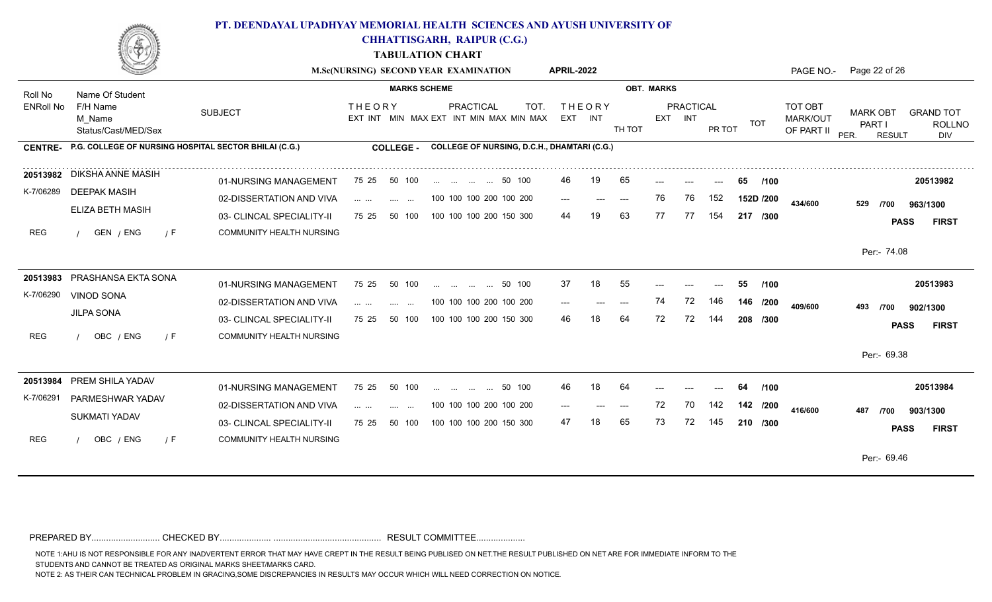

**CHHATTISGARH, RAIPUR (C.G.)**

**TABULATION CHART**

|                  |                                                       |                                                       | M.Sc(NURSING) SECOND YEAR EXAMINATION                    |                                           |                                 |                  |                                                    | <b>APRIL-2022</b> |               |        |                   |                      |        |            | PAGE NO.-                         | Page 22 of 26                                      |                                          |
|------------------|-------------------------------------------------------|-------------------------------------------------------|----------------------------------------------------------|-------------------------------------------|---------------------------------|------------------|----------------------------------------------------|-------------------|---------------|--------|-------------------|----------------------|--------|------------|-----------------------------------|----------------------------------------------------|------------------------------------------|
| Roll No          | Name Of Student                                       |                                                       |                                                          | <b>MARKS SCHEME</b>                       |                                 |                  |                                                    |                   |               |        | <b>OBT. MARKS</b> |                      |        |            |                                   |                                                    |                                          |
| <b>ENRoll No</b> | F/H Name<br>M Name<br>Status/Cast/MED/Sex             | <b>SUBJECT</b>                                        | <b>THEORY</b><br>EXT INT MIN MAX EXT INT MIN MAX MIN MAX |                                           |                                 | <b>PRACTICAL</b> | TOT.                                               | EXT INT           | <b>THEORY</b> | TH TOT |                   | PRACTICAL<br>EXT INT | PR TOT | <b>TOT</b> | TOT OBT<br>MARK/OUT<br>OF PART II | <b>MARK OBT</b><br>PART I<br>PER.<br><b>RESULT</b> | <b>GRAND TOT</b><br><b>ROLLNO</b><br>DIV |
| <b>CENTRE-</b>   | P.G. COLLEGE OF NURSING HOSPITAL SECTOR BHILAI (C.G.) |                                                       |                                                          | <b>COLLEGE -</b>                          |                                 |                  | <b>COLLEGE OF NURSING, D.C.H., DHAMTARI (C.G.)</b> |                   |               |        |                   |                      |        |            |                                   |                                                    |                                          |
|                  | 20513982 DIKSHA ANNE MASIH                            | 01-NURSING MANAGEMENT                                 | 75 25                                                    | 50 100                                    | 50 100                          |                  |                                                    | 46.               | 19            | 65     | ---               | ---                  | $---$  | 65<br>/100 |                                   |                                                    | 20513982                                 |
| K-7/06289        | <b>DEEPAK MASIH</b><br>ELIZA BETH MASIH               | 02-DISSERTATION AND VIVA                              | $\mathbf{1}$ and $\mathbf{1}$ and $\mathbf{1}$           | $\sim$ $\sim$ $\sim$ $\sim$ $\sim$ $\sim$ | 100 100 100 200 100 200         |                  |                                                    | $---$             |               | $---$  | 76                | 76                   | 152    | 152D /200  | 434/600                           | 529<br>/700                                        | 963/1300                                 |
|                  |                                                       | 03- CLINCAL SPECIALITY-II                             | 75 25                                                    | 50 100                                    | 100 100 100 200 150 300         |                  |                                                    | 44                | 19            | 63     | 77                | 77                   | 154    | 217 /300   |                                   |                                                    | <b>FIRST</b><br><b>PASS</b>              |
| <b>REG</b>       | GEN / ENG<br>7 F                                      | COMMUNITY HEALTH NURSING                              |                                                          |                                           |                                 |                  |                                                    |                   |               |        |                   |                      |        |            |                                   | Per:- 74.08                                        |                                          |
|                  | 20513983 PRASHANSA EKTA SONA                          | 01-NURSING MANAGEMENT                                 | 75 25                                                    | 50 100                                    | and the same company            |                  | 50 100                                             | 37                | 18            | 55     |                   |                      |        | 55<br>/100 |                                   |                                                    | 20513983                                 |
| K-7/06290        | <b>VINOD SONA</b><br><b>JILPA SONA</b>                | 02-DISSERTATION AND VIVA                              |                                                          |                                           | 100 100 100 200 100 200         |                  |                                                    | ---               |               |        | 74                | 72                   | 146    | 146 /200   | 409/600                           | 493<br>/700                                        | 902/1300                                 |
| <b>REG</b>       | OBC / ENG<br>/ F                                      | 03- CLINCAL SPECIALITY-II<br>COMMUNITY HEALTH NURSING | 75 25 50 100                                             |                                           | 100 100 100 200 150 300         |                  |                                                    | 46                |               |        | 72                |                      |        | 208 /300   |                                   |                                                    | <b>PASS</b><br><b>FIRST</b>              |
|                  |                                                       |                                                       |                                                          |                                           |                                 |                  |                                                    |                   |               |        |                   |                      |        |            |                                   | Per:- 69.38                                        |                                          |
| 20513984         | PREM SHILA YADAV                                      | 01-NURSING MANAGEMENT                                 | 75 25                                                    | 50 100                                    | المندار النبيان البندار البندار |                  | 50 100                                             | 46                | 18            | 64     |                   |                      |        | /100<br>64 |                                   |                                                    | 20513984                                 |
| K-7/06291        | PARMESHWAR YADAV                                      | 02-DISSERTATION AND VIVA                              | .                                                        | $\sim$ $\sim$ $\sim$                      | 100 100 100 200 100 200         |                  |                                                    | $---$             | ---           | ---    | 72                | 70                   | 142    | 142 /200   | 416/600                           | 487<br>/700                                        | 903/1300                                 |
|                  | SUKMATI YADAV                                         | 03- CLINCAL SPECIALITY-II                             | 75 25                                                    | 50 100                                    | 100 100 100 200 150 300         |                  |                                                    | 47                |               | 65     | 73                | 72                   | 145    | 210 /300   |                                   |                                                    | <b>PASS</b><br><b>FIRST</b>              |
| <b>REG</b>       | OBC / ENG<br>/ F                                      | COMMUNITY HEALTH NURSING                              |                                                          |                                           |                                 |                  |                                                    |                   |               |        |                   |                      |        |            |                                   | Per:- 69.46                                        |                                          |
|                  |                                                       |                                                       |                                                          |                                           |                                 |                  |                                                    |                   |               |        |                   |                      |        |            |                                   |                                                    |                                          |

PREPARED BY............................ CHECKED BY..................... ............................................ RESULT COMMITTEE....................

NOTE 1:AHU IS NOT RESPONSIBLE FOR ANY INADVERTENT ERROR THAT MAY HAVE CREPT IN THE RESULT BEING PUBLISED ON NET.THE RESULT PUBLISHED ON NET ARE FOR IMMEDIATE INFORM TO THE

STUDENTS AND CANNOT BE TREATED AS ORIGINAL MARKS SHEET/MARKS CARD.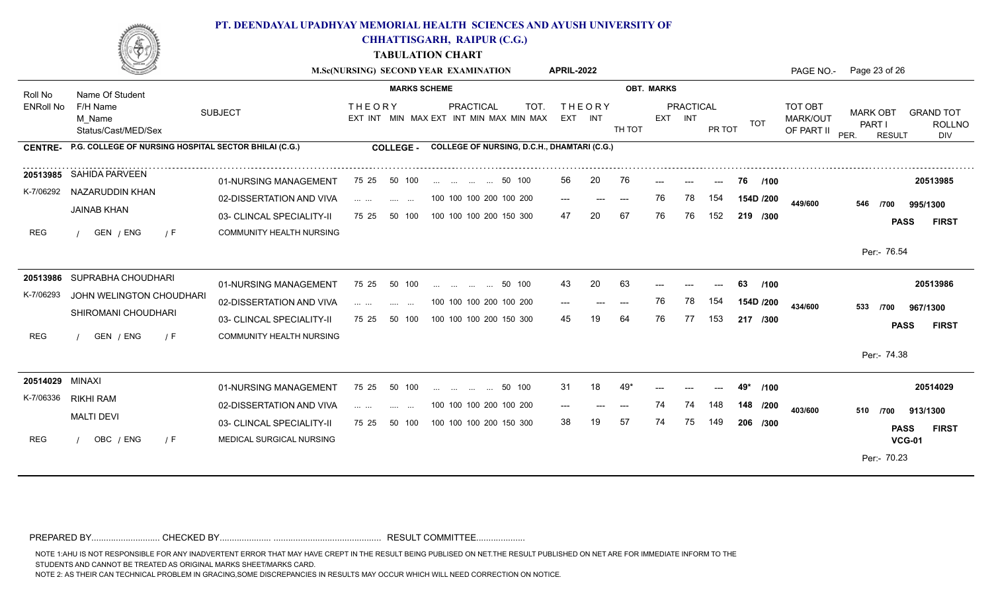

**CHHATTISGARH, RAIPUR (C.G.)**

**TABULATION CHART**

|                  |                                                               |                                 |                                             | M.Sc(NURSING) SECOND YEAR EXAMINATION                               | <b>APRIL-2022</b>            |                   |                     | PAGE NO.-                                       | Page 23 of 26                                                                                  |
|------------------|---------------------------------------------------------------|---------------------------------|---------------------------------------------|---------------------------------------------------------------------|------------------------------|-------------------|---------------------|-------------------------------------------------|------------------------------------------------------------------------------------------------|
| Roll No          | Name Of Student                                               |                                 | <b>MARKS SCHEME</b>                         |                                                                     |                              | <b>OBT. MARKS</b> |                     |                                                 |                                                                                                |
| <b>ENRoll No</b> | F/H Name<br>M Name<br>Status/Cast/MED/Sex                     | <b>SUBJECT</b>                  | <b>THEORY</b>                               | <b>PRACTICAL</b><br>TOT.<br>EXT INT MIN MAX EXT INT MIN MAX MIN MAX | THEORY<br>EXT INT            | EXT INT<br>TH TOT | PRACTICAL<br>PR TOT | TOT OBT<br><b>MARK/OUT</b><br>TOT<br>OF PART II | <b>MARK OBT</b><br><b>GRAND TOT</b><br>PART I<br><b>ROLLNO</b><br>PER.<br><b>RESULT</b><br>DIV |
|                  | CENTRE- P.G. COLLEGE OF NURSING HOSPITAL SECTOR BHILAI (C.G.) |                                 | <b>COLLEGE -</b>                            | <b>COLLEGE OF NURSING, D.C.H., DHAMTARI (C.G.)</b>                  |                              |                   |                     |                                                 |                                                                                                |
| 20513985         | SAHIDA PARVEEN                                                | 01-NURSING MANAGEMENT           | 75 25<br>50 100                             | 50 100                                                              | 20<br>56                     | 76                |                     | 76.<br>/100                                     | 20513985                                                                                       |
| K-7/06292        | NAZARUDDIN KHAN                                               | 02-DISSERTATION AND VIVA        | and the same<br><b>Contract Contract</b>    | 100 100 100 200 100 200                                             | $---$<br>$\qquad \qquad - -$ | 76<br>$---$       | 154<br>78           | 154D /200<br>449/600                            | 546<br>/700<br>995/1300                                                                        |
|                  | <b>JAINAB KHAN</b>                                            | 03- CLINCAL SPECIALITY-II       | 75 25<br>50 100                             | 100 100 100 200 150 300                                             | 47<br>20                     | 67<br>76          | 152<br>76           | 219 /300                                        | <b>PASS</b><br><b>FIRST</b>                                                                    |
| <b>REG</b>       | GEN / ENG<br>$\sqrt{F}$                                       | <b>COMMUNITY HEALTH NURSING</b> |                                             |                                                                     |                              |                   |                     |                                                 | Per:- 76.54                                                                                    |
|                  |                                                               |                                 |                                             |                                                                     |                              |                   |                     |                                                 |                                                                                                |
|                  | 20513986 SUPRABHA CHOUDHARI                                   | 01-NURSING MANAGEMENT           | 75 25<br>50 100                             | 50 100<br>$\mathbf{r}$ . The same state $\mathbf{r}$                | 20<br>43                     | 63                |                     | 63<br>/100                                      | 20513986                                                                                       |
| K-7/06293        | JOHN WELINGTON CHOUDHARI                                      | 02-DISSERTATION AND VIVA        | <b>ALC: 400</b><br><b>Contract Contract</b> | 100 100 100 200 100 200                                             | $---$<br>$---$               | 76<br>$---$       | 78<br>154           | 154D /200<br>434/600                            | 533<br>/700<br>967/1300                                                                        |
|                  | SHIROMANI CHOUDHARI                                           | 03- CLINCAL SPECIALITY-II       | 75 25<br>50 100                             | 100 100 100 200 150 300                                             | 45                           | 64<br>76          | 77<br>153           | 217 /300                                        | <b>FIRST</b><br><b>PASS</b>                                                                    |
| <b>REG</b>       | GEN / ENG<br>7 F                                              | <b>COMMUNITY HEALTH NURSING</b> |                                             |                                                                     |                              |                   |                     |                                                 |                                                                                                |
|                  |                                                               |                                 |                                             |                                                                     |                              |                   |                     |                                                 | Per:- 74.38                                                                                    |
| 20514029 MINAXI  |                                                               | 01-NURSING MANAGEMENT           | 50 100<br>75 25                             | 50 100<br>$\ldots$ . $\ldots$ . $\ldots$ . $\ldots$                 | 31<br>18                     | 49                |                     | 49*<br>/100                                     | 20514029                                                                                       |
|                  | K-7/06336 RIKHI RAM                                           | 02-DISSERTATION AND VIVA        | <b>Sections</b><br><b>Contract Contract</b> | 100 100 100 200 100 200                                             | $---$                        | 74<br>$---$       | 148<br>74           | 148 /200<br>403/600                             | 510 /700                                                                                       |
|                  | <b>MALTI DEVI</b>                                             | 03- CLINCAL SPECIALITY-II       | 50 100<br>75 25                             | 100 100 100 200 150 300                                             | 38<br>19                     | 57<br>74          | 75<br>149           | 206 /300                                        | 913/1300<br><b>FIRST</b><br><b>PASS</b>                                                        |
| <b>REG</b>       | OBC / ENG<br>$\sqrt{F}$                                       | MEDICAL SURGICAL NURSING        |                                             |                                                                     |                              |                   |                     |                                                 | <b>VCG-01</b>                                                                                  |
|                  |                                                               |                                 |                                             |                                                                     |                              |                   |                     |                                                 | Per:- 70.23                                                                                    |
|                  |                                                               |                                 |                                             |                                                                     |                              |                   |                     |                                                 |                                                                                                |

PREPARED BY............................ CHECKED BY..................... ............................................ RESULT COMMITTEE....................

NOTE 1:AHU IS NOT RESPONSIBLE FOR ANY INADVERTENT ERROR THAT MAY HAVE CREPT IN THE RESULT BEING PUBLISED ON NET.THE RESULT PUBLISHED ON NET ARE FOR IMMEDIATE INFORM TO THE

STUDENTS AND CANNOT BE TREATED AS ORIGINAL MARKS SHEET/MARKS CARD.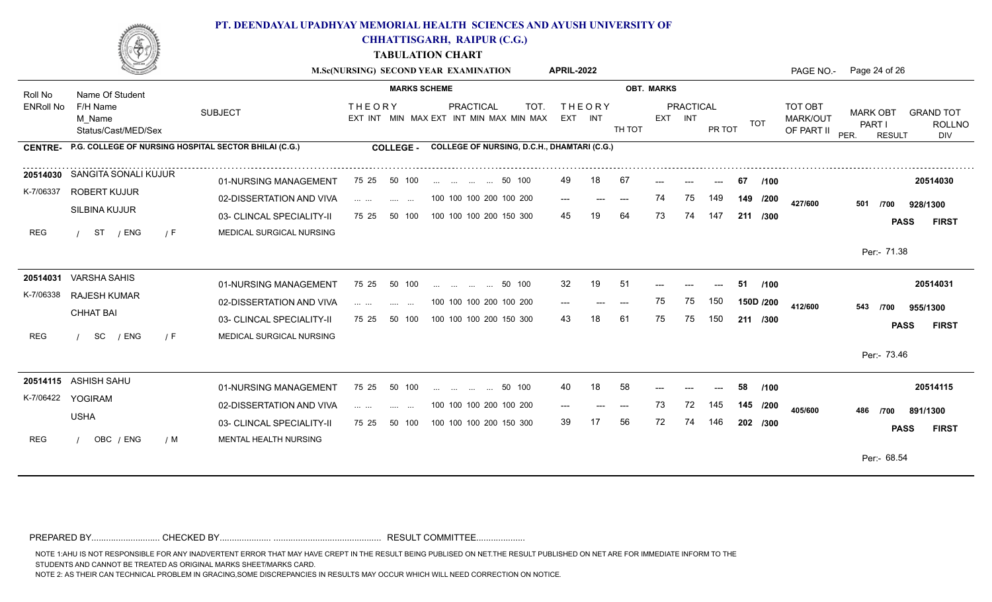

**CHHATTISGARH, RAIPUR (C.G.)**

**TABULATION CHART**

|                  |                                                               |                           |                                                                                                                       | M.Sc(NURSING) SECOND YEAR EXAMINATION                               | <b>APRIL-2022</b>        |                   |                             |                      | PAGE NO.-                         | Page 24 of 26                                                                                  |
|------------------|---------------------------------------------------------------|---------------------------|-----------------------------------------------------------------------------------------------------------------------|---------------------------------------------------------------------|--------------------------|-------------------|-----------------------------|----------------------|-----------------------------------|------------------------------------------------------------------------------------------------|
| Roll No          | Name Of Student                                               |                           | <b>MARKS SCHEME</b>                                                                                                   |                                                                     |                          | <b>OBT. MARKS</b> |                             |                      |                                   |                                                                                                |
| <b>ENRoll No</b> | F/H Name<br>M Name<br>Status/Cast/MED/Sex                     | <b>SUBJECT</b>            | <b>THEORY</b>                                                                                                         | <b>PRACTICAL</b><br>TOT.<br>EXT INT MIN MAX EXT INT MIN MAX MIN MAX | <b>THEORY</b><br>EXT INT | TH TOT            | <b>PRACTICAL</b><br>EXT INT | <b>TOT</b><br>PR TOT | TOT OBT<br>MARK/OUT<br>OF PART II | <b>MARK OBT</b><br><b>GRAND TOT</b><br>PART I<br><b>ROLLNO</b><br>PER.<br><b>RESULT</b><br>DIV |
|                  | CENTRE- P.G. COLLEGE OF NURSING HOSPITAL SECTOR BHILAI (C.G.) |                           | <b>COLLEGE -</b>                                                                                                      | COLLEGE OF NURSING, D.C.H., DHAMTARI (C.G.)                         |                          |                   |                             |                      |                                   |                                                                                                |
| 20514030         | SANGITA SONALI KUJUR                                          | 01-NURSING MANAGEMENT     | 75 25<br>50 100                                                                                                       | 50 100                                                              | 18<br>49                 | 67                |                             | 67<br>/100           |                                   | 20514030                                                                                       |
| K-7/06337        | ROBERT KUJUR                                                  | 02-DISSERTATION AND VIVA  | $\mathcal{L}_{\mathcal{A}}$ , $\mathcal{L}_{\mathcal{A}}$ , $\mathcal{L}_{\mathcal{A}}$ ,<br><b>Contract Contract</b> | 100 100 100 200 100 200                                             | $---$<br>$---$           | 74<br>$---$       | 149<br>75                   | 149 /200             | 427/600                           | 501<br>/700<br>928/1300                                                                        |
|                  | SILBINA KUJUR                                                 | 03- CLINCAL SPECIALITY-II | 75 25<br>50 100                                                                                                       | 100 100 100 200 150 300                                             | 45<br>19                 | 64<br>73          | 74<br>147                   | 211 /300             |                                   | <b>PASS</b><br><b>FIRST</b>                                                                    |
| <b>REG</b>       | ST<br>/ ENG<br>$\sqrt{F}$                                     | MEDICAL SURGICAL NURSING  |                                                                                                                       |                                                                     |                          |                   |                             |                      |                                   | Per:- 71.38                                                                                    |
|                  |                                                               |                           |                                                                                                                       |                                                                     |                          |                   |                             |                      |                                   |                                                                                                |
|                  | 20514031 VARSHA SAHIS                                         | 01-NURSING MANAGEMENT     | 50 100<br>75 25                                                                                                       | 50 100<br>$\mathbf{r}$ . The same state $\mathbf{r}$                | 19<br>32                 | -51               |                             | /100<br>51           |                                   | 20514031                                                                                       |
| K-7/06338        | <b>RAJESH KUMAR</b><br><b>CHHAT BAI</b>                       | 02-DISSERTATION AND VIVA  | .<br>and the same state                                                                                               | 100 100 100 200 100 200                                             |                          | 75<br>$---$       | 75<br>150                   | 150D /200            | 412/600                           | 543<br>955/1300<br>/700                                                                        |
|                  |                                                               | 03- CLINCAL SPECIALITY-II | 75 25<br>50 100                                                                                                       | 100 100 100 200 150 300                                             | 43<br>18                 | 61<br>75          | 75<br>150                   | 211 /300             |                                   | <b>PASS</b><br><b>FIRST</b>                                                                    |
| <b>REG</b>       | SC<br>/ ENG<br>$\sqrt{F}$                                     | MEDICAL SURGICAL NURSING  |                                                                                                                       |                                                                     |                          |                   |                             |                      |                                   | Per:- 73.46                                                                                    |
|                  |                                                               |                           |                                                                                                                       |                                                                     |                          |                   |                             |                      |                                   |                                                                                                |
|                  | 20514115 ASHISH SAHU<br>K-7/06422 YOGIRAM                     | 01-NURSING MANAGEMENT     | 75 25<br>50 100                                                                                                       | 50 100<br>المنفر المنفر المنفر المنفر                               | 18<br>40                 | 58                |                             | 58<br>/100           |                                   | 20514115                                                                                       |
|                  | <b>USHA</b>                                                   | 02-DISSERTATION AND VIVA  | and the con-<br>$\sim 100$ and $\sim 100$<br>$\sim$ 100 $\mu$                                                         | 100 100 100 200 100 200                                             |                          | 73<br>$---$       | 72<br>145                   | 145 /200             | 405/600                           | 486<br>891/1300<br>/700                                                                        |
|                  |                                                               | 03- CLINCAL SPECIALITY-II | 75 25<br>50 100                                                                                                       | 100 100 100 200 150 300                                             | 39                       | 56<br>72          | 74<br>146                   | 202 /300             |                                   | <b>PASS</b><br><b>FIRST</b>                                                                    |
| <b>REG</b>       | OBC / ENG<br>/ M                                              | MENTAL HEALTH NURSING     |                                                                                                                       |                                                                     |                          |                   |                             |                      |                                   | Per:- 68.54                                                                                    |
|                  |                                                               |                           |                                                                                                                       |                                                                     |                          |                   |                             |                      |                                   |                                                                                                |

PREPARED BY............................ CHECKED BY..................... ............................................ RESULT COMMITTEE....................

NOTE 1:AHU IS NOT RESPONSIBLE FOR ANY INADVERTENT ERROR THAT MAY HAVE CREPT IN THE RESULT BEING PUBLISED ON NET.THE RESULT PUBLISHED ON NET ARE FOR IMMEDIATE INFORM TO THE

STUDENTS AND CANNOT BE TREATED AS ORIGINAL MARKS SHEET/MARKS CARD.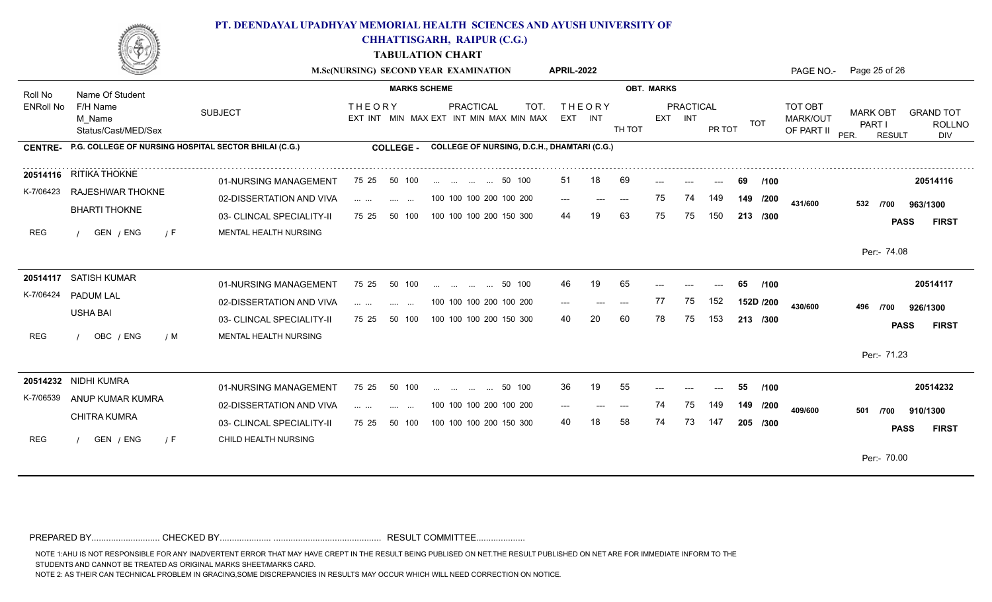

**CHHATTISGARH, RAIPUR (C.G.)**

**TABULATION CHART**

|                      |                                                              |                           | M.Sc(NURSING) SECOND YEAR EXAMINATION                                                                                                          |              |                                   |                                                    | <b>APRIL-2022</b> |                   |        |    |                             |        |            | PAGE NO.-                                | Page 25 of 26                                      |                                          |
|----------------------|--------------------------------------------------------------|---------------------------|------------------------------------------------------------------------------------------------------------------------------------------------|--------------|-----------------------------------|----------------------------------------------------|-------------------|-------------------|--------|----|-----------------------------|--------|------------|------------------------------------------|----------------------------------------------------|------------------------------------------|
| Roll No<br>ENRoll No | Name Of Student<br>F/H Name<br>M Name<br>Status/Cast/MED/Sex |                           | <b>OBT. MARKS</b>                                                                                                                              |              |                                   |                                                    |                   |                   |        |    |                             |        |            |                                          |                                                    |                                          |
|                      |                                                              | <b>SUBJECT</b>            | <b>THEORY</b><br>EXT INT MIN MAX EXT INT MIN MAX MIN MAX                                                                                       |              | <b>PRACTICAL</b>                  | TOT.                                               |                   | THEORY<br>EXT INT | TH TOT |    | <b>PRACTICAL</b><br>EXT INT | PR TOT | TOT        | TOT OBT<br><b>MARK/OUT</b><br>OF PART II | <b>MARK OBT</b><br>PART I<br>PER.<br><b>RESULT</b> | <b>GRAND TOT</b><br><b>ROLLNO</b><br>DIV |
| <b>CENTRE-</b>       | P.G. COLLEGE OF NURSING HOSPITAL SECTOR BHILAI (C.G.)        |                           | <b>COLLEGE -</b>                                                                                                                               |              |                                   | <b>COLLEGE OF NURSING, D.C.H., DHAMTARI (C.G.)</b> |                   |                   |        |    |                             |        |            |                                          |                                                    |                                          |
|                      | 20514116 RITIKA THOKNE                                       | 01-NURSING MANAGEMENT     | 75 25 50 100                                                                                                                                   |              | 50 100                            |                                                    | 51                | 18                | 69     |    |                             |        | 69<br>/100 |                                          |                                                    | 20514116                                 |
| K-7/06423            | RAJESHWAR THOKNE                                             | 02-DISSERTATION AND VIVA  | $\mathbf{1} \cdot \mathbf{1} \cdot \mathbf{1} \cdot \mathbf{1} \cdot \mathbf{1} \cdot \mathbf{1} \cdot \mathbf{1}$<br><b>Contract Contract</b> |              | 100 100 100 200 100 200           |                                                    | $---$             | $---$             | $---$  | 75 | 74                          | 149    | 149 /200   | 431/600                                  | 532<br>/700                                        | 963/1300                                 |
|                      | <b>BHARTI THOKNE</b>                                         | 03- CLINCAL SPECIALITY-II | 75 25<br>50 100                                                                                                                                |              | 100 100 100 200 150 300           |                                                    | 44                |                   | 63     | 75 | 75                          | 150    | 213 /300   |                                          |                                                    | <b>FIRST</b><br><b>PASS</b>              |
| <b>REG</b>           | GEN / ENG<br>/ F                                             | MENTAL HEALTH NURSING     |                                                                                                                                                |              |                                   |                                                    |                   |                   |        |    |                             |        |            |                                          |                                                    |                                          |
|                      |                                                              |                           |                                                                                                                                                |              |                                   |                                                    |                   |                   |        |    |                             |        |            |                                          | Per:- 74.08                                        |                                          |
|                      | 20514117 SATISH KUMAR                                        | 01-NURSING MANAGEMENT     | 75 25<br>50 100                                                                                                                                | $\mathbf{r}$ | $\mathbf{r}$<br>$\cdots$          | 50 100                                             | 46                | 19                | 65     |    |                             |        | /100<br>65 |                                          |                                                    | 20514117                                 |
| K-7/06424            | PADUM LAL                                                    | 02-DISSERTATION AND VIVA  | $\mathbf{1} \cdot \mathbf{1} \cdot \mathbf{1} \cdot \mathbf{1} \cdot \mathbf{1} \cdot \mathbf{1} \cdot \mathbf{1}$<br>and the same             |              | 100 100 100 200 100 200           |                                                    | $---$             | $---$             | $---$  | 77 | 75                          | 152    | 152D /200  | 430/600                                  | 496<br>/700                                        | 926/1300                                 |
|                      | <b>USHA BAI</b>                                              | 03- CLINCAL SPECIALITY-II | 50 100<br>75 25                                                                                                                                |              | 100 100 100 200 150 300           |                                                    | 40                | 20                | 60     | 78 | 75                          | 53     | 213 /300   |                                          |                                                    | <b>PASS</b><br><b>FIRST</b>              |
| <b>REG</b>           | OBC / ENG<br>/ M                                             | MENTAL HEALTH NURSING     |                                                                                                                                                |              |                                   |                                                    |                   |                   |        |    |                             |        |            |                                          |                                                    |                                          |
|                      |                                                              |                           |                                                                                                                                                |              |                                   |                                                    |                   |                   |        |    |                             |        |            |                                          | Per:- 71.23                                        |                                          |
|                      | 20514232 NIDHI KUMRA                                         | 01-NURSING MANAGEMENT     | 75 25<br>50 100                                                                                                                                |              | المنتقل المتناول المتناول المتناو | 50 100                                             | 36                | 19                | 55     |    |                             |        | /100<br>55 |                                          |                                                    | 20514232                                 |
| K-7/06539            | ANUP KUMAR KUMRA                                             | 02-DISSERTATION AND VIVA  | $\mathcal{L}_{\mathcal{A}}$ , and $\mathcal{L}_{\mathcal{A}}$ , and $\mathcal{L}_{\mathcal{A}}$<br>$\sim$                                      | $\cdots$     | 100 100 100 200 100 200           |                                                    | ---               |                   | $---$  | 74 | 75                          |        | 149 /200   | 409/600                                  | 501<br>/700                                        | 910/1300                                 |
|                      | <b>CHITRA KUMRA</b>                                          | 03- CLINCAL SPECIALITY-II | 75 25<br>50 100                                                                                                                                |              | 100 100 100 200 150 300           |                                                    | 40                |                   | 58     | 74 | 73                          | 147    | 205 /300   |                                          |                                                    | <b>PASS</b><br><b>FIRST</b>              |
| <b>REG</b>           | GEN / ENG<br>/ F                                             | CHILD HEALTH NURSING      |                                                                                                                                                |              |                                   |                                                    |                   |                   |        |    |                             |        |            |                                          |                                                    |                                          |
|                      |                                                              |                           |                                                                                                                                                |              |                                   |                                                    |                   |                   |        |    |                             |        |            |                                          | Per:- 70.00                                        |                                          |
|                      |                                                              |                           |                                                                                                                                                |              |                                   |                                                    |                   |                   |        |    |                             |        |            |                                          |                                                    |                                          |

PREPARED BY............................ CHECKED BY..................... ............................................ RESULT COMMITTEE....................

NOTE 1:AHU IS NOT RESPONSIBLE FOR ANY INADVERTENT ERROR THAT MAY HAVE CREPT IN THE RESULT BEING PUBLISED ON NET.THE RESULT PUBLISHED ON NET ARE FOR IMMEDIATE INFORM TO THE

STUDENTS AND CANNOT BE TREATED AS ORIGINAL MARKS SHEET/MARKS CARD.